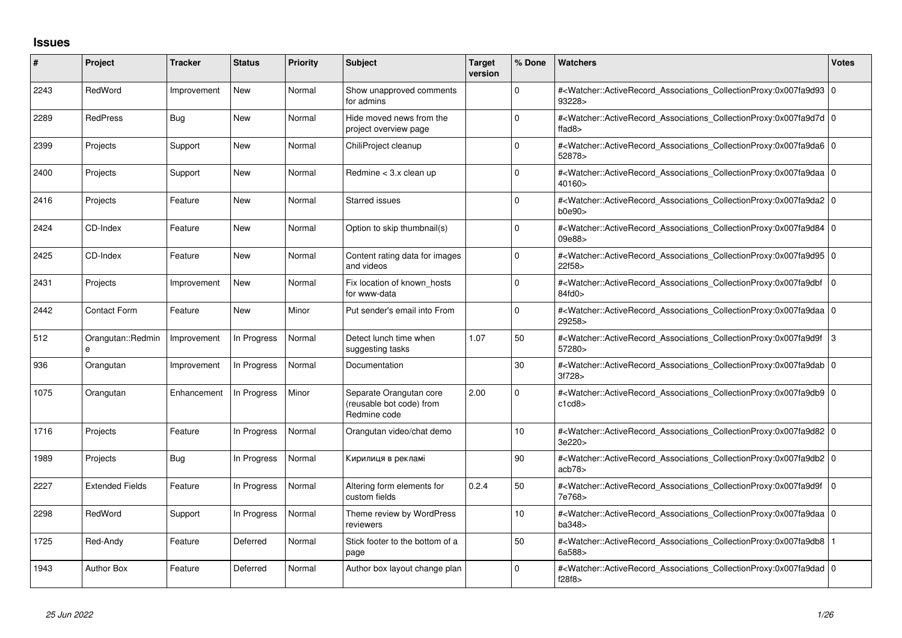## **Issues**

| #    | Project                | <b>Tracker</b> | <b>Status</b> | <b>Priority</b> | <b>Subject</b>                                                      | <b>Target</b><br>version | % Done      | <b>Watchers</b>                                                                                                                                      | <b>Votes</b>   |
|------|------------------------|----------------|---------------|-----------------|---------------------------------------------------------------------|--------------------------|-------------|------------------------------------------------------------------------------------------------------------------------------------------------------|----------------|
| 2243 | RedWord                | Improvement    | <b>New</b>    | Normal          | Show unapproved comments<br>for admins                              |                          | $\Omega$    | # <watcher::activerecord_associations_collectionproxy:0x007fa9d93 0<br="">93228&gt;</watcher::activerecord_associations_collectionproxy:0x007fa9d93> |                |
| 2289 | <b>RedPress</b>        | Bug            | New           | Normal          | Hide moved news from the<br>project overview page                   |                          | $\Omega$    | # <watcher::activerecord 0<br="" associations="" collectionproxy:0x007fa9d7d=""  ="">ffad<math>8</math></watcher::activerecord>                      |                |
| 2399 | Projects               | Support        | New           | Normal          | ChiliProject cleanup                                                |                          | $\Omega$    | # <watcher::activerecord_associations_collectionproxy:0x007fa9da6 0<br="">52878&gt;</watcher::activerecord_associations_collectionproxy:0x007fa9da6> |                |
| 2400 | Projects               | Support        | <b>New</b>    | Normal          | Redmine < 3.x clean up                                              |                          | $\Omega$    | # <watcher::activerecord 0<br="" associations="" collectionproxy:0x007fa9daa=""  ="">40160&gt;</watcher::activerecord>                               |                |
| 2416 | Projects               | Feature        | <b>New</b>    | Normal          | <b>Starred issues</b>                                               |                          | $\Omega$    | # <watcher::activerecord_associations_collectionproxy:0x007fa9da2 0<br="">b0e90&gt;</watcher::activerecord_associations_collectionproxy:0x007fa9da2> |                |
| 2424 | CD-Index               | Feature        | <b>New</b>    | Normal          | Option to skip thumbnail(s)                                         |                          | $\mathbf 0$ | # <watcher::activerecord 0<br="" associations="" collectionproxy:0x007fa9d84=""  ="">09e88&gt;</watcher::activerecord>                               |                |
| 2425 | CD-Index               | Feature        | <b>New</b>    | Normal          | Content rating data for images<br>and videos                        |                          | $\mathbf 0$ | # <watcher::activerecord 0<br="" associations="" collectionproxy:0x007fa9d95=""  ="">22f58&gt;</watcher::activerecord>                               |                |
| 2431 | Projects               | Improvement    | <b>New</b>    | Normal          | Fix location of known hosts<br>for www-data                         |                          | $\Omega$    | # <watcher::activerecord 0<br="" associations="" collectionproxy:0x007fa9dbf=""  ="">84fd0&gt;</watcher::activerecord>                               |                |
| 2442 | <b>Contact Form</b>    | Feature        | <b>New</b>    | Minor           | Put sender's email into From                                        |                          | $\Omega$    | # <watcher::activerecord_associations_collectionproxy:0x007fa9daa 0<br="">29258&gt;</watcher::activerecord_associations_collectionproxy:0x007fa9daa> |                |
| 512  | Orangutan::Redmin<br>e | Improvement    | In Progress   | Normal          | Detect lunch time when<br>suggesting tasks                          | 1.07                     | 50          | # <watcher::activerecord associations="" collectionproxy:0x007fa9d9f<br="">57280&gt;</watcher::activerecord>                                         | $\overline{3}$ |
| 936  | Orangutan              | Improvement    | In Progress   | Normal          | Documentation                                                       |                          | 30          | # <watcher::activerecord 0<br="" associations="" collectionproxy:0x007fa9dab=""  ="">3f728&gt;</watcher::activerecord>                               |                |
| 1075 | Orangutan              | Enhancement    | In Progress   | Minor           | Separate Orangutan core<br>(reusable bot code) from<br>Redmine code | 2.00                     | $\Omega$    | # <watcher::activerecord_associations_collectionproxy:0x007fa9db9 0<br="">c1cd8</watcher::activerecord_associations_collectionproxy:0x007fa9db9>     |                |
| 1716 | Projects               | Feature        | In Progress   | Normal          | Orangutan video/chat demo                                           |                          | 10          | # <watcher::activerecord_associations_collectionproxy:0x007fa9d82 0<br="">3e220&gt;</watcher::activerecord_associations_collectionproxy:0x007fa9d82> |                |
| 1989 | Projects               | Bug            | In Progress   | Normal          | Кирилиця в рекламі                                                  |                          | 90          | # <watcher::activerecord 0<br="" associations="" collectionproxy:0x007fa9db2=""  ="">acb78&gt;</watcher::activerecord>                               |                |
| 2227 | <b>Extended Fields</b> | Feature        | In Progress   | Normal          | Altering form elements for<br>custom fields                         | 0.2.4                    | 50          | # <watcher::activerecord_associations_collectionproxy:0x007fa9d9f<br>7e768&gt;</watcher::activerecord_associations_collectionproxy:0x007fa9d9f<br>   | l O            |
| 2298 | RedWord                | Support        | In Progress   | Normal          | Theme review by WordPress<br>reviewers                              |                          | 10          | # <watcher::activerecord_associations_collectionproxy:0x007fa9daa 0<br="">ba348&gt;</watcher::activerecord_associations_collectionproxy:0x007fa9daa> |                |
| 1725 | Red-Andy               | Feature        | Deferred      | Normal          | Stick footer to the bottom of a<br>page                             |                          | 50          | # <watcher::activerecord 1<br="" associations="" collectionproxy:0x007fa9db8=""  ="">6a588&gt;</watcher::activerecord>                               |                |
| 1943 | <b>Author Box</b>      | Feature        | Deferred      | Normal          | Author box layout change plan                                       |                          | $\Omega$    | # <watcher::activerecord_associations_collectionproxy:0x007fa9dad 0<br="">f28f8</watcher::activerecord_associations_collectionproxy:0x007fa9dad>     |                |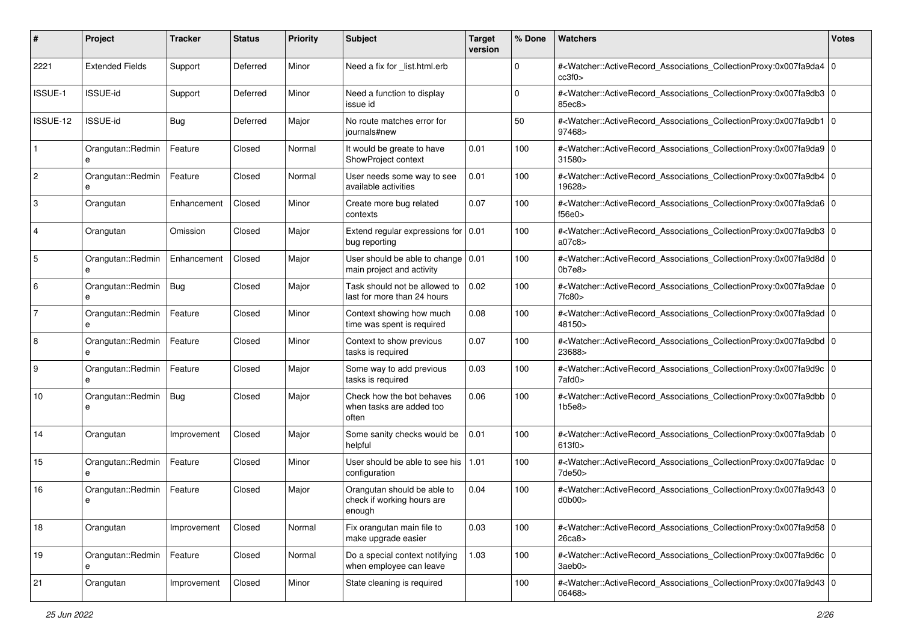| #              | Project                | <b>Tracker</b> | <b>Status</b> | <b>Priority</b> | Subject                                                              | <b>Target</b><br>version | % Done      | <b>Watchers</b>                                                                                                                                                  | <b>Votes</b> |
|----------------|------------------------|----------------|---------------|-----------------|----------------------------------------------------------------------|--------------------------|-------------|------------------------------------------------------------------------------------------------------------------------------------------------------------------|--------------|
| 2221           | <b>Extended Fields</b> | Support        | Deferred      | Minor           | Need a fix for _list.html.erb                                        |                          | $\mathbf 0$ | # <watcher::activerecord_associations_collectionproxy:0x007fa9da4 0<br=""  ="">cc3f0</watcher::activerecord_associations_collectionproxy:0x007fa9da4>            |              |
| ISSUE-1        | <b>ISSUE-id</b>        | Support        | Deferred      | Minor           | Need a function to display<br>issue id                               |                          | $\mathbf 0$ | # <watcher::activerecord_associations_collectionproxy:0x007fa9db3 0<br="">85ec8&gt;</watcher::activerecord_associations_collectionproxy:0x007fa9db3>             |              |
| ISSUE-12       | <b>ISSUE-id</b>        | Bug            | Deferred      | Major           | No route matches error for<br>journals#new                           |                          | 50          | # <watcher::activerecord_associations_collectionproxy:0x007fa9db1 0<br="">97468&gt;</watcher::activerecord_associations_collectionproxy:0x007fa9db1>             |              |
| $\mathbf{1}$   | Orangutan::Redmin<br>e | Feature        | Closed        | Normal          | It would be greate to have<br>ShowProject context                    | 0.01                     | 100         | # <watcher::activerecord_associations_collectionproxy:0x007fa9da9 0<br="">31580 &gt;</watcher::activerecord_associations_collectionproxy:0x007fa9da9>            |              |
| $\overline{2}$ | Orangutan::Redmin<br>e | Feature        | Closed        | Normal          | User needs some way to see<br>available activities                   | 0.01                     | 100         | # <watcher::activerecord_associations_collectionproxy:0x007fa9db4 0<br=""  ="">19628&gt;</watcher::activerecord_associations_collectionproxy:0x007fa9db4>        |              |
| 3              | Orangutan              | Enhancement    | Closed        | Minor           | Create more bug related<br>contexts                                  | 0.07                     | 100         | # <watcher::activerecord_associations_collectionproxy:0x007fa9da6 0<br=""  ="">f56e0&gt;</watcher::activerecord_associations_collectionproxy:0x007fa9da6>        |              |
| $\overline{4}$ | Orangutan              | Omission       | Closed        | Major           | Extend regular expressions for $\vert 0.01 \rangle$<br>bug reporting |                          | 100         | # <watcher::activerecord_associations_collectionproxy:0x007fa9db3 0<br="">a07c8&gt;</watcher::activerecord_associations_collectionproxy:0x007fa9db3>             |              |
| 5              | Orangutan::Redmin<br>e | Enhancement    | Closed        | Major           | User should be able to change<br>main project and activity           | 0.01                     | 100         | # <watcher::activerecord_associations_collectionproxy:0x007fa9d8d 0<br=""  ="">0<sub>b7e8</sub></watcher::activerecord_associations_collectionproxy:0x007fa9d8d> |              |
| 6              | Orangutan::Redmin<br>e | Bug            | Closed        | Major           | Task should not be allowed to<br>last for more than 24 hours         | 0.02                     | 100         | # <watcher::activerecord_associations_collectionproxy:0x007fa9dae 0<br="">7fc80&gt;</watcher::activerecord_associations_collectionproxy:0x007fa9dae>             |              |
| 7              | Orangutan::Redmin<br>е | Feature        | Closed        | Minor           | Context showing how much<br>time was spent is required               | 0.08                     | 100         | # <watcher::activerecord_associations_collectionproxy:0x007fa9dad 0<br=""  ="">48150&gt;</watcher::activerecord_associations_collectionproxy:0x007fa9dad>        |              |
| 8              | Orangutan::Redmin<br>е | Feature        | Closed        | Minor           | Context to show previous<br>tasks is required                        | 0.07                     | 100         | # <watcher::activerecord_associations_collectionproxy:0x007fa9dbd 0<br=""  ="">23688&gt;</watcher::activerecord_associations_collectionproxy:0x007fa9dbd>        |              |
| 9              | Orangutan::Redmin<br>e | Feature        | Closed        | Major           | Some way to add previous<br>tasks is required                        | 0.03                     | 100         | # <watcher::activerecord_associations_collectionproxy:0x007fa9d9c 0<br=""  ="">7afd0&gt;</watcher::activerecord_associations_collectionproxy:0x007fa9d9c>        |              |
| 10             | Orangutan::Redmin      | Bug            | Closed        | Major           | Check how the bot behaves<br>when tasks are added too<br>often       | 0.06                     | 100         | # <watcher::activerecord_associations_collectionproxy:0x007fa9dbb 0<br=""  ="">1b5e8</watcher::activerecord_associations_collectionproxy:0x007fa9dbb>            |              |
| 14             | Orangutan              | Improvement    | Closed        | Major           | Some sanity checks would be<br>helpful                               | 0.01                     | 100         | # <watcher::activerecord_associations_collectionproxy:0x007fa9dab 0<br=""  ="">613f0 &gt;</watcher::activerecord_associations_collectionproxy:0x007fa9dab>       |              |
| 15             | Orangutan::Redmin<br>e | Feature        | Closed        | Minor           | User should be able to see his<br>configuration                      | 1.01                     | 100         | # <watcher::activerecord_associations_collectionproxy:0x007fa9dac 0<br=""  ="">7de50&gt;</watcher::activerecord_associations_collectionproxy:0x007fa9dac>        |              |
| 16             | Orangutan::Redmin<br>e | Feature        | Closed        | Major           | Orangutan should be able to<br>check if working hours are<br>enough  | 0.04                     | 100         | # <watcher::activerecord_associations_collectionproxy:0x007fa9d43 0<br=""  ="">d0b00&gt;</watcher::activerecord_associations_collectionproxy:0x007fa9d43>        |              |
| 18             | Orangutan              | Improvement    | Closed        | Normal          | Fix orangutan main file to<br>make upgrade easier                    | 0.03                     | 100         | # <watcher::activerecord_associations_collectionproxy:0x007fa9d58 0<br="">26ca8</watcher::activerecord_associations_collectionproxy:0x007fa9d58>                 |              |
| 19             | Orangutan::Redmin<br>е | Feature        | Closed        | Normal          | Do a special context notifying<br>when employee can leave            | 1.03                     | 100         | # <watcher::activerecord 0<br="" associations="" collectionproxy:0x007fa9d6c="">3aeb0&gt;</watcher::activerecord>                                                |              |
| 21             | Orangutan              | Improvement    | Closed        | Minor           | State cleaning is required                                           |                          | 100         | # <watcher::activerecord_associations_collectionproxy:0x007fa9d43 0<br="">06468&gt;</watcher::activerecord_associations_collectionproxy:0x007fa9d43>             |              |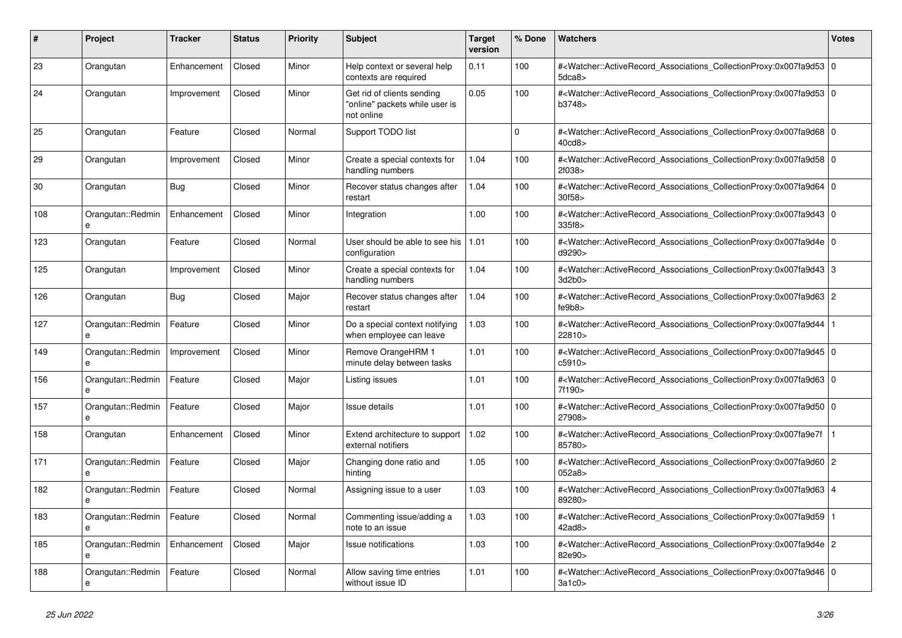| #   | Project                | <b>Tracker</b> | <b>Status</b> | <b>Priority</b> | <b>Subject</b>                                                             | <b>Target</b><br>version | % Done   | <b>Watchers</b>                                                                                                                                           | <b>Votes</b> |
|-----|------------------------|----------------|---------------|-----------------|----------------------------------------------------------------------------|--------------------------|----------|-----------------------------------------------------------------------------------------------------------------------------------------------------------|--------------|
| 23  | Orangutan              | Enhancement    | Closed        | Minor           | Help context or several help<br>contexts are required                      | 0.11                     | 100      | # <watcher::activerecord_associations_collectionproxy:0x007fa9d53 0<br=""  ="">5dca8&gt;</watcher::activerecord_associations_collectionproxy:0x007fa9d53> |              |
| 24  | Orangutan              | Improvement    | Closed        | Minor           | Get rid of clients sending<br>"online" packets while user is<br>not online | 0.05                     | 100      | # <watcher::activerecord_associations_collectionproxy:0x007fa9d53 0<br=""  ="">b3748&gt;</watcher::activerecord_associations_collectionproxy:0x007fa9d53> |              |
| 25  | Orangutan              | Feature        | Closed        | Normal          | Support TODO list                                                          |                          | $\Omega$ | # <watcher::activerecord_associations_collectionproxy:0x007fa9d68 0<br=""  ="">40cd8</watcher::activerecord_associations_collectionproxy:0x007fa9d68>     |              |
| 29  | Orangutan              | Improvement    | Closed        | Minor           | Create a special contexts for<br>handling numbers                          | 1.04                     | 100      | # <watcher::activerecord_associations_collectionproxy:0x007fa9d58 0<br=""  ="">2f038&gt;</watcher::activerecord_associations_collectionproxy:0x007fa9d58> |              |
| 30  | Orangutan              | <b>Bug</b>     | Closed        | Minor           | Recover status changes after<br>restart                                    | 1.04                     | 100      | # <watcher::activerecord_associations_collectionproxy:0x007fa9d64 0<br=""  ="">30f58&gt;</watcher::activerecord_associations_collectionproxy:0x007fa9d64> |              |
| 108 | Orangutan::Redmin<br>e | Enhancement    | Closed        | Minor           | Integration                                                                | 1.00                     | 100      | # <watcher::activerecord 0<br="" associations="" collectionproxy:0x007fa9d43=""  ="">335f8&gt;</watcher::activerecord>                                    |              |
| 123 | Orangutan              | Feature        | Closed        | Normal          | User should be able to see his<br>configuration                            | 1.01                     | 100      | # <watcher::activerecord_associations_collectionproxy:0x007fa9d4e 0<br=""  ="">d9290&gt;</watcher::activerecord_associations_collectionproxy:0x007fa9d4e> |              |
| 125 | Orangutan              | Improvement    | Closed        | Minor           | Create a special contexts for<br>handling numbers                          | 1.04                     | 100      | # <watcher::activerecord_associations_collectionproxy:0x007fa9d43 3<br="">3d2b0</watcher::activerecord_associations_collectionproxy:0x007fa9d43>          |              |
| 126 | Orangutan              | <b>Bug</b>     | Closed        | Major           | Recover status changes after<br>restart                                    | 1.04                     | 100      | # <watcher::activerecord_associations_collectionproxy:0x007fa9d63 2<br="">fe9b8&gt;</watcher::activerecord_associations_collectionproxy:0x007fa9d63>      |              |
| 127 | Orangutan::Redmin      | Feature        | Closed        | Minor           | Do a special context notifying<br>when employee can leave                  | 1.03                     | 100      | # <watcher::activerecord_associations_collectionproxy:0x007fa9d44 1<br=""  ="">22810&gt;</watcher::activerecord_associations_collectionproxy:0x007fa9d44> |              |
| 149 | Orangutan::Redmin<br>e | Improvement    | Closed        | Minor           | Remove OrangeHRM 1<br>minute delay between tasks                           | 1.01                     | 100      | # <watcher::activerecord_associations_collectionproxy:0x007fa9d45 0<br=""  ="">c5910&gt;</watcher::activerecord_associations_collectionproxy:0x007fa9d45> |              |
| 156 | Orangutan::Redmin<br>e | Feature        | Closed        | Major           | Listing issues                                                             | 1.01                     | 100      | # <watcher::activerecord_associations_collectionproxy:0x007fa9d63 0<br=""  ="">7f190&gt;</watcher::activerecord_associations_collectionproxy:0x007fa9d63> |              |
| 157 | Orangutan::Redmin<br>e | Feature        | Closed        | Major           | Issue details                                                              | 1.01                     | 100      | # <watcher::activerecord 0<br="" associations="" collectionproxy:0x007fa9d50=""  ="">27908&gt;</watcher::activerecord>                                    |              |
| 158 | Orangutan              | Enhancement    | Closed        | Minor           | Extend architecture to support<br>external notifiers                       | 1.02                     | 100      | # <watcher::activerecord_associations_collectionproxy:0x007fa9e7f<br>85780&gt;</watcher::activerecord_associations_collectionproxy:0x007fa9e7f<br>        |              |
| 171 | Orangutan::Redmin<br>e | Feature        | Closed        | Major           | Changing done ratio and<br>hinting                                         | 1.05                     | 100      | # <watcher::activerecord_associations_collectionproxy:0x007fa9d60 2<br="">052a8</watcher::activerecord_associations_collectionproxy:0x007fa9d60>          |              |
| 182 | Orangutan::Redmin<br>e | Feature        | Closed        | Normal          | Assigning issue to a user                                                  | 1.03                     | 100      | # <watcher::activerecord 4<br="" associations="" collectionproxy:0x007fa9d63=""  ="">89280&gt;</watcher::activerecord>                                    |              |
| 183 | Orangutan::Redmin<br>e | Feature        | Closed        | Normal          | Commenting issue/adding a<br>note to an issue                              | 1.03                     | 100      | # <watcher::activerecord_associations_collectionproxy:0x007fa9d59 1<br=""  ="">42ad8&gt;</watcher::activerecord_associations_collectionproxy:0x007fa9d59> |              |
| 185 | Orangutan::Redmin<br>e | Enhancement    | Closed        | Major           | Issue notifications                                                        | 1.03                     | 100      | # <watcher::activerecord_associations_collectionproxy:0x007fa9d4e 2<br="">82e90&gt;</watcher::activerecord_associations_collectionproxy:0x007fa9d4e>      |              |
| 188 | Orangutan::Redmin<br>e | Feature        | Closed        | Normal          | Allow saving time entries<br>without issue ID                              | 1.01                     | 100      | # <watcher::activerecord_associations_collectionproxy:0x007fa9d46 0<br=""  ="">3a1c0&gt;</watcher::activerecord_associations_collectionproxy:0x007fa9d46> |              |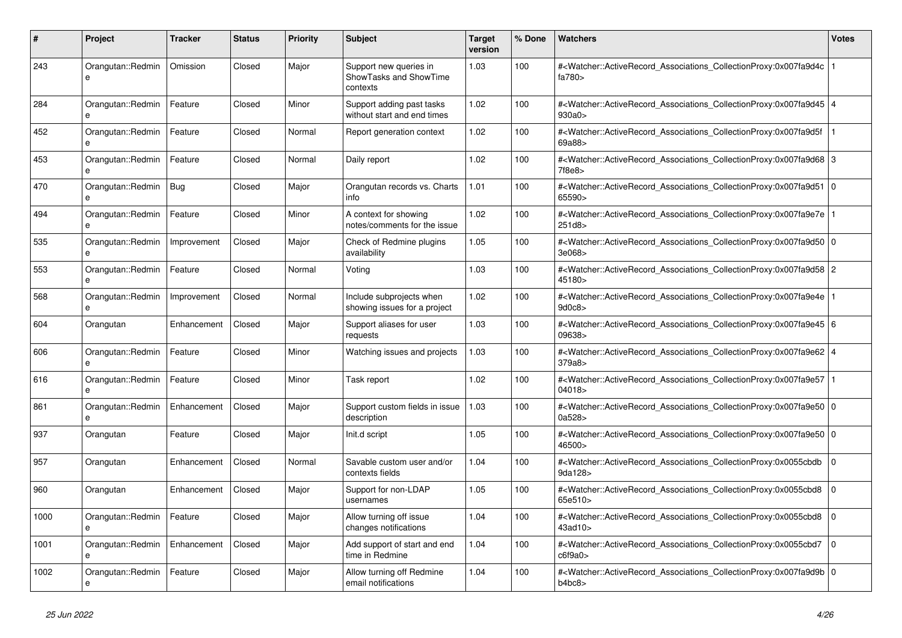| #    | <b>Project</b>                | <b>Tracker</b> | <b>Status</b> | <b>Priority</b> | <b>Subject</b>                                               | <b>Target</b><br>version | % Done | Watchers                                                                                                                                                  | Votes          |
|------|-------------------------------|----------------|---------------|-----------------|--------------------------------------------------------------|--------------------------|--------|-----------------------------------------------------------------------------------------------------------------------------------------------------------|----------------|
| 243  | Orangutan::Redmin<br>e        | Omission       | Closed        | Major           | Support new queries in<br>ShowTasks and ShowTime<br>contexts | 1.03                     | 100    | # <watcher::activerecord_associations_collectionproxy:0x007fa9d4c<br>fa780&gt;</watcher::activerecord_associations_collectionproxy:0x007fa9d4c<br>        |                |
| 284  | Orangutan::Redmin             | Feature        | Closed        | Minor           | Support adding past tasks<br>without start and end times     | 1.02                     | 100    | # <watcher::activerecord 4<br="" associations="" collectionproxy:0x007fa9d45=""  ="">930a0&gt;</watcher::activerecord>                                    |                |
| 452  | Orangutan::Redmin<br>$\theta$ | Feature        | Closed        | Normal          | Report generation context                                    | 1.02                     | 100    | # <watcher::activerecord_associations_collectionproxy:0x007fa9d5f<br>69a88&gt;</watcher::activerecord_associations_collectionproxy:0x007fa9d5f<br>        |                |
| 453  | Orangutan::Redmin             | Feature        | Closed        | Normal          | Daily report                                                 | 1.02                     | 100    | # <watcher::activerecord 3<br="" associations="" collectionproxy:0x007fa9d68="">7f8e8&gt;</watcher::activerecord>                                         |                |
| 470  | Orangutan::Redmin<br>e        | Bug            | Closed        | Major           | Orangutan records vs. Charts<br>info                         | 1.01                     | 100    | # <watcher::activerecord_associations_collectionproxy:0x007fa9d51 0<br=""  ="">65590&gt;</watcher::activerecord_associations_collectionproxy:0x007fa9d51> |                |
| 494  | Orangutan::Redmin<br>e        | Feature        | Closed        | Minor           | A context for showing<br>notes/comments for the issue        | 1.02                     | 100    | # <watcher::activerecord_associations_collectionproxy:0x007fa9e7e  <br="">251d8&gt;</watcher::activerecord_associations_collectionproxy:0x007fa9e7e>      |                |
| 535  | Orangutan::Redmin<br>e        | Improvement    | Closed        | Major           | Check of Redmine plugins<br>availability                     | 1.05                     | 100    | # <watcher::activerecord_associations_collectionproxy:0x007fa9d50 0<br=""  ="">3e068&gt;</watcher::activerecord_associations_collectionproxy:0x007fa9d50> |                |
| 553  | Orangutan::Redmin<br>e        | Feature        | Closed        | Normal          | Voting                                                       | 1.03                     | 100    | # <watcher::activerecord_associations_collectionproxy:0x007fa9d58 2<br="">45180&gt;</watcher::activerecord_associations_collectionproxy:0x007fa9d58>      |                |
| 568  | Orangutan::Redmin<br>$\theta$ | Improvement    | Closed        | Normal          | Include subprojects when<br>showing issues for a project     | 1.02                     | 100    | # <watcher::activerecord_associations_collectionproxy:0x007fa9e4e<br>9d0c8&gt;</watcher::activerecord_associations_collectionproxy:0x007fa9e4e<br>        |                |
| 604  | Orangutan                     | Enhancement    | Closed        | Major           | Support aliases for user<br>requests                         | 1.03                     | 100    | # <watcher::activerecord_associations_collectionproxy:0x007fa9e45 6<br=""  ="">09638&gt;</watcher::activerecord_associations_collectionproxy:0x007fa9e45> |                |
| 606  | Orangutan::Redmin<br>$\theta$ | Feature        | Closed        | Minor           | Watching issues and projects                                 | 1.03                     | 100    | # <watcher::activerecord 4<br="" associations="" collectionproxy:0x007fa9e62=""  ="">379a8&gt;</watcher::activerecord>                                    |                |
| 616  | Orangutan::Redmin<br>$\theta$ | Feature        | Closed        | Minor           | Task report                                                  | 1.02                     | 100    | # <watcher::activerecord_associations_collectionproxy:0x007fa9e57<br>04018</watcher::activerecord_associations_collectionproxy:0x007fa9e57<br>            |                |
| 861  | Orangutan::Redmin<br>e        | Enhancement    | Closed        | Major           | Support custom fields in issue<br>description                | 1.03                     | 100    | # <watcher::activerecord_associations_collectionproxy:0x007fa9e50 0<br=""  ="">0a528&gt;</watcher::activerecord_associations_collectionproxy:0x007fa9e50> |                |
| 937  | Orangutan                     | Feature        | Closed        | Major           | Init.d script                                                | 1.05                     | 100    | # <watcher::activerecord_associations_collectionproxy:0x007fa9e50 0<br=""  ="">46500&gt;</watcher::activerecord_associations_collectionproxy:0x007fa9e50> |                |
| 957  | Orangutan                     | Enhancement    | Closed        | Normal          | Savable custom user and/or<br>contexts fields                | 1.04                     | 100    | # <watcher::activerecord_associations_collectionproxy:0x0055cbdb<br>9da128&gt;</watcher::activerecord_associations_collectionproxy:0x0055cbdb<br>         | $\Omega$       |
| 960  | Orangutan                     | Enhancement    | Closed        | Major           | Support for non-LDAP<br>usernames                            | 1.05                     | 100    | # <watcher::activerecord_associations_collectionproxy:0x0055cbd8<br>65e510&gt;</watcher::activerecord_associations_collectionproxy:0x0055cbd8<br>         | $\overline{0}$ |
| 1000 | Orangutan::Redmin             | Feature        | Closed        | Major           | Allow turning off issue<br>changes notifications             | 1.04                     | 100    | # <watcher::activerecord_associations_collectionproxy:0x0055cbd8<br>43ad10&gt;</watcher::activerecord_associations_collectionproxy:0x0055cbd8<br>         | $\Omega$       |
| 1001 | Orangutan::Redmin<br>e        | Enhancement    | Closed        | Major           | Add support of start and end<br>time in Redmine              | 1.04                     | 100    | # <watcher::activerecord associations="" collectionproxy:0x0055cbd7<br="">c6f9a0</watcher::activerecord>                                                  | $\Omega$       |
| 1002 | Orangutan::Redmin<br>e        | Feature        | Closed        | Major           | Allow turning off Redmine<br>email notifications             | 1.04                     | 100    | # <watcher::activerecord_associations_collectionproxy:0x007fa9d9b 0<br=""  ="">b4bc8</watcher::activerecord_associations_collectionproxy:0x007fa9d9b>     |                |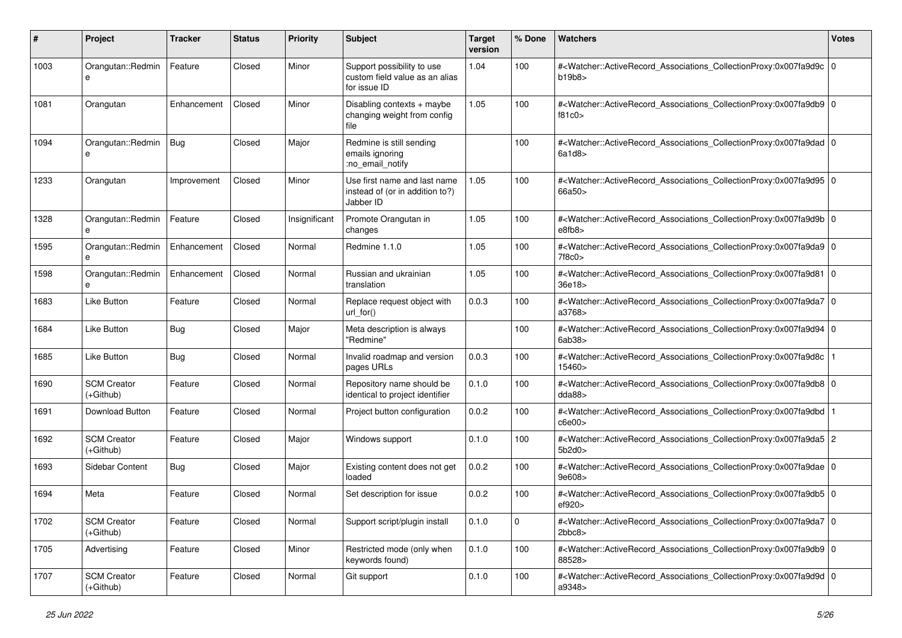| #    | Project                           | <b>Tracker</b> | <b>Status</b> | <b>Priority</b> | <b>Subject</b>                                                               | <b>Target</b><br>version | % Done | Watchers                                                                                                                                                  | <b>Votes</b> |
|------|-----------------------------------|----------------|---------------|-----------------|------------------------------------------------------------------------------|--------------------------|--------|-----------------------------------------------------------------------------------------------------------------------------------------------------------|--------------|
| 1003 | Orangutan::Redmin<br>e            | Feature        | Closed        | Minor           | Support possibility to use<br>custom field value as an alias<br>for issue ID | 1.04                     | 100    | # <watcher::activerecord_associations_collectionproxy:0x007fa9d9c 0<br="">b19b8</watcher::activerecord_associations_collectionproxy:0x007fa9d9c>          |              |
| 1081 | Orangutan                         | Enhancement    | Closed        | Minor           | Disabling contexts + maybe<br>changing weight from config<br>file            | 1.05                     | 100    | # <watcher::activerecord_associations_collectionproxy:0x007fa9db9 0<br="">f81c0&gt;</watcher::activerecord_associations_collectionproxy:0x007fa9db9>      |              |
| 1094 | Orangutan::Redmin<br>e            | Bug            | Closed        | Major           | Redmine is still sending<br>emails ignoring<br>:no_email_notify              |                          | 100    | # <watcher::activerecord_associations_collectionproxy:0x007fa9dad 0<br="">6a1d8</watcher::activerecord_associations_collectionproxy:0x007fa9dad>          |              |
| 1233 | Orangutan                         | Improvement    | Closed        | Minor           | Use first name and last name<br>instead of (or in addition to?)<br>Jabber ID | 1.05                     | 100    | # <watcher::activerecord_associations_collectionproxy:0x007fa9d95 0<br=""  ="">66a50&gt;</watcher::activerecord_associations_collectionproxy:0x007fa9d95> |              |
| 1328 | Orangutan::Redmin<br>e            | Feature        | Closed        | Insignificant   | Promote Orangutan in<br>changes                                              | 1.05                     | 100    | # <watcher::activerecord_associations_collectionproxy:0x007fa9d9b 0<br=""  ="">e8fb8</watcher::activerecord_associations_collectionproxy:0x007fa9d9b>     |              |
| 1595 | Orangutan::Redmin<br>e            | Enhancement    | Closed        | Normal          | Redmine 1.1.0                                                                | 1.05                     | 100    | # <watcher::activerecord_associations_collectionproxy:0x007fa9da9 0<br=""  ="">7f8c0&gt;</watcher::activerecord_associations_collectionproxy:0x007fa9da9> |              |
| 1598 | Orangutan::Redmin<br>e            | Enhancement    | Closed        | Normal          | Russian and ukrainian<br>translation                                         | 1.05                     | 100    | # <watcher::activerecord_associations_collectionproxy:0x007fa9d81 0<br="">36e18&gt;</watcher::activerecord_associations_collectionproxy:0x007fa9d81>      |              |
| 1683 | <b>Like Button</b>                | Feature        | Closed        | Normal          | Replace request object with<br>$url_for()$                                   | 0.0.3                    | 100    | # <watcher::activerecord_associations_collectionproxy:0x007fa9da7 0<br=""  ="">a3768&gt;</watcher::activerecord_associations_collectionproxy:0x007fa9da7> |              |
| 1684 | <b>Like Button</b>                | Bug            | Closed        | Major           | Meta description is always<br>"Redmine"                                      |                          | 100    | # <watcher::activerecord_associations_collectionproxy:0x007fa9d94 0<br="">6ab38</watcher::activerecord_associations_collectionproxy:0x007fa9d94>          |              |
| 1685 | <b>Like Button</b>                | Bug            | Closed        | Normal          | Invalid roadmap and version<br>pages URLs                                    | 0.0.3                    | 100    | # <watcher::activerecord_associations_collectionproxy:0x007fa9d8c 1<br=""  ="">15460&gt;</watcher::activerecord_associations_collectionproxy:0x007fa9d8c> |              |
| 1690 | <b>SCM Creator</b><br>$(+Github)$ | Feature        | Closed        | Normal          | Repository name should be<br>identical to project identifier                 | 0.1.0                    | 100    | # <watcher::activerecord_associations_collectionproxy:0x007fa9db8 0<br=""  ="">dda88</watcher::activerecord_associations_collectionproxy:0x007fa9db8>     |              |
| 1691 | Download Button                   | Feature        | Closed        | Normal          | Project button configuration                                                 | 0.0.2                    | 100    | # <watcher::activerecord_associations_collectionproxy:0x007fa9dbd 1<br=""  ="">c6e00&gt;</watcher::activerecord_associations_collectionproxy:0x007fa9dbd> |              |
| 1692 | <b>SCM Creator</b><br>$(+Github)$ | Feature        | Closed        | Major           | Windows support                                                              | 0.1.0                    | 100    | # <watcher::activerecord_associations_collectionproxy:0x007fa9da5 2<br="">5b2d0</watcher::activerecord_associations_collectionproxy:0x007fa9da5>          |              |
| 1693 | Sidebar Content                   | Bug            | Closed        | Major           | Existing content does not get<br>loaded                                      | 0.0.2                    | 100    | # <watcher::activerecord_associations_collectionproxy:0x007fa9dae 0<br=""  ="">9e608&gt;</watcher::activerecord_associations_collectionproxy:0x007fa9dae> |              |
| 1694 | Meta                              | Feature        | Closed        | Normal          | Set description for issue                                                    | 0.0.2                    | 100    | # <watcher::activerecord_associations_collectionproxy:0x007fa9db5 0<br="">ef920&gt;</watcher::activerecord_associations_collectionproxy:0x007fa9db5>      |              |
| 1702 | <b>SCM Creator</b><br>(+Github)   | Feature        | Closed        | Normal          | Support script/plugin install                                                | 0.1.0                    | 0      | # <watcher::activerecord 0<br="" associations="" collectionproxy:0x007fa9da7="">2bbc8&gt;</watcher::activerecord>                                         |              |
| 1705 | Advertising                       | Feature        | Closed        | Minor           | Restricted mode (only when<br>keywords found)                                | 0.1.0                    | 100    | # <watcher::activerecord_associations_collectionproxy:0x007fa9db9 0<br="">88528&gt;</watcher::activerecord_associations_collectionproxy:0x007fa9db9>      |              |
| 1707 | <b>SCM Creator</b><br>(+Github)   | Feature        | Closed        | Normal          | Git support                                                                  | 0.1.0                    | 100    | # <watcher::activerecord 0<br="" associations="" collectionproxy:0x007fa9d9d="">a9348&gt;</watcher::activerecord>                                         |              |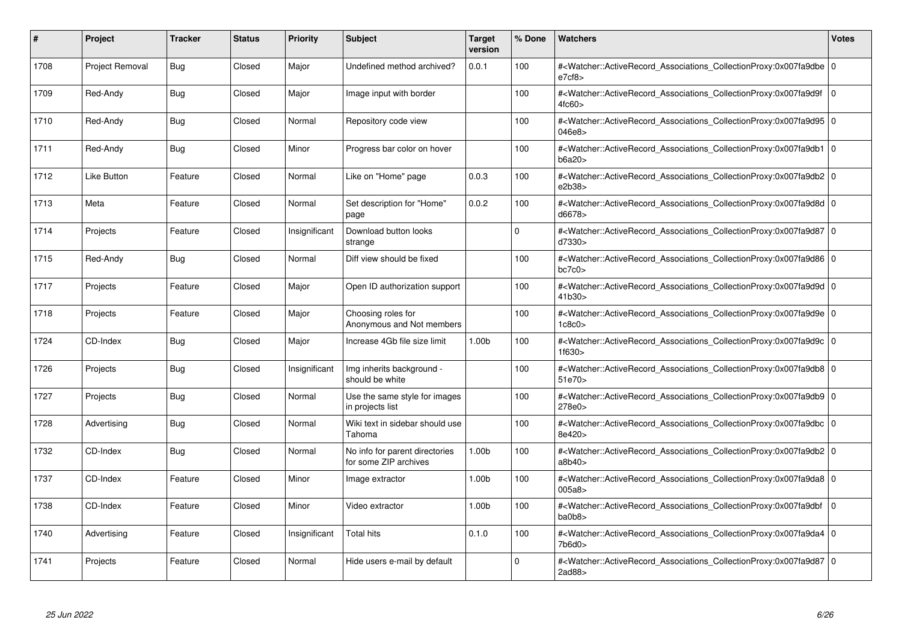| #    | Project         | <b>Tracker</b> | <b>Status</b> | <b>Priority</b> | <b>Subject</b>                                          | <b>Target</b><br>version | % Done   | <b>Watchers</b>                                                                                                                                           | <b>Votes</b>   |
|------|-----------------|----------------|---------------|-----------------|---------------------------------------------------------|--------------------------|----------|-----------------------------------------------------------------------------------------------------------------------------------------------------------|----------------|
| 1708 | Project Removal | <b>Bug</b>     | Closed        | Major           | Undefined method archived?                              | 0.0.1                    | 100      | # <watcher::activerecord_associations_collectionproxy:0x007fa9dbe 0<br=""  ="">e7cf8&gt;</watcher::activerecord_associations_collectionproxy:0x007fa9dbe> |                |
| 1709 | Red-Andy        | Bug            | Closed        | Major           | Image input with border                                 |                          | 100      | # <watcher::activerecord_associations_collectionproxy:0x007fa9d9f 0<br=""  ="">4fc60&gt;</watcher::activerecord_associations_collectionproxy:0x007fa9d9f> |                |
| 1710 | Red-Andy        | Bug            | Closed        | Normal          | Repository code view                                    |                          | 100      | # <watcher::activerecord 0<br="" associations="" collectionproxy:0x007fa9d95=""  ="">046e8&gt;</watcher::activerecord>                                    |                |
| 1711 | Red-Andy        | <b>Bug</b>     | Closed        | Minor           | Progress bar color on hover                             |                          | 100      | # <watcher::activerecord_associations_collectionproxy:0x007fa9db1 0<br=""  ="">b6a20&gt;</watcher::activerecord_associations_collectionproxy:0x007fa9db1> |                |
| 1712 | Like Button     | Feature        | Closed        | Normal          | Like on "Home" page                                     | 0.0.3                    | 100      | # <watcher::activerecord_associations_collectionproxy:0x007fa9db2 0<br="">e2b38&gt;</watcher::activerecord_associations_collectionproxy:0x007fa9db2>      |                |
| 1713 | Meta            | Feature        | Closed        | Normal          | Set description for "Home"<br>page                      | 0.0.2                    | 100      | # <watcher::activerecord 0<br="" associations="" collectionproxy:0x007fa9d8d=""  ="">d6678&gt;</watcher::activerecord>                                    |                |
| 1714 | Projects        | Feature        | Closed        | Insignificant   | Download button looks<br>strange                        |                          | 0        | # <watcher::activerecord_associations_collectionproxy:0x007fa9d87 0<br="">d7330&gt;</watcher::activerecord_associations_collectionproxy:0x007fa9d87>      |                |
| 1715 | Red-Andy        | Bug            | Closed        | Normal          | Diff view should be fixed                               |                          | 100      | # <watcher::activerecord_associations_collectionproxy:0x007fa9d86 0<br=""  ="">bc7c0</watcher::activerecord_associations_collectionproxy:0x007fa9d86>     |                |
| 1717 | Projects        | Feature        | Closed        | Major           | Open ID authorization support                           |                          | 100      | # <watcher::activerecord 0<br="" associations="" collectionproxy:0x007fa9d9d=""  ="">41b30&gt;</watcher::activerecord>                                    |                |
| 1718 | Projects        | Feature        | Closed        | Major           | Choosing roles for<br>Anonymous and Not members         |                          | 100      | # <watcher::activerecord 0<br="" associations="" collectionproxy:0x007fa9d9e=""  ="">1c8c0</watcher::activerecord>                                        |                |
| 1724 | CD-Index        | <b>Bug</b>     | Closed        | Major           | Increase 4Gb file size limit                            | 1.00 <sub>b</sub>        | 100      | # <watcher::activerecord_associations_collectionproxy:0x007fa9d9c 0<br=""  ="">1f630&gt;</watcher::activerecord_associations_collectionproxy:0x007fa9d9c> |                |
| 1726 | Projects        | <b>Bug</b>     | Closed        | Insignificant   | Img inherits background -<br>should be white            |                          | 100      | # <watcher::activerecord_associations_collectionproxy:0x007fa9db8 0<br=""  ="">51e70&gt;</watcher::activerecord_associations_collectionproxy:0x007fa9db8> |                |
| 1727 | Projects        | <b>Bug</b>     | Closed        | Normal          | Use the same style for images<br>in projects list       |                          | 100      | # <watcher::activerecord 0<br="" associations="" collectionproxy:0x007fa9db9=""  ="">278e0&gt;</watcher::activerecord>                                    |                |
| 1728 | Advertising     | <b>Bug</b>     | Closed        | Normal          | Wiki text in sidebar should use<br>Tahoma               |                          | 100      | # <watcher::activerecord_associations_collectionproxy:0x007fa9dbc 0<br="">8e420&gt;</watcher::activerecord_associations_collectionproxy:0x007fa9dbc>      |                |
| 1732 | CD-Index        | <b>Bug</b>     | Closed        | Normal          | No info for parent directories<br>for some ZIP archives | 1.00 <sub>b</sub>        | 100      | # <watcher::activerecord_associations_collectionproxy:0x007fa9db2 0<br=""  ="">a8b40&gt;</watcher::activerecord_associations_collectionproxy:0x007fa9db2> |                |
| 1737 | CD-Index        | Feature        | Closed        | Minor           | Image extractor                                         | 1.00 <sub>b</sub>        | 100      | # <watcher::activerecord 0<br="" associations="" collectionproxy:0x007fa9da8=""  ="">005a8</watcher::activerecord>                                        |                |
| 1738 | CD-Index        | Feature        | Closed        | Minor           | Video extractor                                         | 1.00 <sub>b</sub>        | 100      | # <watcher::activerecord associations="" collectionproxy:0x007fa9dbf<br="">ba0b8</watcher::activerecord>                                                  | $\overline{0}$ |
| 1740 | Advertising     | Feature        | Closed        | Insignificant   | <b>Total hits</b>                                       | 0.1.0                    | 100      | # <watcher::activerecord_associations_collectionproxy:0x007fa9da4 0<br=""  ="">7b6d0&gt;</watcher::activerecord_associations_collectionproxy:0x007fa9da4> |                |
| 1741 | Projects        | Feature        | Closed        | Normal          | Hide users e-mail by default                            |                          | $\Omega$ | # <watcher::activerecord_associations_collectionproxy:0x007fa9d87 0<br=""  ="">2ad88&gt;</watcher::activerecord_associations_collectionproxy:0x007fa9d87> |                |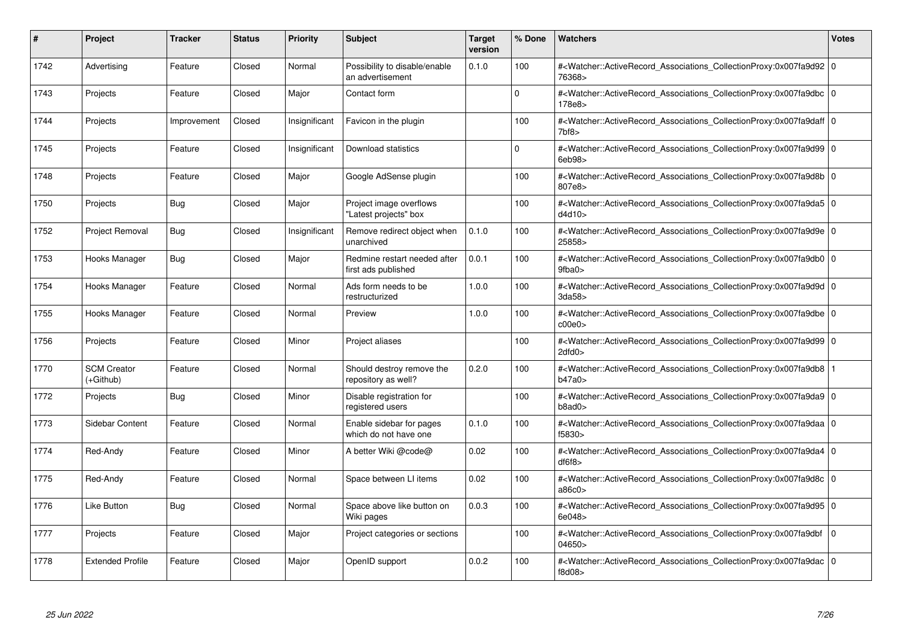| #    | Project                         | <b>Tracker</b> | <b>Status</b> | <b>Priority</b> | <b>Subject</b>                                      | <b>Target</b><br>version | % Done   | <b>Watchers</b>                                                                                                                                                   | <b>Votes</b> |
|------|---------------------------------|----------------|---------------|-----------------|-----------------------------------------------------|--------------------------|----------|-------------------------------------------------------------------------------------------------------------------------------------------------------------------|--------------|
| 1742 | Advertising                     | Feature        | Closed        | Normal          | Possibility to disable/enable<br>an advertisement   | 0.1.0                    | 100      | # <watcher::activerecord_associations_collectionproxy:0x007fa9d92 0<br="">76368&gt;</watcher::activerecord_associations_collectionproxy:0x007fa9d92>              |              |
| 1743 | Projects                        | Feature        | Closed        | Major           | Contact form                                        |                          | $\Omega$ | # <watcher::activerecord_associations_collectionproxy:0x007fa9dbc 0<br=""  ="">178e8&gt;</watcher::activerecord_associations_collectionproxy:0x007fa9dbc>         |              |
| 1744 | Projects                        | Improvement    | Closed        | Insignificant   | Favicon in the plugin                               |                          | 100      | # <watcher::activerecord_associations_collectionproxy:0x007fa9daff 0<br=""  ="">7<sub>bf8</sub></watcher::activerecord_associations_collectionproxy:0x007fa9daff> |              |
| 1745 | Projects                        | Feature        | Closed        | Insignificant   | Download statistics                                 |                          | $\Omega$ | # <watcher::activerecord_associations_collectionproxy:0x007fa9d99 0<br=""  ="">6eb98</watcher::activerecord_associations_collectionproxy:0x007fa9d99>             |              |
| 1748 | Projects                        | Feature        | Closed        | Major           | Google AdSense plugin                               |                          | 100      | # <watcher::activerecord_associations_collectionproxy:0x007fa9d8b 0<br=""  ="">807e8&gt;</watcher::activerecord_associations_collectionproxy:0x007fa9d8b>         |              |
| 1750 | Projects                        | <b>Bug</b>     | Closed        | Major           | Project image overflows<br>'Latest projects" box    |                          | 100      | # <watcher::activerecord 0<br="" associations="" collectionproxy:0x007fa9da5=""  ="">ddd10</watcher::activerecord>                                                |              |
| 1752 | Project Removal                 | Bug            | Closed        | Insignificant   | Remove redirect object when<br>unarchived           | 0.1.0                    | 100      | # <watcher::activerecord_associations_collectionproxy:0x007fa9d9e 0<br=""  ="">25858&gt;</watcher::activerecord_associations_collectionproxy:0x007fa9d9e>         |              |
| 1753 | Hooks Manager                   | <b>Bug</b>     | Closed        | Major           | Redmine restart needed after<br>first ads published | 0.0.1                    | 100      | # <watcher::activerecord_associations_collectionproxy:0x007fa9db0 0<br=""  ="">9fba0&gt;</watcher::activerecord_associations_collectionproxy:0x007fa9db0>         |              |
| 1754 | Hooks Manager                   | Feature        | Closed        | Normal          | Ads form needs to be<br>restructurized              | 1.0.0                    | 100      | # <watcher::activerecord 0<br="" associations="" collectionproxy:0x007fa9d9d=""  ="">3da58</watcher::activerecord>                                                |              |
| 1755 | Hooks Manager                   | Feature        | Closed        | Normal          | Preview                                             | 1.0.0                    | 100      | # <watcher::activerecord_associations_collectionproxy:0x007fa9dbe 0<br=""  ="">c00e0</watcher::activerecord_associations_collectionproxy:0x007fa9dbe>             |              |
| 1756 | Projects                        | Feature        | Closed        | Minor           | Project aliases                                     |                          | 100      | # <watcher::activerecord_associations_collectionproxy:0x007fa9d99 0<br=""  ="">2dfd0</watcher::activerecord_associations_collectionproxy:0x007fa9d99>             |              |
| 1770 | <b>SCM Creator</b><br>(+Github) | Feature        | Closed        | Normal          | Should destroy remove the<br>repository as well?    | 0.2.0                    | 100      | # <watcher::activerecord_associations_collectionproxy:0x007fa9db8 1<br=""  ="">b47a0&gt;</watcher::activerecord_associations_collectionproxy:0x007fa9db8>         |              |
| 1772 | Projects                        | <b>Bug</b>     | Closed        | Minor           | Disable registration for<br>registered users        |                          | 100      | # <watcher::activerecord 0<br="" associations="" collectionproxy:0x007fa9da9=""  ="">b8ad0</watcher::activerecord>                                                |              |
| 1773 | Sidebar Content                 | Feature        | Closed        | Normal          | Enable sidebar for pages<br>which do not have one   | 0.1.0                    | 100      | # <watcher::activerecord_associations_collectionproxy:0x007fa9daa 0<br="">f5830&gt;</watcher::activerecord_associations_collectionproxy:0x007fa9daa>              |              |
| 1774 | Red-Andy                        | Feature        | Closed        | Minor           | A better Wiki @code@                                | 0.02                     | 100      | # <watcher::activerecord_associations_collectionproxy:0x007fa9da4 0<br=""  ="">df6f8</watcher::activerecord_associations_collectionproxy:0x007fa9da4>             |              |
| 1775 | Red-Andy                        | Feature        | Closed        | Normal          | Space between LI items                              | 0.02                     | 100      | # <watcher::activerecord 0<br="" associations="" collectionproxy:0x007fa9d8c=""  ="">a86c0&gt;</watcher::activerecord>                                            |              |
| 1776 | Like Button                     | <b>Bug</b>     | Closed        | Normal          | Space above like button on<br>Wiki pages            | 0.0.3                    | 100      | # <watcher::activerecord 0<br="" associations="" collectionproxy:0x007fa9d95=""  ="">6e048&gt;</watcher::activerecord>                                            |              |
| 1777 | Projects                        | Feature        | Closed        | Major           | Project categories or sections                      |                          | 100      | # <watcher::activerecord_associations_collectionproxy:0x007fa9dbf<br>04650&gt;</watcher::activerecord_associations_collectionproxy:0x007fa9dbf<br>                | l O          |
| 1778 | <b>Extended Profile</b>         | Feature        | Closed        | Major           | OpenID support                                      | 0.0.2                    | 100      | # <watcher::activerecord_associations_collectionproxy:0x007fa9dac 0<br=""  ="">f8d08&gt;</watcher::activerecord_associations_collectionproxy:0x007fa9dac>         |              |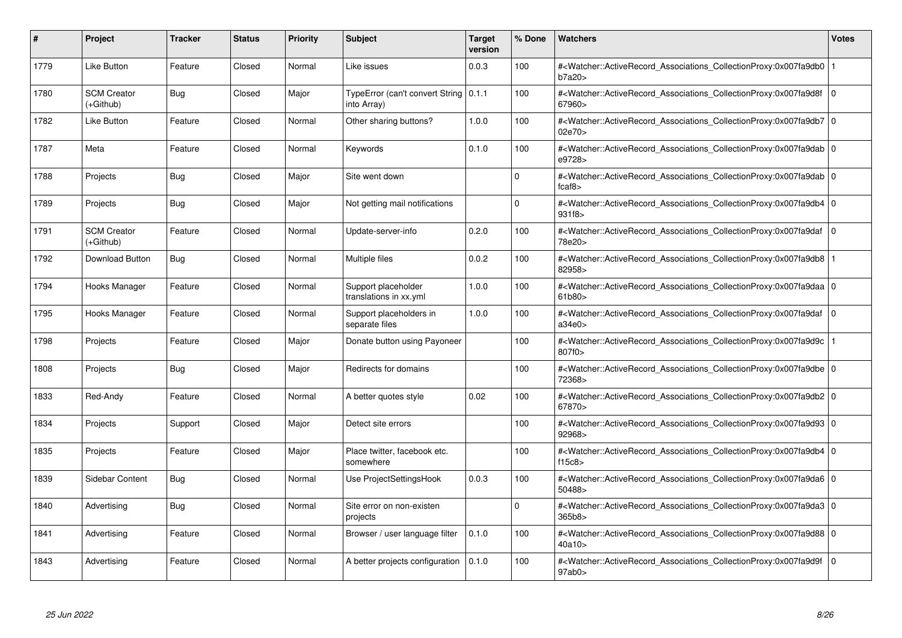| #    | Project                         | <b>Tracker</b> | <b>Status</b> | <b>Priority</b> | <b>Subject</b>                                         | <b>Target</b><br>version | % Done   | <b>Watchers</b>                                                                                                                                           | <b>Votes</b>   |
|------|---------------------------------|----------------|---------------|-----------------|--------------------------------------------------------|--------------------------|----------|-----------------------------------------------------------------------------------------------------------------------------------------------------------|----------------|
| 1779 | <b>Like Button</b>              | Feature        | Closed        | Normal          | Like issues                                            | 0.0.3                    | 100      | # <watcher::activerecord_associations_collectionproxy:0x007fa9db0 1<br=""  ="">b7a20&gt;</watcher::activerecord_associations_collectionproxy:0x007fa9db0> |                |
| 1780 | <b>SCM Creator</b><br>(+Github) | <b>Bug</b>     | Closed        | Major           | TypeError (can't convert String   0.1.1<br>into Array) |                          | 100      | # <watcher::activerecord_associations_collectionproxy:0x007fa9d8f<br>67960&gt;</watcher::activerecord_associations_collectionproxy:0x007fa9d8f<br>        | $\overline{0}$ |
| 1782 | Like Button                     | Feature        | Closed        | Normal          | Other sharing buttons?                                 | 1.0.0                    | 100      | # <watcher::activerecord_associations_collectionproxy:0x007fa9db7 0<br="">02e70&gt;</watcher::activerecord_associations_collectionproxy:0x007fa9db7>      |                |
| 1787 | Meta                            | Feature        | Closed        | Normal          | Keywords                                               | 0.1.0                    | 100      | # <watcher::activerecord_associations_collectionproxy:0x007fa9dab 0<br=""  ="">e9728&gt;</watcher::activerecord_associations_collectionproxy:0x007fa9dab> |                |
| 1788 | Projects                        | <b>Bug</b>     | Closed        | Major           | Site went down                                         |                          | $\Omega$ | # <watcher::activerecord_associations_collectionproxy:0x007fa9dab 0<br=""  ="">fcaf8&gt;</watcher::activerecord_associations_collectionproxy:0x007fa9dab> |                |
| 1789 | Projects                        | <b>Bug</b>     | Closed        | Major           | Not getting mail notifications                         |                          | $\Omega$ | # <watcher::activerecord_associations_collectionproxy:0x007fa9db4 0<br=""  ="">931f8&gt;</watcher::activerecord_associations_collectionproxy:0x007fa9db4> |                |
| 1791 | <b>SCM Creator</b><br>(+Github) | Feature        | Closed        | Normal          | Update-server-info                                     | 0.2.0                    | 100      | # <watcher::activerecord associations="" collectionproxy:0x007fa9daf<br="">78e20&gt;</watcher::activerecord>                                              | $\overline{0}$ |
| 1792 | Download Button                 | Bug            | Closed        | Normal          | Multiple files                                         | 0.0.2                    | 100      | # <watcher::activerecord 1<br="" associations="" collectionproxy:0x007fa9db8=""  ="">82958&gt;</watcher::activerecord>                                    |                |
| 1794 | Hooks Manager                   | Feature        | Closed        | Normal          | Support placeholder<br>translations in xx.yml          | 1.0.0                    | 100      | # <watcher::activerecord_associations_collectionproxy:0x007fa9daa 0<br="">61b80&gt;</watcher::activerecord_associations_collectionproxy:0x007fa9daa>      |                |
| 1795 | Hooks Manager                   | Feature        | Closed        | Normal          | Support placeholders in<br>separate files              | 1.0.0                    | 100      | # <watcher::activerecord_associations_collectionproxy:0x007fa9daf 0<br=""  ="">a34e0&gt;</watcher::activerecord_associations_collectionproxy:0x007fa9daf> |                |
| 1798 | Projects                        | Feature        | Closed        | Major           | Donate button using Payoneer                           |                          | 100      | # <watcher::activerecord 1<br="" associations="" collectionproxy:0x007fa9d9c=""  ="">807f0&gt;</watcher::activerecord>                                    |                |
| 1808 | Projects                        | <b>Bug</b>     | Closed        | Major           | Redirects for domains                                  |                          | 100      | # <watcher::activerecord_associations_collectionproxy:0x007fa9dbe 0<br=""  ="">72368&gt;</watcher::activerecord_associations_collectionproxy:0x007fa9dbe> |                |
| 1833 | Red-Andy                        | Feature        | Closed        | Normal          | A better quotes style                                  | 0.02                     | 100      | # <watcher::activerecord_associations_collectionproxy:0x007fa9db2 0<br=""  ="">67870&gt;</watcher::activerecord_associations_collectionproxy:0x007fa9db2> |                |
| 1834 | Projects                        | Support        | Closed        | Major           | Detect site errors                                     |                          | 100      | # <watcher::activerecord_associations_collectionproxy:0x007fa9d93 0<br=""  ="">92968&gt;</watcher::activerecord_associations_collectionproxy:0x007fa9d93> |                |
| 1835 | Projects                        | Feature        | Closed        | Major           | Place twitter, facebook etc.<br>somewhere              |                          | 100      | # <watcher::activerecord 0<br="" associations="" collectionproxy:0x007fa9db4=""  ="">f15c8</watcher::activerecord>                                        |                |
| 1839 | Sidebar Content                 | <b>Bug</b>     | Closed        | Normal          | Use ProjectSettingsHook                                | 0.0.3                    | 100      | # <watcher::activerecord 0<br="" associations="" collectionproxy:0x007fa9da6=""  ="">50488&gt;</watcher::activerecord>                                    |                |
| 1840 | Advertising                     | <b>Bug</b>     | Closed        | Normal          | Site error on non-existen<br>projects                  |                          | $\Omega$ | # <watcher::activerecord_associations_collectionproxy:0x007fa9da3 0<br=""  ="">365b8</watcher::activerecord_associations_collectionproxy:0x007fa9da3>     |                |
| 1841 | Advertising                     | Feature        | Closed        | Normal          | Browser / user language filter                         | 0.1.0                    | 100      | # <watcher::activerecord_associations_collectionproxy:0x007fa9d88 0<br=""  ="">40a10&gt;</watcher::activerecord_associations_collectionproxy:0x007fa9d88> |                |
| 1843 | Advertising                     | Feature        | Closed        | Normal          | A better projects configuration                        | 0.1.0                    | 100      | # <watcher::activerecord 0<br="" associations="" collectionproxy:0x007fa9d9f=""  ="">97ab0&gt;</watcher::activerecord>                                    |                |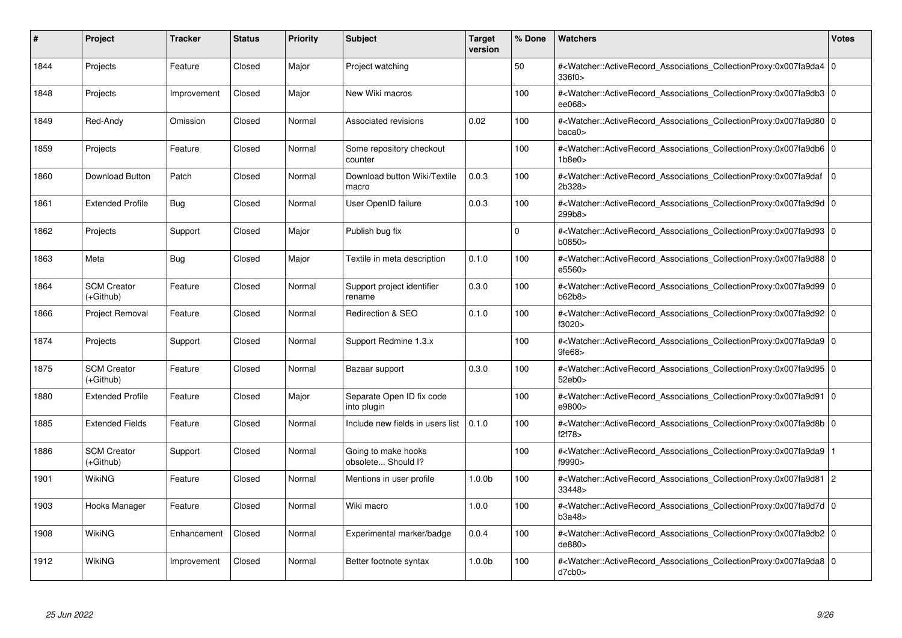| #    | Project                         | <b>Tracker</b> | <b>Status</b> | <b>Priority</b> | <b>Subject</b>                            | <b>Target</b><br>version | % Done      | Watchers                                                                                                                                                  | <b>Votes</b> |
|------|---------------------------------|----------------|---------------|-----------------|-------------------------------------------|--------------------------|-------------|-----------------------------------------------------------------------------------------------------------------------------------------------------------|--------------|
| 1844 | Projects                        | Feature        | Closed        | Major           | Project watching                          |                          | 50          | # <watcher::activerecord_associations_collectionproxy:0x007fa9da4 0<br=""  ="">336f0&gt;</watcher::activerecord_associations_collectionproxy:0x007fa9da4> |              |
| 1848 | Projects                        | Improvement    | Closed        | Major           | New Wiki macros                           |                          | 100         | # <watcher::activerecord_associations_collectionproxy:0x007fa9db3 0<br=""  ="">ee068&gt;</watcher::activerecord_associations_collectionproxy:0x007fa9db3> |              |
| 1849 | Red-Andy                        | Omission       | Closed        | Normal          | Associated revisions                      | 0.02                     | 100         | # <watcher::activerecord_associations_collectionproxy:0x007fa9d80 0<br="">baca0</watcher::activerecord_associations_collectionproxy:0x007fa9d80>          |              |
| 1859 | Projects                        | Feature        | Closed        | Normal          | Some repository checkout<br>counter       |                          | 100         | # <watcher::activerecord_associations_collectionproxy:0x007fa9db6 0<br=""  ="">1b8e0</watcher::activerecord_associations_collectionproxy:0x007fa9db6>     |              |
| 1860 | <b>Download Button</b>          | Patch          | Closed        | Normal          | Download button Wiki/Textile<br>macro     | 0.0.3                    | 100         | # <watcher::activerecord_associations_collectionproxy:0x007fa9daf<br>2b328&gt;</watcher::activerecord_associations_collectionproxy:0x007fa9daf<br>        | l 0          |
| 1861 | <b>Extended Profile</b>         | <b>Bug</b>     | Closed        | Normal          | User OpenID failure                       | 0.0.3                    | 100         | # <watcher::activerecord_associations_collectionproxy:0x007fa9d9d 0<br=""  ="">299b8&gt;</watcher::activerecord_associations_collectionproxy:0x007fa9d9d> |              |
| 1862 | Projects                        | Support        | Closed        | Major           | Publish bug fix                           |                          | $\mathbf 0$ | # <watcher::activerecord 0<br="" associations="" collectionproxy:0x007fa9d93=""  ="">b0850&gt;</watcher::activerecord>                                    |              |
| 1863 | Meta                            | Bug            | Closed        | Major           | Textile in meta description               | 0.1.0                    | 100         | # <watcher::activerecord 0<br="" associations="" collectionproxy:0x007fa9d88=""  ="">e5560&gt;</watcher::activerecord>                                    |              |
| 1864 | <b>SCM Creator</b><br>(+Github) | Feature        | Closed        | Normal          | Support project identifier<br>rename      | 0.3.0                    | 100         | # <watcher::activerecord_associations_collectionproxy:0x007fa9d99 0<br=""  ="">b62b8</watcher::activerecord_associations_collectionproxy:0x007fa9d99>     |              |
| 1866 | Project Removal                 | Feature        | Closed        | Normal          | <b>Redirection &amp; SEO</b>              | 0.1.0                    | 100         | # <watcher::activerecord_associations_collectionproxy:0x007fa9d92 0<br=""  ="">f3020&gt;</watcher::activerecord_associations_collectionproxy:0x007fa9d92> |              |
| 1874 | Projects                        | Support        | Closed        | Normal          | Support Redmine 1.3.x                     |                          | 100         | # <watcher::activerecord 0<br="" associations="" collectionproxy:0x007fa9da9=""  ="">9fe68</watcher::activerecord>                                        |              |
| 1875 | <b>SCM Creator</b><br>(+Github) | Feature        | Closed        | Normal          | Bazaar support                            | 0.3.0                    | 100         | # <watcher::activerecord 0<br="" associations="" collectionproxy:0x007fa9d95=""  ="">52eb0&gt;</watcher::activerecord>                                    |              |
| 1880 | <b>Extended Profile</b>         | Feature        | Closed        | Major           | Separate Open ID fix code<br>into plugin  |                          | 100         | # <watcher::activerecord_associations_collectionproxy:0x007fa9d91 0<br=""  ="">e9800&gt;</watcher::activerecord_associations_collectionproxy:0x007fa9d91> |              |
| 1885 | <b>Extended Fields</b>          | Feature        | Closed        | Normal          | Include new fields in users list          | 0.1.0                    | 100         | # <watcher::activerecord_associations_collectionproxy:0x007fa9d8b 0<br="">f2f78&gt;</watcher::activerecord_associations_collectionproxy:0x007fa9d8b>      |              |
| 1886 | <b>SCM Creator</b><br>(+Github) | Support        | Closed        | Normal          | Going to make hooks<br>obsolete Should I? |                          | 100         | # <watcher::activerecord 1<br="" associations="" collectionproxy:0x007fa9da9=""  ="">f9990&gt;</watcher::activerecord>                                    |              |
| 1901 | WikiNG                          | Feature        | Closed        | Normal          | Mentions in user profile                  | 1.0.0 <sub>b</sub>       | 100         | # <watcher::activerecord_associations_collectionproxy:0x007fa9d81 2<br="">33448&gt;</watcher::activerecord_associations_collectionproxy:0x007fa9d81>      |              |
| 1903 | Hooks Manager                   | Feature        | Closed        | Normal          | Wiki macro                                | 1.0.0                    | 100         | # <watcher::activerecord_associations_collectionproxy:0x007fa9d7d 0<br=""  ="">b3a48</watcher::activerecord_associations_collectionproxy:0x007fa9d7d>     |              |
| 1908 | WikiNG                          | Enhancement    | Closed        | Normal          | Experimental marker/badge                 | 0.0.4                    | 100         | # <watcher::activerecord_associations_collectionproxy:0x007fa9db2 0<br=""  ="">de880&gt;</watcher::activerecord_associations_collectionproxy:0x007fa9db2> |              |
| 1912 | WikiNG                          | Improvement    | Closed        | Normal          | Better footnote syntax                    | 1.0.0 <sub>b</sub>       | 100         | # <watcher::activerecord 0<br="" associations="" collectionproxy:0x007fa9da8=""  ="">d7cb0&gt;</watcher::activerecord>                                    |              |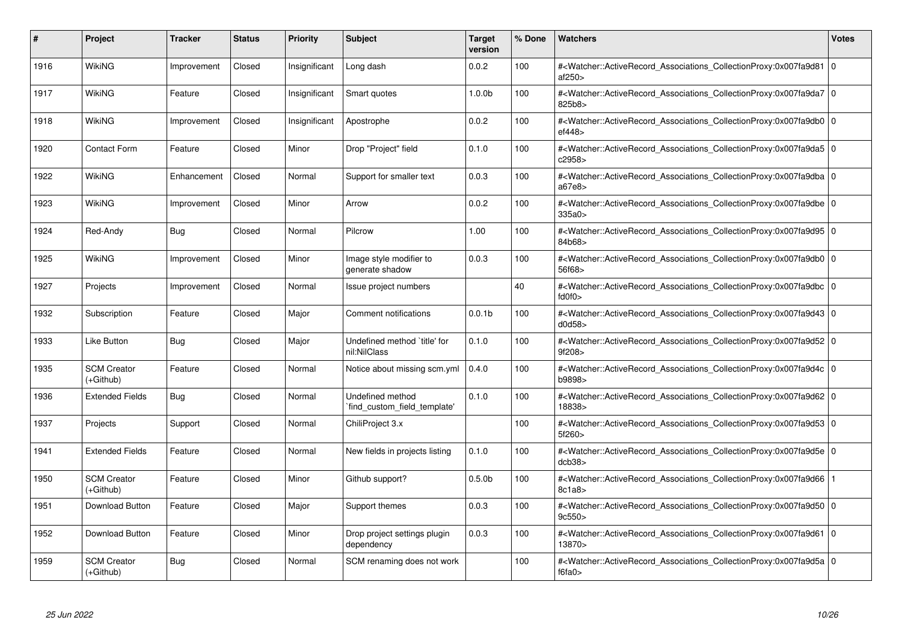| #    | Project                         | <b>Tracker</b> | <b>Status</b> | <b>Priority</b> | <b>Subject</b>                                  | <b>Target</b><br>version | % Done | <b>Watchers</b>                                                                                                                                                            | <b>Votes</b> |
|------|---------------------------------|----------------|---------------|-----------------|-------------------------------------------------|--------------------------|--------|----------------------------------------------------------------------------------------------------------------------------------------------------------------------------|--------------|
| 1916 | WikiNG                          | Improvement    | Closed        | Insignificant   | Long dash                                       | 0.0.2                    | 100    | # <watcher::activerecord_associations_collectionproxy:0x007fa9d81 0<br="">af250&gt;</watcher::activerecord_associations_collectionproxy:0x007fa9d81>                       |              |
| 1917 | <b>WikiNG</b>                   | Feature        | Closed        | Insignificant   | Smart quotes                                    | 1.0.0 <sub>b</sub>       | 100    | # <watcher::activerecord_associations_collectionproxy:0x007fa9da7 0<br=""  ="">825b8&gt;</watcher::activerecord_associations_collectionproxy:0x007fa9da7>                  |              |
| 1918 | WikiNG                          | Improvement    | Closed        | Insignificant   | Apostrophe                                      | 0.0.2                    | 100    | # <watcher::activerecord_associations_collectionproxy:0x007fa9db0 0<br="">ef448&gt;</watcher::activerecord_associations_collectionproxy:0x007fa9db0>                       |              |
| 1920 | Contact Form                    | Feature        | Closed        | Minor           | Drop "Project" field                            | 0.1.0                    | 100    | # <watcher::activerecord_associations_collectionproxy:0x007fa9da5 0<br=""  ="">c2958&gt;</watcher::activerecord_associations_collectionproxy:0x007fa9da5>                  |              |
| 1922 | WikiNG                          | Enhancement    | Closed        | Normal          | Support for smaller text                        | 0.0.3                    | 100    | # <watcher::activerecord_associations_collectionproxy:0x007fa9dba 0<br="">a67e8&gt;</watcher::activerecord_associations_collectionproxy:0x007fa9dba>                       |              |
| 1923 | <b>WikiNG</b>                   | Improvement    | Closed        | Minor           | Arrow                                           | 0.0.2                    | 100    | # <watcher::activerecord_associations_collectionproxy:0x007fa9dbe 0<br="">335a0&gt;</watcher::activerecord_associations_collectionproxy:0x007fa9dbe>                       |              |
| 1924 | Red-Andy                        | <b>Bug</b>     | Closed        | Normal          | Pilcrow                                         | 1.00                     | 100    | # <watcher::activerecord 0<br="" associations="" collectionproxy:0x007fa9d95=""  ="">84b68&gt;</watcher::activerecord>                                                     |              |
| 1925 | <b>WikiNG</b>                   | Improvement    | Closed        | Minor           | Image style modifier to<br>generate shadow      | 0.0.3                    | 100    | # <watcher::activerecord_associations_collectionproxy:0x007fa9db0 0<br="">56f68&gt;</watcher::activerecord_associations_collectionproxy:0x007fa9db0>                       |              |
| 1927 | Projects                        | Improvement    | Closed        | Normal          | Issue project numbers                           |                          | 40     | # <watcher::activerecord_associations_collectionproxy:0x007fa9dbc 0<br=""><math>f</math>d<math>0f0</math></watcher::activerecord_associations_collectionproxy:0x007fa9dbc> |              |
| 1932 | Subscription                    | Feature        | Closed        | Major           | Comment notifications                           | 0.0.1 <sub>b</sub>       | 100    | # <watcher::activerecord_associations_collectionproxy:0x007fa9d43 0<br=""  ="">d0d58&gt;</watcher::activerecord_associations_collectionproxy:0x007fa9d43>                  |              |
| 1933 | Like Button                     | <b>Bug</b>     | Closed        | Major           | Undefined method 'title' for<br>nil:NilClass    | 0.1.0                    | 100    | # <watcher::activerecord 0<br="" associations="" collectionproxy:0x007fa9d52=""  ="">9f208&gt;</watcher::activerecord>                                                     |              |
| 1935 | <b>SCM Creator</b><br>(+Github) | Feature        | Closed        | Normal          | Notice about missing scm.yml                    | 0.4.0                    | 100    | # <watcher::activerecord 0<br="" associations="" collectionproxy:0x007fa9d4c=""  ="">b9898&gt;</watcher::activerecord>                                                     |              |
| 1936 | <b>Extended Fields</b>          | <b>Bug</b>     | Closed        | Normal          | Undefined method<br>find custom field template' | 0.1.0                    | 100    | # <watcher::activerecord_associations_collectionproxy:0x007fa9d62 0<br=""  ="">18838&gt;</watcher::activerecord_associations_collectionproxy:0x007fa9d62>                  |              |
| 1937 | Projects                        | Support        | Closed        | Normal          | ChiliProject 3.x                                |                          | 100    | # <watcher::activerecord_associations_collectionproxy:0x007fa9d53 0<br=""  ="">5f260&gt;</watcher::activerecord_associations_collectionproxy:0x007fa9d53>                  |              |
| 1941 | <b>Extended Fields</b>          | Feature        | Closed        | Normal          | New fields in projects listing                  | 0.1.0                    | 100    | # <watcher::activerecord 0<br="" associations="" collectionproxy:0x007fa9d5e=""  ="">dcb38</watcher::activerecord>                                                         |              |
| 1950 | <b>SCM Creator</b><br>(+Github) | Feature        | Closed        | Minor           | Github support?                                 | 0.5.0 <sub>b</sub>       | 100    | # <watcher::activerecord 1<br="" associations="" collectionproxy:0x007fa9d66=""  ="">8c1a8</watcher::activerecord>                                                         |              |
| 1951 | Download Button                 | Feature        | Closed        | Major           | Support themes                                  | 0.0.3                    | 100    | # <watcher::activerecord_associations_collectionproxy:0x007fa9d50 0<br=""  ="">9c550</watcher::activerecord_associations_collectionproxy:0x007fa9d50>                      |              |
| 1952 | Download Button                 | Feature        | Closed        | Minor           | Drop project settings plugin<br>dependency      | 0.0.3                    | 100    | # <watcher::activerecord_associations_collectionproxy:0x007fa9d61 0<br=""  ="">13870&gt;</watcher::activerecord_associations_collectionproxy:0x007fa9d61>                  |              |
| 1959 | <b>SCM Creator</b><br>(+Github) | Bug            | Closed        | Normal          | SCM renaming does not work                      |                          | 100    | # <watcher::activerecord 0<br="" associations="" collectionproxy:0x007fa9d5a=""  ="">f6fa0&gt;</watcher::activerecord>                                                     |              |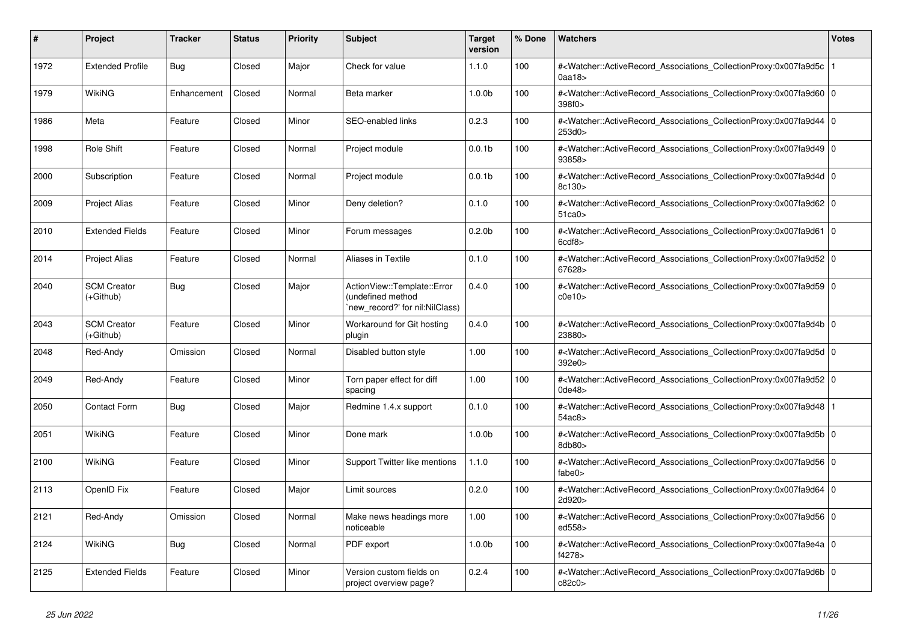| #    | <b>Project</b>                  | <b>Tracker</b> | <b>Status</b> | <b>Priority</b> | <b>Subject</b>                                                                      | <b>Target</b><br>version | % Done | Watchers                                                                                                                                                                     | Votes |
|------|---------------------------------|----------------|---------------|-----------------|-------------------------------------------------------------------------------------|--------------------------|--------|------------------------------------------------------------------------------------------------------------------------------------------------------------------------------|-------|
| 1972 | <b>Extended Profile</b>         | Bug            | Closed        | Major           | Check for value                                                                     | 1.1.0                    | 100    | # <watcher::activerecord_associations_collectionproxy:0x007fa9d5c<br><math>0</math>aa18<math>&gt;</math></watcher::activerecord_associations_collectionproxy:0x007fa9d5c<br> |       |
| 1979 | <b>WikiNG</b>                   | Enhancement    | Closed        | Normal          | Beta marker                                                                         | 1.0.0 <sub>b</sub>       | 100    | # <watcher::activerecord_associations_collectionproxy:0x007fa9d60 0<br=""  ="">398f0&gt;</watcher::activerecord_associations_collectionproxy:0x007fa9d60>                    |       |
| 1986 | Meta                            | Feature        | Closed        | Minor           | SEO-enabled links                                                                   | 0.2.3                    | 100    | # <watcher::activerecord 0<br="" associations="" collectionproxy:0x007fa9d44=""  ="">253d0&gt;</watcher::activerecord>                                                       |       |
| 1998 | Role Shift                      | Feature        | Closed        | Normal          | Project module                                                                      | 0.0.1 <sub>b</sub>       | 100    | # <watcher::activerecord_associations_collectionproxy:0x007fa9d49 0<br=""  ="">93858&gt;</watcher::activerecord_associations_collectionproxy:0x007fa9d49>                    |       |
| 2000 | Subscription                    | Feature        | Closed        | Normal          | Project module                                                                      | 0.0.1 <sub>b</sub>       | 100    | # <watcher::activerecord_associations_collectionproxy:0x007fa9d4d 0<br=""  ="">8c130&gt;</watcher::activerecord_associations_collectionproxy:0x007fa9d4d>                    |       |
| 2009 | <b>Project Alias</b>            | Feature        | Closed        | Minor           | Deny deletion?                                                                      | 0.1.0                    | 100    | # <watcher::activerecord 0<br="" associations="" collectionproxy:0x007fa9d62=""  ="">51<sub>ca0</sub></watcher::activerecord>                                                |       |
| 2010 | <b>Extended Fields</b>          | Feature        | Closed        | Minor           | Forum messages                                                                      | 0.2.0 <sub>b</sub>       | 100    | # <watcher::activerecord_associations_collectionproxy:0x007fa9d61 0<br="">6cdf8</watcher::activerecord_associations_collectionproxy:0x007fa9d61>                             |       |
| 2014 | <b>Project Alias</b>            | Feature        | Closed        | Normal          | Aliases in Textile                                                                  | 0.1.0                    | 100    | # <watcher::activerecord_associations_collectionproxy:0x007fa9d52 0<br=""  ="">67628&gt;</watcher::activerecord_associations_collectionproxy:0x007fa9d52>                    |       |
| 2040 | <b>SCM Creator</b><br>(+Github) | Bug            | Closed        | Major           | ActionView::Template::Error<br>(undefined method<br>`new_record?' for nil:NilClass) | 0.4.0                    | 100    | # <watcher::activerecord_associations_collectionproxy:0x007fa9d59 0<br=""  ="">c0e10</watcher::activerecord_associations_collectionproxy:0x007fa9d59>                        |       |
| 2043 | <b>SCM Creator</b><br>(+Github) | Feature        | Closed        | Minor           | Workaround for Git hosting<br>plugin                                                | 0.4.0                    | 100    | # <watcher::activerecord_associations_collectionproxy:0x007fa9d4b 0<br=""  ="">23880&gt;</watcher::activerecord_associations_collectionproxy:0x007fa9d4b>                    |       |
| 2048 | Red-Andy                        | Omission       | Closed        | Normal          | Disabled button style                                                               | 1.00                     | 100    | # <watcher::activerecord 0<br="" associations="" collectionproxy:0x007fa9d5d=""  ="">392e0&gt;</watcher::activerecord>                                                       |       |
| 2049 | Red-Andy                        | Feature        | Closed        | Minor           | Torn paper effect for diff<br>spacing                                               | 1.00                     | 100    | # <watcher::activerecord 0<br="" associations="" collectionproxy:0x007fa9d52=""  ="">0de48&gt;</watcher::activerecord>                                                       |       |
| 2050 | Contact Form                    | <b>Bug</b>     | Closed        | Major           | Redmine 1.4.x support                                                               | 0.1.0                    | 100    | # <watcher::activerecord_associations_collectionproxy:0x007fa9d48  <br="">54ac8&gt;</watcher::activerecord_associations_collectionproxy:0x007fa9d48>                         |       |
| 2051 | WikiNG                          | Feature        | Closed        | Minor           | Done mark                                                                           | 1.0.0 <sub>b</sub>       | 100    | # <watcher::activerecord 0<br="" associations="" collectionproxy:0x007fa9d5b=""  ="">8db80&gt;</watcher::activerecord>                                                       |       |
| 2100 | <b>WikiNG</b>                   | Feature        | Closed        | Minor           | Support Twitter like mentions                                                       | 1.1.0                    | 100    | # <watcher::activerecord 0<br="" associations="" collectionproxy:0x007fa9d56=""  ="">fabe0&gt;</watcher::activerecord>                                                       |       |
| 2113 | OpenID Fix                      | Feature        | Closed        | Major           | Limit sources                                                                       | 0.2.0                    | 100    | # <watcher::activerecord_associations_collectionproxy:0x007fa9d64 0<br=""  ="">2d920&gt;</watcher::activerecord_associations_collectionproxy:0x007fa9d64>                    |       |
| 2121 | Red-Andy                        | Omission       | Closed        | Normal          | Make news headings more<br>noticeable                                               | 1.00                     | 100    | # <watcher::activerecord 0<br="" associations="" collectionproxy:0x007fa9d56=""  ="">ed558&gt;</watcher::activerecord>                                                       |       |
| 2124 | WikiNG                          | <b>Bug</b>     | Closed        | Normal          | PDF export                                                                          | 1.0.0 <sub>b</sub>       | 100    | # <watcher::activerecord_associations_collectionproxy:0x007fa9e4a 0<br=""  ="">f4278&gt;</watcher::activerecord_associations_collectionproxy:0x007fa9e4a>                    |       |
| 2125 | <b>Extended Fields</b>          | Feature        | Closed        | Minor           | Version custom fields on<br>project overview page?                                  | 0.2.4                    | 100    | # <watcher::activerecord_associations_collectionproxy:0x007fa9d6b 0<br=""  ="">c82c0</watcher::activerecord_associations_collectionproxy:0x007fa9d6b>                        |       |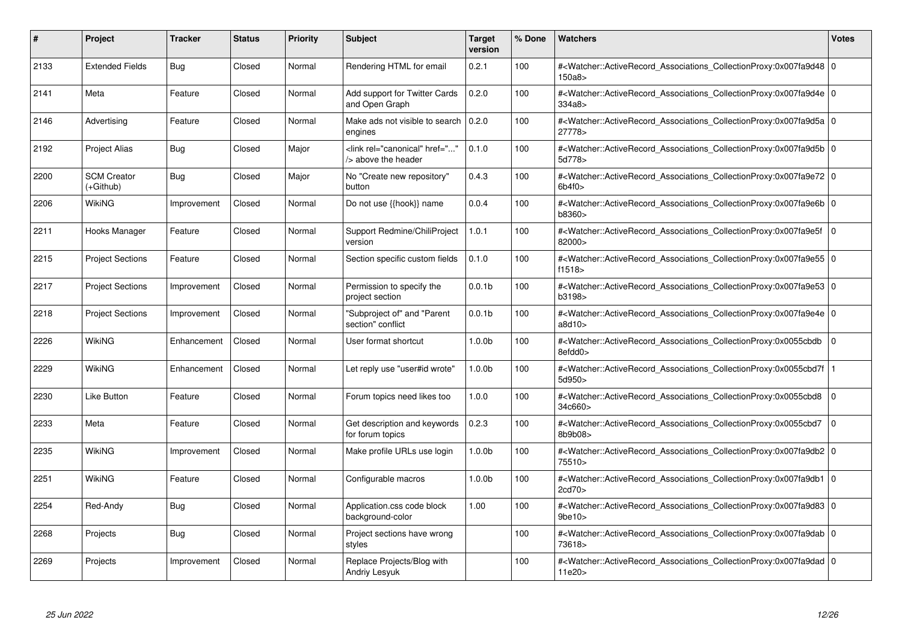| #    | Project                         | <b>Tracker</b> | <b>Status</b> | <b>Priority</b> | <b>Subject</b>                                             | <b>Target</b><br>version | % Done | Watchers                                                                                                                                                  | <b>Votes</b>   |
|------|---------------------------------|----------------|---------------|-----------------|------------------------------------------------------------|--------------------------|--------|-----------------------------------------------------------------------------------------------------------------------------------------------------------|----------------|
| 2133 | <b>Extended Fields</b>          | <b>Bug</b>     | Closed        | Normal          | Rendering HTML for email                                   | 0.2.1                    | 100    | # <watcher::activerecord_associations_collectionproxy:0x007fa9d48 0<br=""  ="">150a8&gt;</watcher::activerecord_associations_collectionproxy:0x007fa9d48> |                |
| 2141 | Meta                            | Feature        | Closed        | Normal          | Add support for Twitter Cards<br>and Open Graph            | 0.2.0                    | 100    | # <watcher::activerecord 0<br="" associations="" collectionproxy:0x007fa9d4e=""  ="">334a8&gt;</watcher::activerecord>                                    |                |
| 2146 | Advertising                     | Feature        | Closed        | Normal          | Make ads not visible to search<br>engines                  | 0.2.0                    | 100    | # <watcher::activerecord 0<br="" associations="" collectionproxy:0x007fa9d5a=""  ="">27778&gt;</watcher::activerecord>                                    |                |
| 2192 | Project Alias                   | <b>Bug</b>     | Closed        | Major           | <link <br="" href="" rel="canonical"/> /> above the header | 0.1.0                    | 100    | # <watcher::activerecord_associations_collectionproxy:0x007fa9d5b 0<br=""  ="">5d778&gt;</watcher::activerecord_associations_collectionproxy:0x007fa9d5b> |                |
| 2200 | <b>SCM Creator</b><br>(+Github) | Bug            | Closed        | Major           | No "Create new repository"<br>button                       | 0.4.3                    | 100    | # <watcher::activerecord_associations_collectionproxy:0x007fa9e72 0<br="">6b4f0</watcher::activerecord_associations_collectionproxy:0x007fa9e72>          |                |
| 2206 | WikiNG                          | Improvement    | Closed        | Normal          | Do not use {{hook}} name                                   | 0.0.4                    | 100    | # <watcher::activerecord 0<br="" associations="" collectionproxy:0x007fa9e6b=""  ="">b8360&gt;</watcher::activerecord>                                    |                |
| 2211 | Hooks Manager                   | Feature        | Closed        | Normal          | Support Redmine/ChiliProject<br>version                    | 1.0.1                    | 100    | # <watcher::activerecord_associations_collectionproxy:0x007fa9e5f 0<br=""  ="">82000&gt;</watcher::activerecord_associations_collectionproxy:0x007fa9e5f> |                |
| 2215 | <b>Project Sections</b>         | Feature        | Closed        | Normal          | Section specific custom fields                             | 0.1.0                    | 100    | # <watcher::activerecord_associations_collectionproxy:0x007fa9e55 0<br=""  ="">f1518</watcher::activerecord_associations_collectionproxy:0x007fa9e55>     |                |
| 2217 | <b>Project Sections</b>         | Improvement    | Closed        | Normal          | Permission to specify the<br>project section               | 0.0.1 <sub>b</sub>       | 100    | # <watcher::activerecord 0<br="" associations="" collectionproxy:0x007fa9e53=""  ="">b3198&gt;</watcher::activerecord>                                    |                |
| 2218 | <b>Project Sections</b>         | Improvement    | Closed        | Normal          | 'Subproject of" and "Parent<br>section" conflict           | 0.0.1 <sub>b</sub>       | 100    | # <watcher::activerecord 0<br="" associations="" collectionproxy:0x007fa9e4e=""  ="">a8d10&gt;</watcher::activerecord>                                    |                |
| 2226 | WikiNG                          | Enhancement    | Closed        | Normal          | User format shortcut                                       | 1.0.0 <sub>b</sub>       | 100    | # <watcher::activerecord_associations_collectionproxy:0x0055cbdb<br>8efdd0&gt;</watcher::activerecord_associations_collectionproxy:0x0055cbdb<br>         | $\overline{0}$ |
| 2229 | WikiNG                          | Enhancement    | Closed        | Normal          | Let reply use "user#id wrote"                              | 1.0.0 <sub>b</sub>       | 100    | # <watcher::activerecord_associations_collectionproxy:0x0055cbd7f  <br="">5d950&gt;</watcher::activerecord_associations_collectionproxy:0x0055cbd7f>      |                |
| 2230 | Like Button                     | Feature        | Closed        | Normal          | Forum topics need likes too                                | 1.0.0                    | 100    | # <watcher::activerecord associations="" collectionproxy:0x0055cbd8<br="">34c660&gt;</watcher::activerecord>                                              | $\overline{0}$ |
| 2233 | Meta                            | Feature        | Closed        | Normal          | Get description and keywords<br>for forum topics           | 0.2.3                    | 100    | # <watcher::activerecord_associations_collectionproxy:0x0055cbd7<br>8b9b08&gt;</watcher::activerecord_associations_collectionproxy:0x0055cbd7<br>         | $\overline{0}$ |
| 2235 | WikiNG                          | Improvement    | Closed        | Normal          | Make profile URLs use login                                | 1.0.0 <sub>b</sub>       | 100    | # <watcher::activerecord_associations_collectionproxy:0x007fa9db2 0<br=""  ="">75510&gt;</watcher::activerecord_associations_collectionproxy:0x007fa9db2> |                |
| 2251 | WikiNG                          | Feature        | Closed        | Normal          | Configurable macros                                        | 1.0.0 <sub>b</sub>       | 100    | # <watcher::activerecord 0<br="" associations="" collectionproxy:0x007fa9db1=""  ="">2cd70&gt;</watcher::activerecord>                                    |                |
| 2254 | Red-Andy                        | <b>Bug</b>     | Closed        | Normal          | Application.css code block<br>background-color             | 1.00                     | 100    | # <watcher::activerecord 0<br="" associations="" collectionproxy:0x007fa9d83=""  ="">9be10</watcher::activerecord>                                        |                |
| 2268 | Projects                        | <b>Bug</b>     | Closed        | Normal          | Project sections have wrong<br>styles                      |                          | 100    | # <watcher::activerecord_associations_collectionproxy:0x007fa9dab 0<br=""  ="">73618&gt;</watcher::activerecord_associations_collectionproxy:0x007fa9dab> |                |
| 2269 | Projects                        | Improvement    | Closed        | Normal          | Replace Projects/Blog with<br>Andriy Lesyuk                |                          | 100    | # <watcher::activerecord_associations_collectionproxy:0x007fa9dad 0<br=""  ="">11e20&gt;</watcher::activerecord_associations_collectionproxy:0x007fa9dad> |                |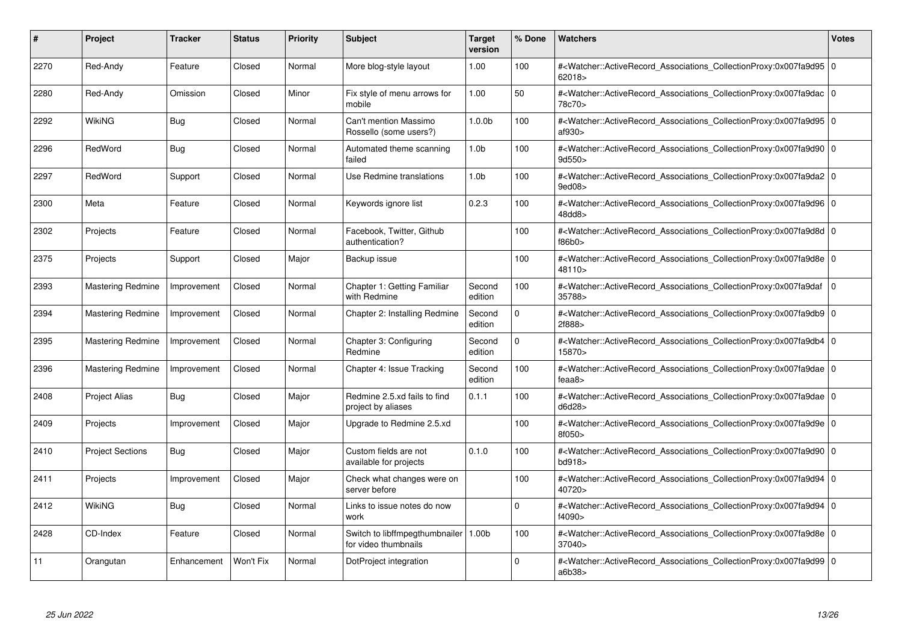| #    | Project                  | <b>Tracker</b> | <b>Status</b> | <b>Priority</b> | <b>Subject</b>                                                 | <b>Target</b><br>version | % Done   | <b>Watchers</b>                                                                                                                                           | <b>Votes</b> |
|------|--------------------------|----------------|---------------|-----------------|----------------------------------------------------------------|--------------------------|----------|-----------------------------------------------------------------------------------------------------------------------------------------------------------|--------------|
| 2270 | Red-Andy                 | Feature        | Closed        | Normal          | More blog-style layout                                         | 1.00                     | 100      | # <watcher::activerecord 0<br="" associations="" collectionproxy:0x007fa9d95=""  ="">62018&gt;</watcher::activerecord>                                    |              |
| 2280 | Red-Andy                 | Omission       | Closed        | Minor           | Fix style of menu arrows for<br>mobile                         | 1.00                     | 50       | # <watcher::activerecord 0<br="" associations="" collectionproxy:0x007fa9dac=""  ="">78c70&gt;</watcher::activerecord>                                    |              |
| 2292 | <b>WikiNG</b>            | <b>Bug</b>     | Closed        | Normal          | Can't mention Massimo<br>Rossello (some users?)                | 1.0.0 <sub>b</sub>       | 100      | # <watcher::activerecord_associations_collectionproxy:0x007fa9d95 0<br=""  ="">af930&gt;</watcher::activerecord_associations_collectionproxy:0x007fa9d95> |              |
| 2296 | RedWord                  | <b>Bug</b>     | Closed        | Normal          | Automated theme scanning<br>failed                             | 1.0 <sub>b</sub>         | 100      | # <watcher::activerecord_associations_collectionproxy:0x007fa9d90 0<br=""  ="">9d550&gt;</watcher::activerecord_associations_collectionproxy:0x007fa9d90> |              |
| 2297 | RedWord                  | Support        | Closed        | Normal          | Use Redmine translations                                       | 1.0 <sub>b</sub>         | 100      | # <watcher::activerecord_associations_collectionproxy:0x007fa9da2 0<br="">9ed08&gt;</watcher::activerecord_associations_collectionproxy:0x007fa9da2>      |              |
| 2300 | Meta                     | Feature        | Closed        | Normal          | Keywords ignore list                                           | 0.2.3                    | 100      | # <watcher::activerecord_associations_collectionproxy:0x007fa9d96 0<br=""  ="">48dd8&gt;</watcher::activerecord_associations_collectionproxy:0x007fa9d96> |              |
| 2302 | Projects                 | Feature        | Closed        | Normal          | Facebook, Twitter, Github<br>authentication?                   |                          | 100      | # <watcher::activerecord 0<br="" associations="" collectionproxy:0x007fa9d8d=""  ="">f86b0&gt;</watcher::activerecord>                                    |              |
| 2375 | Projects                 | Support        | Closed        | Major           | Backup issue                                                   |                          | 100      | # <watcher::activerecord_associations_collectionproxy:0x007fa9d8e 0<br=""  ="">48110&gt;</watcher::activerecord_associations_collectionproxy:0x007fa9d8e> |              |
| 2393 | <b>Mastering Redmine</b> | Improvement    | Closed        | Normal          | Chapter 1: Getting Familiar<br>with Redmine                    | Second<br>edition        | 100      | # <watcher::activerecord_associations_collectionproxy:0x007fa9daf<br>35788&gt;</watcher::activerecord_associations_collectionproxy:0x007fa9daf<br>        | l 0          |
| 2394 | <b>Mastering Redmine</b> | Improvement    | Closed        | Normal          | Chapter 2: Installing Redmine                                  | Second<br>edition        | $\Omega$ | # <watcher::activerecord 0<br="" associations="" collectionproxy:0x007fa9db9=""  ="">2f888&gt;</watcher::activerecord>                                    |              |
| 2395 | <b>Mastering Redmine</b> | Improvement    | Closed        | Normal          | Chapter 3: Configuring<br>Redmine                              | Second<br>edition        | $\Omega$ | # <watcher::activerecord_associations_collectionproxy:0x007fa9db4 0<br=""  ="">15870&gt;</watcher::activerecord_associations_collectionproxy:0x007fa9db4> |              |
| 2396 | <b>Mastering Redmine</b> | Improvement    | Closed        | Normal          | Chapter 4: Issue Tracking                                      | Second<br>edition        | 100      | # <watcher::activerecord_associations_collectionproxy:0x007fa9dae 0<br=""  ="">feaa8&gt;</watcher::activerecord_associations_collectionproxy:0x007fa9dae> |              |
| 2408 | <b>Project Alias</b>     | <b>Bug</b>     | Closed        | Major           | Redmine 2.5.xd fails to find<br>project by aliases             | 0.1.1                    | 100      | # <watcher::activerecord_associations_collectionproxy:0x007fa9dae 0<br="">d6d28&gt;</watcher::activerecord_associations_collectionproxy:0x007fa9dae>      |              |
| 2409 | Projects                 | Improvement    | Closed        | Major           | Upgrade to Redmine 2.5.xd                                      |                          | 100      | # <watcher::activerecord_associations_collectionproxy:0x007fa9d9e 0<br=""  ="">8f050&gt;</watcher::activerecord_associations_collectionproxy:0x007fa9d9e> |              |
| 2410 | <b>Project Sections</b>  | <b>Bug</b>     | Closed        | Major           | Custom fields are not<br>available for projects                | 0.1.0                    | 100      | # <watcher::activerecord 0<br="" associations="" collectionproxy:0x007fa9d90=""  ="">bd918&gt;</watcher::activerecord>                                    |              |
| 2411 | Projects                 | Improvement    | Closed        | Major           | Check what changes were on<br>server before                    |                          | 100      | # <watcher::activerecord_associations_collectionproxy:0x007fa9d94 0<br=""  ="">40720&gt;</watcher::activerecord_associations_collectionproxy:0x007fa9d94> |              |
| 2412 | <b>WikiNG</b>            | <b>Bug</b>     | Closed        | Normal          | Links to issue notes do now<br>work                            |                          | $\Omega$ | # <watcher::activerecord_associations_collectionproxy:0x007fa9d94 0<br=""  ="">f4090&gt;</watcher::activerecord_associations_collectionproxy:0x007fa9d94> |              |
| 2428 | CD-Index                 | Feature        | Closed        | Normal          | Switch to libffmpegthumbnailer   1.00b<br>for video thumbnails |                          | 100      | # <watcher::activerecord 0<br="" associations="" collectionproxy:0x007fa9d8e=""  ="">37040&gt;</watcher::activerecord>                                    |              |
| 11   | Orangutan                | Enhancement    | Won't Fix     | Normal          | DotProject integration                                         |                          | $\Omega$ | # <watcher::activerecord_associations_collectionproxy:0x007fa9d99 0<br=""  ="">a6b38&gt;</watcher::activerecord_associations_collectionproxy:0x007fa9d99> |              |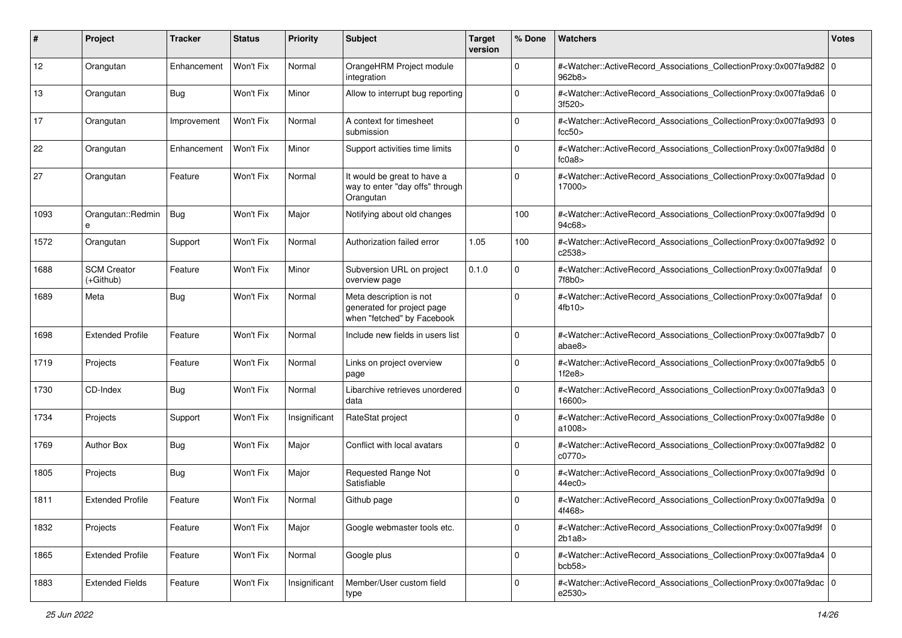| #    | Project                         | <b>Tracker</b> | <b>Status</b> | <b>Priority</b> | Subject                                                                             | <b>Target</b><br>version | % Done      | Watchers                                                                                                                                                  | <b>Votes</b> |
|------|---------------------------------|----------------|---------------|-----------------|-------------------------------------------------------------------------------------|--------------------------|-------------|-----------------------------------------------------------------------------------------------------------------------------------------------------------|--------------|
| 12   | Orangutan                       | Enhancement    | Won't Fix     | Normal          | OrangeHRM Project module<br>integration                                             |                          | $\mathbf 0$ | # <watcher::activerecord_associations_collectionproxy:0x007fa9d82 0<br="">962b8&gt;</watcher::activerecord_associations_collectionproxy:0x007fa9d82>      |              |
| 13   | Orangutan                       | <b>Bug</b>     | Won't Fix     | Minor           | Allow to interrupt bug reporting                                                    |                          | $\mathbf 0$ | # <watcher::activerecord_associations_collectionproxy:0x007fa9da6 0<br="">3f520&gt;</watcher::activerecord_associations_collectionproxy:0x007fa9da6>      |              |
| 17   | Orangutan                       | Improvement    | Won't Fix     | Normal          | A context for timesheet<br>submission                                               |                          | $\Omega$    | # <watcher::activerecord_associations_collectionproxy:0x007fa9d93 0<br="">fcc50&gt;</watcher::activerecord_associations_collectionproxy:0x007fa9d93>      |              |
| 22   | Orangutan                       | Enhancement    | Won't Fix     | Minor           | Support activities time limits                                                      |                          | $\mathbf 0$ | # <watcher::activerecord_associations_collectionproxy:0x007fa9d8d 0<br="">fc0a8</watcher::activerecord_associations_collectionproxy:0x007fa9d8d>          |              |
| 27   | Orangutan                       | Feature        | Won't Fix     | Normal          | It would be great to have a<br>way to enter "day offs" through<br>Orangutan         |                          | $\mathbf 0$ | # <watcher::activerecord_associations_collectionproxy:0x007fa9dad 0<br="">17000&gt;</watcher::activerecord_associations_collectionproxy:0x007fa9dad>      |              |
| 1093 | Orangutan::Redmin<br>e          | <b>Bug</b>     | Won't Fix     | Major           | Notifying about old changes                                                         |                          | 100         | # <watcher::activerecord_associations_collectionproxy:0x007fa9d9d 0<br="">94c68&gt;</watcher::activerecord_associations_collectionproxy:0x007fa9d9d>      |              |
| 1572 | Orangutan                       | Support        | Won't Fix     | Normal          | Authorization failed error                                                          | 1.05                     | 100         | # <watcher::activerecord_associations_collectionproxy:0x007fa9d92 0<br="">c2538&gt;</watcher::activerecord_associations_collectionproxy:0x007fa9d92>      |              |
| 1688 | <b>SCM Creator</b><br>(+Github) | Feature        | Won't Fix     | Minor           | Subversion URL on project<br>overview page                                          | 0.1.0                    | $\mathbf 0$ | # <watcher::activerecord_associations_collectionproxy:0x007fa9daf 0<br="">7f8b0&gt;</watcher::activerecord_associations_collectionproxy:0x007fa9daf>      |              |
| 1689 | Meta                            | <b>Bug</b>     | Won't Fix     | Normal          | Meta description is not<br>generated for project page<br>when "fetched" by Facebook |                          | $\Omega$    | # <watcher::activerecord_associations_collectionproxy:0x007fa9daf 0<br=""  ="">4fb10&gt;</watcher::activerecord_associations_collectionproxy:0x007fa9daf> |              |
| 1698 | <b>Extended Profile</b>         | Feature        | Won't Fix     | Normal          | Include new fields in users list                                                    |                          | $\mathbf 0$ | # <watcher::activerecord_associations_collectionproxy:0x007fa9db7 0<br="">abae8&gt;</watcher::activerecord_associations_collectionproxy:0x007fa9db7>      |              |
| 1719 | Projects                        | Feature        | Won't Fix     | Normal          | Links on project overview<br>page                                                   |                          | $\mathbf 0$ | # <watcher::activerecord_associations_collectionproxy:0x007fa9db5 0<br="">1f2e8</watcher::activerecord_associations_collectionproxy:0x007fa9db5>          |              |
| 1730 | CD-Index                        | <b>Bug</b>     | Won't Fix     | Normal          | Libarchive retrieves unordered<br>data                                              |                          | $\mathbf 0$ | # <watcher::activerecord_associations_collectionproxy:0x007fa9da3 0<br="">16600&gt;</watcher::activerecord_associations_collectionproxy:0x007fa9da3>      |              |
| 1734 | Projects                        | Support        | Won't Fix     | Insignificant   | RateStat project                                                                    |                          | $\mathbf 0$ | # <watcher::activerecord_associations_collectionproxy:0x007fa9d8e 0<br="">a1008&gt;</watcher::activerecord_associations_collectionproxy:0x007fa9d8e>      |              |
| 1769 | <b>Author Box</b>               | <b>Bug</b>     | Won't Fix     | Major           | Conflict with local avatars                                                         |                          | $\Omega$    | # <watcher::activerecord_associations_collectionproxy:0x007fa9d82 0<br="">c0770&gt;</watcher::activerecord_associations_collectionproxy:0x007fa9d82>      |              |
| 1805 | Projects                        | <b>Bug</b>     | Won't Fix     | Major           | Requested Range Not<br>Satisfiable                                                  |                          | $\Omega$    | # <watcher::activerecord_associations_collectionproxy:0x007fa9d9d 0<br="">44ec0&gt;</watcher::activerecord_associations_collectionproxy:0x007fa9d9d>      |              |
| 1811 | <b>Extended Profile</b>         | Feature        | Won't Fix     | Normal          | Github page                                                                         |                          | $\Omega$    | # <watcher::activerecord_associations_collectionproxy:0x007fa9d9a 0<br="">4f468&gt;</watcher::activerecord_associations_collectionproxy:0x007fa9d9a>      |              |
| 1832 | Projects                        | Feature        | Won't Fix     | Major           | Google webmaster tools etc.                                                         |                          | $\mathbf 0$ | # <watcher::activerecord_associations_collectionproxy:0x007fa9d9f 0<br=""  ="">2b1a8</watcher::activerecord_associations_collectionproxy:0x007fa9d9f>     |              |
| 1865 | <b>Extended Profile</b>         | Feature        | Won't Fix     | Normal          | Google plus                                                                         |                          | $\mathbf 0$ | # <watcher::activerecord 0<br="" associations="" collectionproxy:0x007fa9da4="">bcb58</watcher::activerecord>                                             |              |
| 1883 | <b>Extended Fields</b>          | Feature        | Won't Fix     | Insignificant   | Member/User custom field<br>type                                                    |                          | $\mathbf 0$ | # <watcher::activerecord_associations_collectionproxy:0x007fa9dac 0<br=""  ="">e2530&gt;</watcher::activerecord_associations_collectionproxy:0x007fa9dac> |              |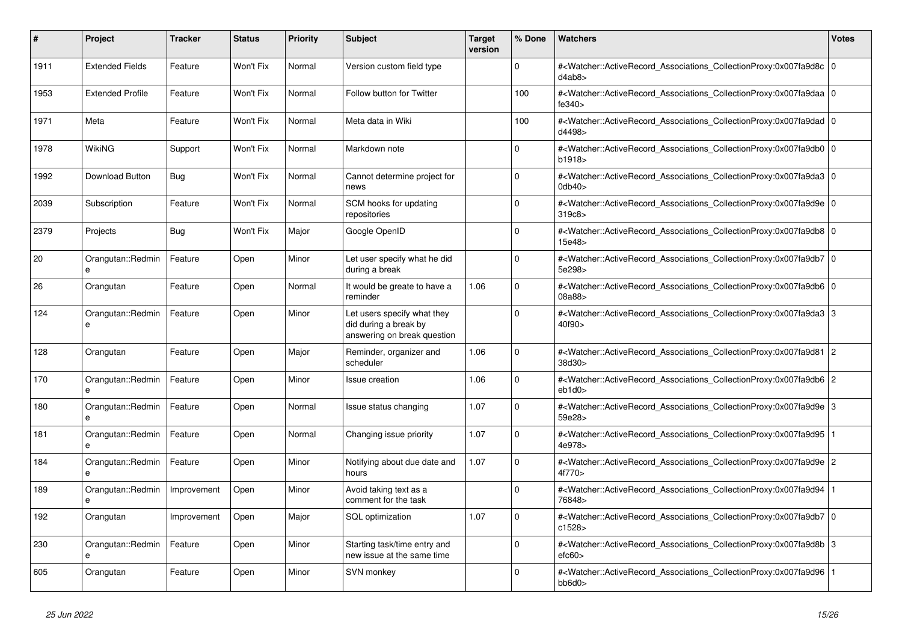| #    | Project                           | <b>Tracker</b> | <b>Status</b> | <b>Priority</b> | <b>Subject</b>                                                                      | Target<br>version | % Done      | Watchers                                                                                                                                                  | <b>Votes</b> |
|------|-----------------------------------|----------------|---------------|-----------------|-------------------------------------------------------------------------------------|-------------------|-------------|-----------------------------------------------------------------------------------------------------------------------------------------------------------|--------------|
| 1911 | <b>Extended Fields</b>            | Feature        | Won't Fix     | Normal          | Version custom field type                                                           |                   | $\Omega$    | # <watcher::activerecord 0<br="" associations="" collectionproxy:0x007fa9d8c=""  ="">d4ab8&gt;</watcher::activerecord>                                    |              |
| 1953 | <b>Extended Profile</b>           | Feature        | Won't Fix     | Normal          | Follow button for Twitter                                                           |                   | 100         | # <watcher::activerecord 0<br="" associations="" collectionproxy:0x007fa9daa=""  ="">fe340&gt;</watcher::activerecord>                                    |              |
| 1971 | Meta                              | Feature        | Won't Fix     | Normal          | Meta data in Wiki                                                                   |                   | 100         | # <watcher::activerecord_associations_collectionproxy:0x007fa9dad 0<br=""  ="">d4498&gt;</watcher::activerecord_associations_collectionproxy:0x007fa9dad> |              |
| 1978 | WikiNG                            | Support        | Won't Fix     | Normal          | Markdown note                                                                       |                   | $\Omega$    | # <watcher::activerecord 0<br="" associations="" collectionproxy:0x007fa9db0=""  ="">b1918</watcher::activerecord>                                        |              |
| 1992 | Download Button                   | Bug            | Won't Fix     | Normal          | Cannot determine project for<br>news                                                |                   | $\Omega$    | # <watcher::activerecord_associations_collectionproxy:0x007fa9da3 0<br="">0db40</watcher::activerecord_associations_collectionproxy:0x007fa9da3>          |              |
| 2039 | Subscription                      | Feature        | Won't Fix     | Normal          | SCM hooks for updating<br>repositories                                              |                   | $\Omega$    | # <watcher::activerecord 0<br="" associations="" collectionproxy:0x007fa9d9e=""  ="">319c8&gt;</watcher::activerecord>                                    |              |
| 2379 | Projects                          | Bug            | Won't Fix     | Major           | Google OpenID                                                                       |                   | $\Omega$    | # <watcher::activerecord_associations_collectionproxy:0x007fa9db8 0<br=""  ="">15e48&gt;</watcher::activerecord_associations_collectionproxy:0x007fa9db8> |              |
| 20   | Orangutan::Redmin<br>e            | Feature        | Open          | Minor           | Let user specify what he did<br>during a break                                      |                   | $\Omega$    | # <watcher::activerecord 0<br="" associations="" collectionproxy:0x007fa9db7=""  ="">5e298&gt;</watcher::activerecord>                                    |              |
| 26   | Orangutan                         | Feature        | Open          | Normal          | It would be greate to have a<br>reminder                                            | 1.06              | $\Omega$    | # <watcher::activerecord_associations_collectionproxy:0x007fa9db6 0<br=""  ="">08a88&gt;</watcher::activerecord_associations_collectionproxy:0x007fa9db6> |              |
| 124  | Orangutan::Redmin<br>$\mathbf{a}$ | Feature        | Open          | Minor           | Let users specify what they<br>did during a break by<br>answering on break question |                   | $\Omega$    | # <watcher::activerecord_associations_collectionproxy:0x007fa9da3 3<br=""  ="">40f90&gt;</watcher::activerecord_associations_collectionproxy:0x007fa9da3> |              |
| 128  | Orangutan                         | Feature        | Open          | Major           | Reminder, organizer and<br>scheduler                                                | 1.06              | $\Omega$    | # <watcher::activerecord_associations_collectionproxy:0x007fa9d81 2<br="">38d30&gt;</watcher::activerecord_associations_collectionproxy:0x007fa9d81>      |              |
| 170  | Orangutan::Redmin<br>e            | Feature        | Open          | Minor           | Issue creation                                                                      | 1.06              | $\mathbf 0$ | # <watcher::activerecord_associations_collectionproxy:0x007fa9db6 2<br="">eb1d0</watcher::activerecord_associations_collectionproxy:0x007fa9db6>          |              |
| 180  | Orangutan::Redmin<br>e            | Feature        | Open          | Normal          | Issue status changing                                                               | 1.07              | $\Omega$    | # <watcher::activerecord_associations_collectionproxy:0x007fa9d9e 3<br="">59e28&gt;</watcher::activerecord_associations_collectionproxy:0x007fa9d9e>      |              |
| 181  | Orangutan::Redmin<br>e            | Feature        | Open          | Normal          | Changing issue priority                                                             | 1.07              | $\Omega$    | # <watcher::activerecord 1<br="" associations="" collectionproxy:0x007fa9d95=""  ="">4e978&gt;</watcher::activerecord>                                    |              |
| 184  | Orangutan::Redmin<br>e            | Feature        | Open          | Minor           | Notifying about due date and<br>hours                                               | 1.07              | $\Omega$    | # <watcher::activerecord_associations_collectionproxy:0x007fa9d9e 2<br="">4f770&gt;</watcher::activerecord_associations_collectionproxy:0x007fa9d9e>      |              |
| 189  | Orangutan::Redmin<br>e            | Improvement    | Open          | Minor           | Avoid taking text as a<br>comment for the task                                      |                   | $\mathbf 0$ | # <watcher::activerecord 1<br="" associations="" collectionproxy:0x007fa9d94=""  ="">76848&gt;</watcher::activerecord>                                    |              |
| 192  | Orangutan                         | Improvement    | Open          | Major           | SQL optimization                                                                    | 1.07              | $\Omega$    | # <watcher::activerecord_associations_collectionproxy:0x007fa9db7 0<br=""  ="">c1528</watcher::activerecord_associations_collectionproxy:0x007fa9db7>     |              |
| 230  | Orangutan::Redmin<br>e            | Feature        | Open          | Minor           | Starting task/time entry and<br>new issue at the same time                          |                   | $\Omega$    | # <watcher::activerecord_associations_collectionproxy:0x007fa9d8b 3<br="">efc60</watcher::activerecord_associations_collectionproxy:0x007fa9d8b>          |              |
| 605  | Orangutan                         | Feature        | Open          | Minor           | SVN monkey                                                                          |                   | $\Omega$    | # <watcher::activerecord_associations_collectionproxy:0x007fa9d96 1<br=""  ="">bb6d0&gt;</watcher::activerecord_associations_collectionproxy:0x007fa9d96> |              |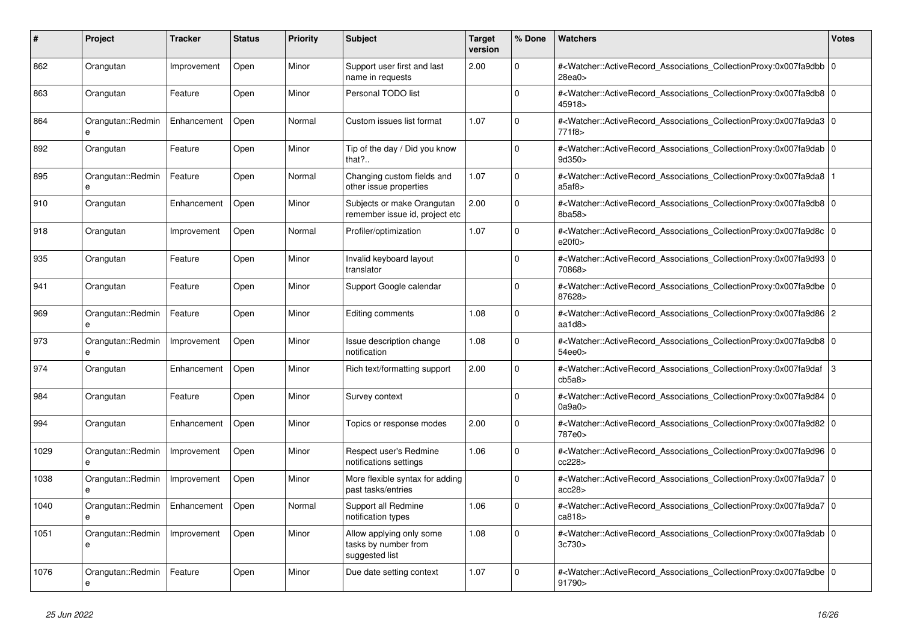| #    | <b>Project</b>                    | <b>Tracker</b> | <b>Status</b> | <b>Priority</b> | <b>Subject</b>                                                     | Target<br>version | % Done      | <b>Watchers</b>                                                                                                                                                                | <b>Votes</b> |
|------|-----------------------------------|----------------|---------------|-----------------|--------------------------------------------------------------------|-------------------|-------------|--------------------------------------------------------------------------------------------------------------------------------------------------------------------------------|--------------|
| 862  | Orangutan                         | Improvement    | Open          | Minor           | Support user first and last<br>name in requests                    | 2.00              | $\mathbf 0$ | # <watcher::activerecord_associations_collectionproxy:0x007fa9dbb 0<br=""  ="">28ea0&gt;</watcher::activerecord_associations_collectionproxy:0x007fa9dbb>                      |              |
| 863  | Orangutan                         | Feature        | Open          | Minor           | Personal TODO list                                                 |                   | $\Omega$    | # <watcher::activerecord_associations_collectionproxy:0x007fa9db8 0<br="">45918&gt;</watcher::activerecord_associations_collectionproxy:0x007fa9db8>                           |              |
| 864  | Orangutan::Redmin<br>$\mathbf{a}$ | Enhancement    | Open          | Normal          | Custom issues list format                                          | 1.07              | $\Omega$    | # <watcher::activerecord 0<br="" associations="" collectionproxy:0x007fa9da3=""  ="">771f8&gt;</watcher::activerecord>                                                         |              |
| 892  | Orangutan                         | Feature        | Open          | Minor           | Tip of the day / Did you know<br>that?                             |                   | $\Omega$    | # <watcher::activerecord_associations_collectionproxy:0x007fa9dab 0<br=""  ="">9d350</watcher::activerecord_associations_collectionproxy:0x007fa9dab>                          |              |
| 895  | Orangutan::Redmin<br>e            | Feature        | Open          | Normal          | Changing custom fields and<br>other issue properties               | 1.07              | $\Omega$    | # <watcher::activerecord_associations_collectionproxy:0x007fa9da8 1<br=""  ="">a5af8&gt;</watcher::activerecord_associations_collectionproxy:0x007fa9da8>                      |              |
| 910  | Orangutan                         | Enhancement    | Open          | Minor           | Subjects or make Orangutan<br>remember issue id, project etc       | 2.00              | $\mathbf 0$ | # <watcher::activerecord 0<br="" associations="" collectionproxy:0x007fa9db8=""  ="">8ba58&gt;</watcher::activerecord>                                                         |              |
| 918  | Orangutan                         | Improvement    | Open          | Normal          | Profiler/optimization                                              | 1.07              | $\Omega$    | # <watcher::activerecord_associations_collectionproxy:0x007fa9d8c 0<br="">e20f0&gt;</watcher::activerecord_associations_collectionproxy:0x007fa9d8c>                           |              |
| 935  | Orangutan                         | Feature        | Open          | Minor           | Invalid keyboard layout<br>translator                              |                   | $\Omega$    | # <watcher::activerecord_associations_collectionproxy:0x007fa9d93 0<br=""  ="">70868&gt;</watcher::activerecord_associations_collectionproxy:0x007fa9d93>                      |              |
| 941  | Orangutan                         | Feature        | Open          | Minor           | Support Google calendar                                            |                   | $\mathbf 0$ | # <watcher::activerecord_associations_collectionproxy:0x007fa9dbe 0<br=""  ="">87628&gt;</watcher::activerecord_associations_collectionproxy:0x007fa9dbe>                      |              |
| 969  | Orangutan::Redmin                 | Feature        | Open          | Minor           | Editing comments                                                   | 1.08              | $\mathbf 0$ | # <watcher::activerecord_associations_collectionproxy:0x007fa9d86 2<br=""><math>a</math>ad<math>d</math>8&gt;</watcher::activerecord_associations_collectionproxy:0x007fa9d86> |              |
| 973  | Orangutan::Redmin<br>e            | Improvement    | Open          | Minor           | Issue description change<br>notification                           | 1.08              | $\Omega$    | # <watcher::activerecord_associations_collectionproxy:0x007fa9db8 0<br="">54ee0&gt;</watcher::activerecord_associations_collectionproxy:0x007fa9db8>                           |              |
| 974  | Orangutan                         | Enhancement    | Open          | Minor           | Rich text/formatting support                                       | 2.00              | $\Omega$    | # <watcher::activerecord associations="" collectionproxy:0x007fa9daf<br="">cb5a8</watcher::activerecord>                                                                       | lз           |
| 984  | Orangutan                         | Feature        | Open          | Minor           | Survey context                                                     |                   | $\Omega$    | # <watcher::activerecord_associations_collectionproxy:0x007fa9d84 0<br=""  ="">0a9a0&gt;</watcher::activerecord_associations_collectionproxy:0x007fa9d84>                      |              |
| 994  | Orangutan                         | Enhancement    | Open          | Minor           | Topics or response modes                                           | 2.00              | $\Omega$    | # <watcher::activerecord_associations_collectionproxy:0x007fa9d82 0<br=""  ="">787e0&gt;</watcher::activerecord_associations_collectionproxy:0x007fa9d82>                      |              |
| 1029 | Orangutan::Redmin<br>e            | Improvement    | Open          | Minor           | Respect user's Redmine<br>notifications settings                   | 1.06              | $\Omega$    | # <watcher::activerecord_associations_collectionproxy:0x007fa9d96 0<br=""  ="">cc228&gt;</watcher::activerecord_associations_collectionproxy:0x007fa9d96>                      |              |
| 1038 | Orangutan::Redmin<br>e            | Improvement    | Open          | Minor           | More flexible syntax for adding<br>past tasks/entries              |                   | $\mathbf 0$ | # <watcher::activerecord_associations_collectionproxy:0x007fa9da7 0<br=""  ="">acc28</watcher::activerecord_associations_collectionproxy:0x007fa9da7>                          |              |
| 1040 | Orangutan::Redmin<br>e            | Enhancement    | Open          | Normal          | Support all Redmine<br>notification types                          | 1.06              | $\Omega$    | # <watcher::activerecord_associations_collectionproxy:0x007fa9da7 0<br=""  ="">ca818</watcher::activerecord_associations_collectionproxy:0x007fa9da7>                          |              |
| 1051 | Orangutan::Redmin<br>e            | Improvement    | Open          | Minor           | Allow applying only some<br>tasks by number from<br>suggested list | 1.08              | $\Omega$    | # <watcher::activerecord_associations_collectionproxy:0x007fa9dab 0<br=""  ="">3c730&gt;</watcher::activerecord_associations_collectionproxy:0x007fa9dab>                      |              |
| 1076 | Orangutan::Redmin<br>e            | Feature        | Open          | Minor           | Due date setting context                                           | 1.07              | $\Omega$    | # <watcher::activerecord_associations_collectionproxy:0x007fa9dbe 0<br=""  ="">91790&gt;</watcher::activerecord_associations_collectionproxy:0x007fa9dbe>                      |              |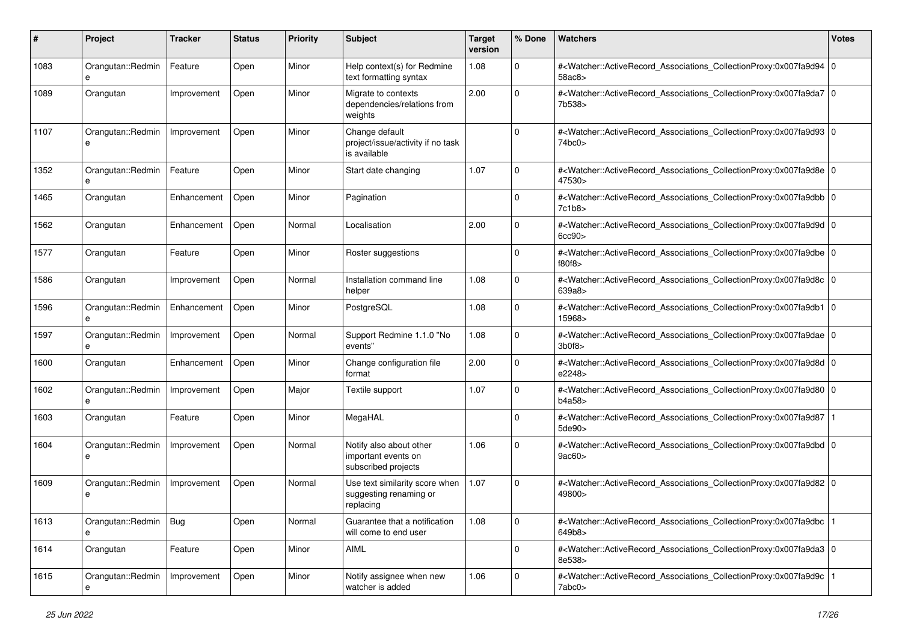| #    | Project                | <b>Tracker</b> | <b>Status</b> | <b>Priority</b> | <b>Subject</b>                                                        | <b>Target</b><br>version | % Done      | <b>Watchers</b>                                                                                                                                           | <b>Votes</b> |
|------|------------------------|----------------|---------------|-----------------|-----------------------------------------------------------------------|--------------------------|-------------|-----------------------------------------------------------------------------------------------------------------------------------------------------------|--------------|
| 1083 | Orangutan::Redmin<br>e | Feature        | Open          | Minor           | Help context(s) for Redmine<br>text formatting syntax                 | 1.08                     | $\mathbf 0$ | # <watcher::activerecord_associations_collectionproxy:0x007fa9d94 0<br="">58ac8&gt;</watcher::activerecord_associations_collectionproxy:0x007fa9d94>      |              |
| 1089 | Orangutan              | Improvement    | Open          | Minor           | Migrate to contexts<br>dependencies/relations from<br>weights         | 2.00                     | $\mathbf 0$ | # <watcher::activerecord_associations_collectionproxy:0x007fa9da7 0<br="">7b538&gt;</watcher::activerecord_associations_collectionproxy:0x007fa9da7>      |              |
| 1107 | Orangutan::Redmin<br>e | Improvement    | Open          | Minor           | Change default<br>project/issue/activity if no task<br>is available   |                          | $\Omega$    | # <watcher::activerecord_associations_collectionproxy:0x007fa9d93 0<br=""  ="">74bc0&gt;</watcher::activerecord_associations_collectionproxy:0x007fa9d93> |              |
| 1352 | Orangutan::Redmin<br>e | Feature        | Open          | Minor           | Start date changing                                                   | 1.07                     | $\Omega$    | # <watcher::activerecord_associations_collectionproxy:0x007fa9d8e 0<br="">47530&gt;</watcher::activerecord_associations_collectionproxy:0x007fa9d8e>      |              |
| 1465 | Orangutan              | Enhancement    | Open          | Minor           | Pagination                                                            |                          | $\Omega$    | # <watcher::activerecord_associations_collectionproxy:0x007fa9dbb 0<br="">7c1b8&gt;</watcher::activerecord_associations_collectionproxy:0x007fa9dbb>      |              |
| 1562 | Orangutan              | Enhancement    | Open          | Normal          | Localisation                                                          | 2.00                     | $\mathbf 0$ | # <watcher::activerecord_associations_collectionproxy:0x007fa9d9d 0<br="">6cc90</watcher::activerecord_associations_collectionproxy:0x007fa9d9d>          |              |
| 1577 | Orangutan              | Feature        | Open          | Minor           | Roster suggestions                                                    |                          | $\mathbf 0$ | # <watcher::activerecord_associations_collectionproxy:0x007fa9dbe 0<br="">f80f8</watcher::activerecord_associations_collectionproxy:0x007fa9dbe>          |              |
| 1586 | Orangutan              | Improvement    | Open          | Normal          | Installation command line<br>helper                                   | 1.08                     | $\Omega$    | # <watcher::activerecord_associations_collectionproxy:0x007fa9d8c 0<br="">639a8&gt;</watcher::activerecord_associations_collectionproxy:0x007fa9d8c>      |              |
| 1596 | Orangutan::Redmin<br>e | Enhancement    | Open          | Minor           | PostgreSQL                                                            | 1.08                     | $\Omega$    | # <watcher::activerecord_associations_collectionproxy:0x007fa9db1 0<br="">15968&gt;</watcher::activerecord_associations_collectionproxy:0x007fa9db1>      |              |
| 1597 | Orangutan::Redmin<br>e | Improvement    | Open          | Normal          | Support Redmine 1.1.0 "No<br>events"                                  | 1.08                     | $\mathbf 0$ | # <watcher::activerecord_associations_collectionproxy:0x007fa9dae 0<br="">3b0f8&gt;</watcher::activerecord_associations_collectionproxy:0x007fa9dae>      |              |
| 1600 | Orangutan              | Enhancement    | Open          | Minor           | Change configuration file<br>format                                   | 2.00                     | $\mathbf 0$ | # <watcher::activerecord_associations_collectionproxy:0x007fa9d8d 0<br="">e2248&gt;</watcher::activerecord_associations_collectionproxy:0x007fa9d8d>      |              |
| 1602 | Orangutan::Redmin<br>e | Improvement    | Open          | Major           | Textile support                                                       | 1.07                     | $\Omega$    | # <watcher::activerecord_associations_collectionproxy:0x007fa9d80 0<br="">b4a58&gt;</watcher::activerecord_associations_collectionproxy:0x007fa9d80>      |              |
| 1603 | Orangutan              | Feature        | Open          | Minor           | MegaHAL                                                               |                          | $\Omega$    | # <watcher::activerecord_associations_collectionproxy:0x007fa9d87<br>5de90&gt;</watcher::activerecord_associations_collectionproxy:0x007fa9d87<br>        |              |
| 1604 | Orangutan::Redmin<br>e | Improvement    | Open          | Normal          | Notify also about other<br>important events on<br>subscribed projects | 1.06                     | $\Omega$    | # <watcher::activerecord_associations_collectionproxy:0x007fa9dbd 0<br="">9ac60&gt;</watcher::activerecord_associations_collectionproxy:0x007fa9dbd>      |              |
| 1609 | Orangutan::Redmin<br>e | Improvement    | Open          | Normal          | Use text similarity score when<br>suggesting renaming or<br>replacing | 1.07                     | $\Omega$    | # <watcher::activerecord_associations_collectionproxy:0x007fa9d82 0<br="">49800&gt;</watcher::activerecord_associations_collectionproxy:0x007fa9d82>      |              |
| 1613 | Orangutan::Redmin<br>e | <b>Bug</b>     | Open          | Normal          | Guarantee that a notification<br>will come to end user                | 1.08                     | $\mathbf 0$ | # <watcher::activerecord associations="" collectionproxy:0x007fa9dbc<br="">649b8&gt;</watcher::activerecord>                                              |              |
| 1614 | Orangutan              | Feature        | Open          | Minor           | AIML                                                                  |                          | $\pmb{0}$   | # <watcher::activerecord_associations_collectionproxy:0x007fa9da3 0<br="">8e538&gt;</watcher::activerecord_associations_collectionproxy:0x007fa9da3>      |              |
| 1615 | Orangutan::Redmin<br>e | Improvement    | Open          | Minor           | Notify assignee when new<br>watcher is added                          | 1.06                     | 0           | # <watcher::activerecord 1<br="" associations="" collectionproxy:0x007fa9d9c=""  ="">7abc0&gt;</watcher::activerecord>                                    |              |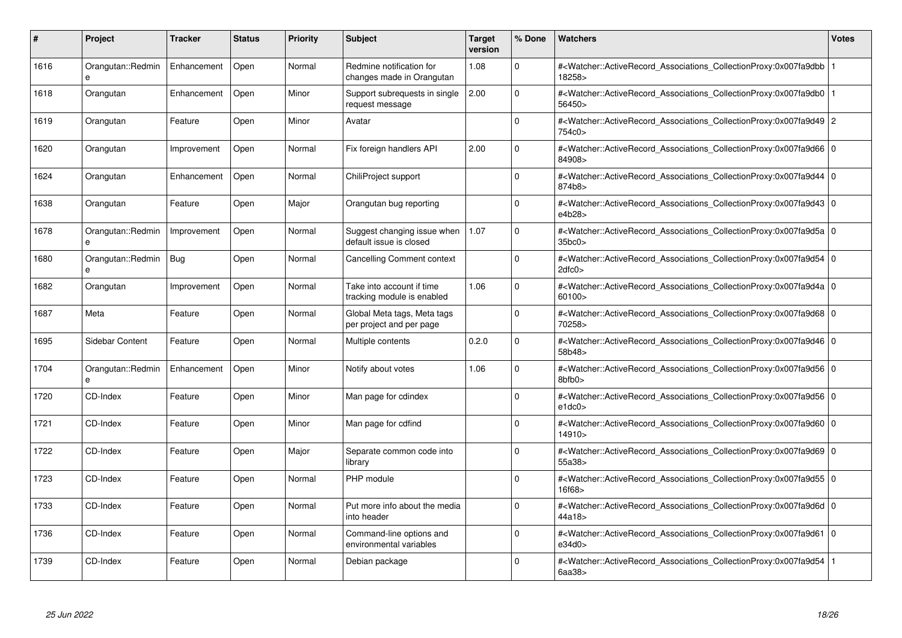| #    | Project                | <b>Tracker</b> | <b>Status</b> | <b>Priority</b> | <b>Subject</b>                                          | <b>Target</b><br>version | % Done   | <b>Watchers</b>                                                                                                                                           | <b>Votes</b> |
|------|------------------------|----------------|---------------|-----------------|---------------------------------------------------------|--------------------------|----------|-----------------------------------------------------------------------------------------------------------------------------------------------------------|--------------|
| 1616 | Orangutan::Redmin      | Enhancement    | Open          | Normal          | Redmine notification for<br>changes made in Orangutan   | 1.08                     | $\Omega$ | # <watcher::activerecord 1<br="" associations="" collectionproxy:0x007fa9dbb=""  ="">18258&gt;</watcher::activerecord>                                    |              |
| 1618 | Orangutan              | Enhancement    | Open          | Minor           | Support subrequests in single<br>request message        | 2.00                     | $\Omega$ | # <watcher::activerecord 1<br="" associations="" collectionproxy:0x007fa9db0=""  ="">56450&gt;</watcher::activerecord>                                    |              |
| 1619 | Orangutan              | Feature        | Open          | Minor           | Avatar                                                  |                          | $\Omega$ | # <watcher::activerecord_associations_collectionproxy:0x007fa9d49 2<br="">754c0&gt;</watcher::activerecord_associations_collectionproxy:0x007fa9d49>      |              |
| 1620 | Orangutan              | Improvement    | Open          | Normal          | Fix foreign handlers API                                | 2.00                     | $\Omega$ | # <watcher::activerecord 0<br="" associations="" collectionproxy:0x007fa9d66=""  ="">84908&gt;</watcher::activerecord>                                    |              |
| 1624 | Orangutan              | Enhancement    | Open          | Normal          | ChiliProject support                                    |                          | $\Omega$ | # <watcher::activerecord_associations_collectionproxy:0x007fa9d44 0<br=""  ="">874b8&gt;</watcher::activerecord_associations_collectionproxy:0x007fa9d44> |              |
| 1638 | Orangutan              | Feature        | Open          | Major           | Orangutan bug reporting                                 |                          | $\Omega$ | # <watcher::activerecord_associations_collectionproxy:0x007fa9d43 0<br=""  ="">e4b28&gt;</watcher::activerecord_associations_collectionproxy:0x007fa9d43> |              |
| 1678 | Orangutan::Redmin      | Improvement    | Open          | Normal          | Suggest changing issue when<br>default issue is closed  | 1.07                     | $\Omega$ | # <watcher::activerecord 0<br="" associations="" collectionproxy:0x007fa9d5a=""  ="">35bc0</watcher::activerecord>                                        |              |
| 1680 | Orangutan::Redmin      | Bug            | Open          | Normal          | <b>Cancelling Comment context</b>                       |                          | $\Omega$ | # <watcher::activerecord_associations_collectionproxy:0x007fa9d54 0<br=""  ="">2dfc0</watcher::activerecord_associations_collectionproxy:0x007fa9d54>     |              |
| 1682 | Orangutan              | Improvement    | Open          | Normal          | Take into account if time<br>tracking module is enabled | 1.06                     | $\Omega$ | # <watcher::activerecord_associations_collectionproxy:0x007fa9d4a 0<br=""  ="">60100&gt;</watcher::activerecord_associations_collectionproxy:0x007fa9d4a> |              |
| 1687 | Meta                   | Feature        | Open          | Normal          | Global Meta tags, Meta tags<br>per project and per page |                          | $\Omega$ | # <watcher::activerecord 0<br="" associations="" collectionproxy:0x007fa9d68=""  ="">70258&gt;</watcher::activerecord>                                    |              |
| 1695 | Sidebar Content        | Feature        | Open          | Normal          | Multiple contents                                       | 0.2.0                    | $\Omega$ | # <watcher::activerecord_associations_collectionproxy:0x007fa9d46 0<br=""  ="">58b48&gt;</watcher::activerecord_associations_collectionproxy:0x007fa9d46> |              |
| 1704 | Orangutan::Redmin<br>e | Enhancement    | Open          | Minor           | Notify about votes                                      | 1.06                     | $\Omega$ | # <watcher::activerecord 0<br="" associations="" collectionproxy:0x007fa9d56=""  ="">8bfb0&gt;</watcher::activerecord>                                    |              |
| 1720 | CD-Index               | Feature        | Open          | Minor           | Man page for cdindex                                    |                          | $\Omega$ | # <watcher::activerecord_associations_collectionproxy:0x007fa9d56 0<br="">e1dc0&gt;</watcher::activerecord_associations_collectionproxy:0x007fa9d56>      |              |
| 1721 | CD-Index               | Feature        | Open          | Minor           | Man page for cdfind                                     |                          | $\Omega$ | # <watcher::activerecord_associations_collectionproxy:0x007fa9d60 0<br=""  ="">14910&gt;</watcher::activerecord_associations_collectionproxy:0x007fa9d60> |              |
| 1722 | CD-Index               | Feature        | Open          | Major           | Separate common code into<br>library                    |                          | $\Omega$ | # <watcher::activerecord_associations_collectionproxy:0x007fa9d69 0<br="">55a38&gt;</watcher::activerecord_associations_collectionproxy:0x007fa9d69>      |              |
| 1723 | CD-Index               | Feature        | Open          | Normal          | PHP module                                              |                          | $\Omega$ | # <watcher::activerecord_associations_collectionproxy:0x007fa9d55 0<br=""  ="">16f68&gt;</watcher::activerecord_associations_collectionproxy:0x007fa9d55> |              |
| 1733 | CD-Index               | Feature        | Open          | Normal          | Put more info about the media<br>into header            |                          | $\Omega$ | # <watcher::activerecord_associations_collectionproxy:0x007fa9d6d 0<br="">44a18&gt;</watcher::activerecord_associations_collectionproxy:0x007fa9d6d>      |              |
| 1736 | CD-Index               | Feature        | Open          | Normal          | Command-line options and<br>environmental variables     |                          | $\Omega$ | # <watcher::activerecord 0<br="" associations="" collectionproxy:0x007fa9d61=""  ="">e34d0&gt;</watcher::activerecord>                                    |              |
| 1739 | CD-Index               | Feature        | Open          | Normal          | Debian package                                          |                          | $\Omega$ | # <watcher::activerecord_associations_collectionproxy:0x007fa9d54 1<br=""  ="">6aa38</watcher::activerecord_associations_collectionproxy:0x007fa9d54>     |              |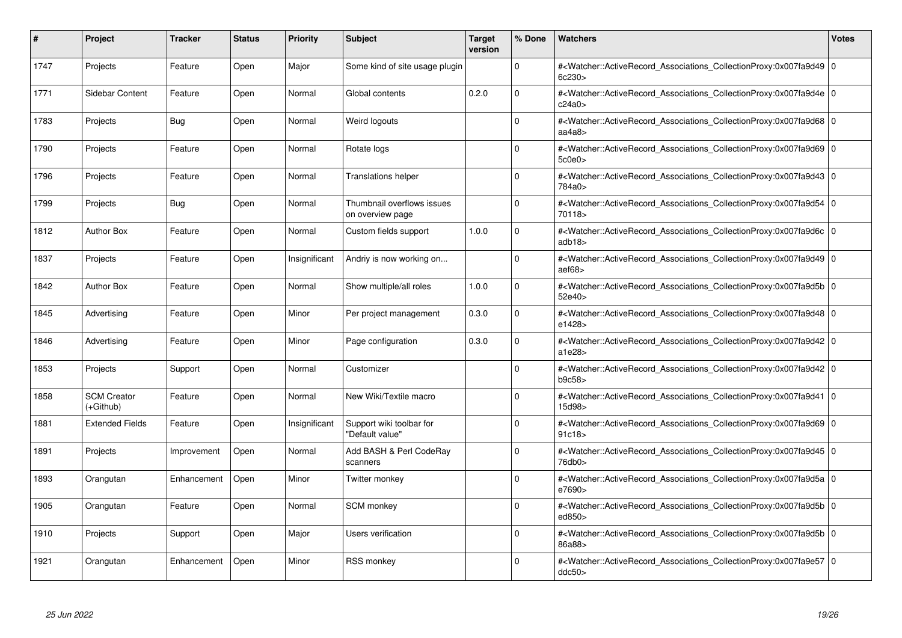| #    | Project                         | <b>Tracker</b> | <b>Status</b> | <b>Priority</b> | <b>Subject</b>                                 | <b>Target</b><br>version | % Done   | <b>Watchers</b>                                                                                                                                           | <b>Votes</b> |
|------|---------------------------------|----------------|---------------|-----------------|------------------------------------------------|--------------------------|----------|-----------------------------------------------------------------------------------------------------------------------------------------------------------|--------------|
| 1747 | Projects                        | Feature        | Open          | Major           | Some kind of site usage plugin                 |                          | $\Omega$ | # <watcher::activerecord 0<br="" associations="" collectionproxy:0x007fa9d49=""  ="">6c230&gt;</watcher::activerecord>                                    |              |
| 1771 | Sidebar Content                 | Feature        | Open          | Normal          | Global contents                                | 0.2.0                    | $\Omega$ | # <watcher::activerecord 0<br="" associations="" collectionproxy:0x007fa9d4e=""  ="">c24a0&gt;</watcher::activerecord>                                    |              |
| 1783 | Projects                        | <b>Bug</b>     | Open          | Normal          | Weird logouts                                  |                          | $\Omega$ | # <watcher::activerecord_associations_collectionproxy:0x007fa9d68 0<br=""  ="">aa4a8&gt;</watcher::activerecord_associations_collectionproxy:0x007fa9d68> |              |
| 1790 | Projects                        | Feature        | Open          | Normal          | Rotate logs                                    |                          | $\Omega$ | # <watcher::activerecord_associations_collectionproxy:0x007fa9d69 0<br=""  ="">5c0e0&gt;</watcher::activerecord_associations_collectionproxy:0x007fa9d69> |              |
| 1796 | Projects                        | Feature        | Open          | Normal          | <b>Translations helper</b>                     |                          | $\Omega$ | # <watcher::activerecord_associations_collectionproxy:0x007fa9d43 0<br="">784a0&gt;</watcher::activerecord_associations_collectionproxy:0x007fa9d43>      |              |
| 1799 | Projects                        | <b>Bug</b>     | Open          | Normal          | Thumbnail overflows issues<br>on overview page |                          | $\Omega$ | # <watcher::activerecord_associations_collectionproxy:0x007fa9d54 0<br=""  ="">70118&gt;</watcher::activerecord_associations_collectionproxy:0x007fa9d54> |              |
| 1812 | <b>Author Box</b>               | Feature        | Open          | Normal          | Custom fields support                          | 1.0.0                    | $\Omega$ | # <watcher::activerecord 0<br="" associations="" collectionproxy:0x007fa9d6c=""  ="">adb18&gt;</watcher::activerecord>                                    |              |
| 1837 | Projects                        | Feature        | Open          | Insignificant   | Andriy is now working on                       |                          | $\Omega$ | # <watcher::activerecord_associations_collectionproxy:0x007fa9d49 0<br=""  ="">aef68</watcher::activerecord_associations_collectionproxy:0x007fa9d49>     |              |
| 1842 | <b>Author Box</b>               | Feature        | Open          | Normal          | Show multiple/all roles                        | 1.0.0                    | $\Omega$ | # <watcher::activerecord_associations_collectionproxy:0x007fa9d5b 0<br=""  ="">52e40&gt;</watcher::activerecord_associations_collectionproxy:0x007fa9d5b> |              |
| 1845 | Advertising                     | Feature        | Open          | Minor           | Per project management                         | 0.3.0                    | $\Omega$ | # <watcher::activerecord 0<br="" associations="" collectionproxy:0x007fa9d48=""  ="">e1428&gt;</watcher::activerecord>                                    |              |
| 1846 | Advertising                     | Feature        | Open          | Minor           | Page configuration                             | 0.3.0                    | $\Omega$ | # <watcher::activerecord_associations_collectionproxy:0x007fa9d42 0<br=""  ="">a1e28&gt;</watcher::activerecord_associations_collectionproxy:0x007fa9d42> |              |
| 1853 | Projects                        | Support        | Open          | Normal          | Customizer                                     |                          | $\Omega$ | # <watcher::activerecord_associations_collectionproxy:0x007fa9d42 0<br=""  ="">b9c58</watcher::activerecord_associations_collectionproxy:0x007fa9d42>     |              |
| 1858 | <b>SCM Creator</b><br>(+Github) | Feature        | Open          | Normal          | New Wiki/Textile macro                         |                          | $\Omega$ | # <watcher::activerecord 0<br="" associations="" collectionproxy:0x007fa9d41=""  ="">15d98&gt;</watcher::activerecord>                                    |              |
| 1881 | <b>Extended Fields</b>          | Feature        | Open          | Insignificant   | Support wiki toolbar for<br>"Default value"    |                          | $\Omega$ | # <watcher::activerecord_associations_collectionproxy:0x007fa9d69 0<br=""  ="">91c18&gt;</watcher::activerecord_associations_collectionproxy:0x007fa9d69> |              |
| 1891 | Projects                        | Improvement    | Open          | Normal          | Add BASH & Perl CodeRay<br>scanners            |                          | $\Omega$ | # <watcher::activerecord_associations_collectionproxy:0x007fa9d45 0<br="">76db0&gt;</watcher::activerecord_associations_collectionproxy:0x007fa9d45>      |              |
| 1893 | Orangutan                       | Enhancement    | Open          | Minor           | Twitter monkey                                 |                          | $\Omega$ | # <watcher::activerecord_associations_collectionproxy:0x007fa9d5a 0<br=""  ="">e7690&gt;</watcher::activerecord_associations_collectionproxy:0x007fa9d5a> |              |
| 1905 | Orangutan                       | Feature        | Open          | Normal          | <b>SCM</b> monkey                              |                          | $\Omega$ | # <watcher::activerecord_associations_collectionproxy:0x007fa9d5b 0<br=""  ="">ed850&gt;</watcher::activerecord_associations_collectionproxy:0x007fa9d5b> |              |
| 1910 | Projects                        | Support        | Open          | Major           | Users verification                             |                          | $\Omega$ | # <watcher::activerecord 0<br="" associations="" collectionproxy:0x007fa9d5b=""  ="">86a88&gt;</watcher::activerecord>                                    |              |
| 1921 | Orangutan                       | Enhancement    | Open          | Minor           | <b>RSS monkey</b>                              |                          | $\Omega$ | # <watcher::activerecord_associations_collectionproxy:0x007fa9e57 0<br=""  ="">ddc50&gt;</watcher::activerecord_associations_collectionproxy:0x007fa9e57> |              |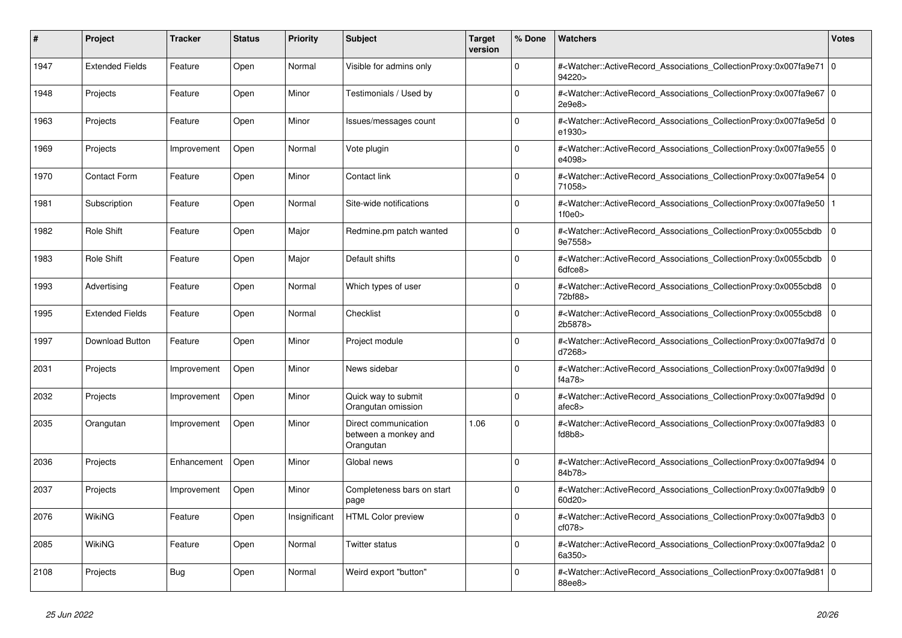| #    | Project                | <b>Tracker</b> | <b>Status</b> | <b>Priority</b> | <b>Subject</b>                                            | <b>Target</b><br>version | % Done   | <b>Watchers</b>                                                                                                                                                                     | <b>Votes</b>   |
|------|------------------------|----------------|---------------|-----------------|-----------------------------------------------------------|--------------------------|----------|-------------------------------------------------------------------------------------------------------------------------------------------------------------------------------------|----------------|
| 1947 | <b>Extended Fields</b> | Feature        | Open          | Normal          | Visible for admins only                                   |                          | $\Omega$ | # <watcher::activerecord_associations_collectionproxy:0x007fa9e71 0<br=""  ="">94220&gt;</watcher::activerecord_associations_collectionproxy:0x007fa9e71>                           |                |
| 1948 | Projects               | Feature        | Open          | Minor           | Testimonials / Used by                                    |                          | $\Omega$ | # <watcher::activerecord_associations_collectionproxy:0x007fa9e67 0<br=""  ="">2e9e8</watcher::activerecord_associations_collectionproxy:0x007fa9e67>                               |                |
| 1963 | Projects               | Feature        | Open          | Minor           | lssues/messages count                                     |                          | $\Omega$ | # <watcher::activerecord 0<br="" associations="" collectionproxy:0x007fa9e5d=""  ="">e1930&gt;</watcher::activerecord>                                                              |                |
| 1969 | Projects               | Improvement    | Open          | Normal          | Vote plugin                                               |                          | $\Omega$ | # <watcher::activerecord_associations_collectionproxy:0x007fa9e55 0<br=""  ="">e4098&gt;</watcher::activerecord_associations_collectionproxy:0x007fa9e55>                           |                |
| 1970 | <b>Contact Form</b>    | Feature        | Open          | Minor           | Contact link                                              |                          | $\Omega$ | # <watcher::activerecord_associations_collectionproxy:0x007fa9e54 0<br="">71058&gt;</watcher::activerecord_associations_collectionproxy:0x007fa9e54>                                |                |
| 1981 | Subscription           | Feature        | Open          | Normal          | Site-wide notifications                                   |                          | $\Omega$ | # <watcher::activerecord 1<br="" associations="" collectionproxy:0x007fa9e50=""  ="">1f0e0</watcher::activerecord>                                                                  |                |
| 1982 | <b>Role Shift</b>      | Feature        | Open          | Major           | Redmine.pm patch wanted                                   |                          | $\Omega$ | # <watcher::activerecord_associations_collectionproxy:0x0055cbdb<br>9e7558&gt;</watcher::activerecord_associations_collectionproxy:0x0055cbdb<br>                                   | $\overline{0}$ |
| 1983 | Role Shift             | Feature        | Open          | Major           | Default shifts                                            |                          | $\Omega$ | # <watcher::activerecord_associations_collectionproxy:0x0055cbdb<br>6dfce8&gt;</watcher::activerecord_associations_collectionproxy:0x0055cbdb<br>                                   | $\Omega$       |
| 1993 | Advertising            | Feature        | Open          | Normal          | Which types of user                                       |                          | $\Omega$ | # <watcher::activerecord_associations_collectionproxy:0x0055cbd8<br>72bf88&gt;</watcher::activerecord_associations_collectionproxy:0x0055cbd8<br>                                   | $\overline{0}$ |
| 1995 | <b>Extended Fields</b> | Feature        | Open          | Normal          | Checklist                                                 |                          | $\Omega$ | # <watcher::activerecord_associations_collectionproxy:0x0055cbd8<br>2b5878&gt;</watcher::activerecord_associations_collectionproxy:0x0055cbd8<br>                                   | $\overline{0}$ |
| 1997 | <b>Download Button</b> | Feature        | Open          | Minor           | Project module                                            |                          | $\Omega$ | # <watcher::activerecord_associations_collectionproxy:0x007fa9d7d 0<br=""  ="">d7268&gt;</watcher::activerecord_associations_collectionproxy:0x007fa9d7d>                           |                |
| 2031 | Projects               | Improvement    | Open          | Minor           | News sidebar                                              |                          | $\Omega$ | # <watcher::activerecord 0<br="" associations="" collectionproxy:0x007fa9d9d=""  ="">f4a78&gt;</watcher::activerecord>                                                              |                |
| 2032 | Projects               | Improvement    | Open          | Minor           | Quick way to submit<br>Orangutan omission                 |                          | $\Omega$ | # <watcher::activerecord_associations_collectionproxy:0x007fa9d9d 0<br=""  ="">afec8&gt;</watcher::activerecord_associations_collectionproxy:0x007fa9d9d>                           |                |
| 2035 | Orangutan              | Improvement    | Open          | Minor           | Direct communication<br>between a monkey and<br>Orangutan | 1.06                     | $\Omega$ | # <watcher::activerecord_associations_collectionproxy:0x007fa9d83 0<br=""  =""><math>f</math>d8b8<math>&gt;</math></watcher::activerecord_associations_collectionproxy:0x007fa9d83> |                |
| 2036 | Projects               | Enhancement    | Open          | Minor           | Global news                                               |                          | $\Omega$ | # <watcher::activerecord_associations_collectionproxy:0x007fa9d94 0<br=""  ="">84b78&gt;</watcher::activerecord_associations_collectionproxy:0x007fa9d94>                           |                |
| 2037 | Projects               | Improvement    | Open          | Minor           | Completeness bars on start<br>page                        |                          | $\Omega$ | # <watcher::activerecord_associations_collectionproxy:0x007fa9db9 0<br="">60d20&gt;</watcher::activerecord_associations_collectionproxy:0x007fa9db9>                                |                |
| 2076 | <b>WikiNG</b>          | Feature        | Open          | Insignificant   | <b>HTML Color preview</b>                                 |                          | $\Omega$ | # <watcher::activerecord 0<br="" associations="" collectionproxy:0x007fa9db3=""  ="">cf078&gt;</watcher::activerecord>                                                              |                |
| 2085 | <b>WikiNG</b>          | Feature        | Open          | Normal          | <b>Twitter status</b>                                     |                          | $\Omega$ | # <watcher::activerecord_associations_collectionproxy:0x007fa9da2 0<br=""  ="">6a350&gt;</watcher::activerecord_associations_collectionproxy:0x007fa9da2>                           |                |
| 2108 | Projects               | <b>Bug</b>     | Open          | Normal          | Weird export "button"                                     |                          | $\Omega$ | # <watcher::activerecord_associations_collectionproxy:0x007fa9d81 0<br=""  ="">88ee8&gt;</watcher::activerecord_associations_collectionproxy:0x007fa9d81>                           |                |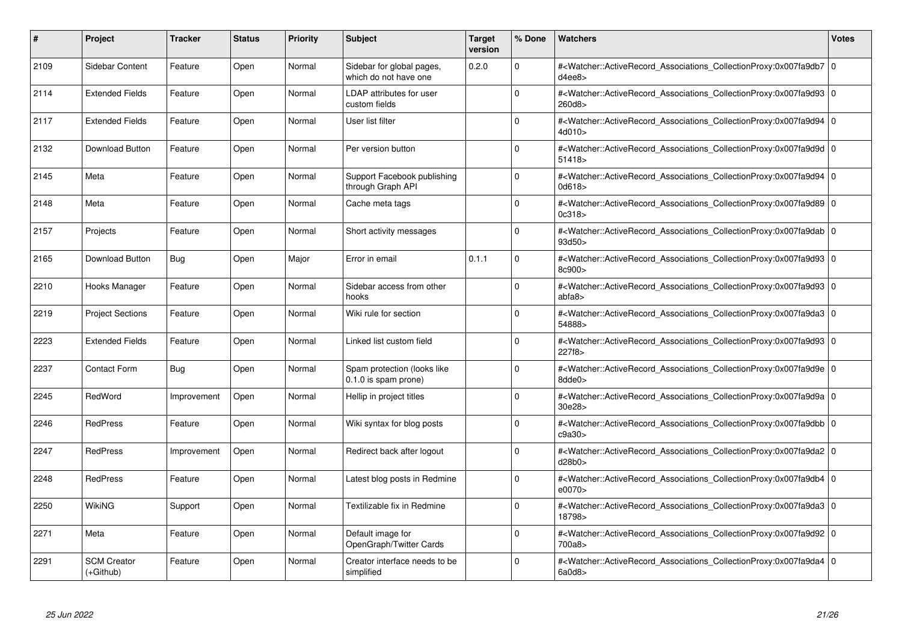| #    | Project                           | <b>Tracker</b> | <b>Status</b> | <b>Priority</b> | <b>Subject</b>                                      | Target<br>version | % Done      | <b>Watchers</b>                                                                                                                                           | <b>Votes</b> |
|------|-----------------------------------|----------------|---------------|-----------------|-----------------------------------------------------|-------------------|-------------|-----------------------------------------------------------------------------------------------------------------------------------------------------------|--------------|
| 2109 | Sidebar Content                   | Feature        | Open          | Normal          | Sidebar for global pages,<br>which do not have one  | 0.2.0             | $\Omega$    | # <watcher::activerecord_associations_collectionproxy:0x007fa9db7 0<br=""  ="">d4ee8</watcher::activerecord_associations_collectionproxy:0x007fa9db7>     |              |
| 2114 | <b>Extended Fields</b>            | Feature        | Open          | Normal          | LDAP attributes for user<br>custom fields           |                   | $\Omega$    | # <watcher::activerecord_associations_collectionproxy:0x007fa9d93 0<br=""  ="">260d8&gt;</watcher::activerecord_associations_collectionproxy:0x007fa9d93> |              |
| 2117 | <b>Extended Fields</b>            | Feature        | Open          | Normal          | User list filter                                    |                   | $\mathbf 0$ | # <watcher::activerecord 0<br="" associations="" collectionproxy:0x007fa9d94=""  ="">4d010&gt;</watcher::activerecord>                                    |              |
| 2132 | Download Button                   | Feature        | Open          | Normal          | Per version button                                  |                   | $\Omega$    | # <watcher::activerecord_associations_collectionproxy:0x007fa9d9d 0<br="">51418</watcher::activerecord_associations_collectionproxy:0x007fa9d9d>          |              |
| 2145 | Meta                              | Feature        | Open          | Normal          | Support Facebook publishing<br>through Graph API    |                   | $\Omega$    | # <watcher::activerecord_associations_collectionproxy:0x007fa9d94 0<br="">0d618</watcher::activerecord_associations_collectionproxy:0x007fa9d94>          |              |
| 2148 | Meta                              | Feature        | Open          | Normal          | Cache meta tags                                     |                   | $\Omega$    | # <watcher::activerecord_associations_collectionproxy:0x007fa9d89 0<br="">0c318</watcher::activerecord_associations_collectionproxy:0x007fa9d89>          |              |
| 2157 | Projects                          | Feature        | Open          | Normal          | Short activity messages                             |                   | $\mathbf 0$ | # <watcher::activerecord_associations_collectionproxy:0x007fa9dab 0<br=""  ="">93d50&gt;</watcher::activerecord_associations_collectionproxy:0x007fa9dab> |              |
| 2165 | <b>Download Button</b>            | <b>Bug</b>     | Open          | Major           | Error in email                                      | 0.1.1             | $\Omega$    | # <watcher::activerecord_associations_collectionproxy:0x007fa9d93 0<br="">8c900&gt;</watcher::activerecord_associations_collectionproxy:0x007fa9d93>      |              |
| 2210 | Hooks Manager                     | Feature        | Open          | Normal          | Sidebar access from other<br>hooks                  |                   | $\Omega$    | # <watcher::activerecord 0<br="" associations="" collectionproxy:0x007fa9d93=""  ="">abfa8</watcher::activerecord>                                        |              |
| 2219 | <b>Project Sections</b>           | Feature        | Open          | Normal          | Wiki rule for section                               |                   | $\mathbf 0$ | # <watcher::activerecord_associations_collectionproxy:0x007fa9da3 0<br=""  ="">54888&gt;</watcher::activerecord_associations_collectionproxy:0x007fa9da3> |              |
| 2223 | <b>Extended Fields</b>            | Feature        | Open          | Normal          | Linked list custom field                            |                   | $\Omega$    | # <watcher::activerecord_associations_collectionproxy:0x007fa9d93 0<br="">227f8&gt;</watcher::activerecord_associations_collectionproxy:0x007fa9d93>      |              |
| 2237 | <b>Contact Form</b>               | <b>Bug</b>     | Open          | Normal          | Spam protection (looks like<br>0.1.0 is spam prone) |                   | $\Omega$    | # <watcher::activerecord_associations_collectionproxy:0x007fa9d9e 0<br=""  ="">8dde0&gt;</watcher::activerecord_associations_collectionproxy:0x007fa9d9e> |              |
| 2245 | RedWord                           | Improvement    | Open          | Normal          | Hellip in project titles                            |                   | $\Omega$    | # <watcher::activerecord 0<br="" associations="" collectionproxy:0x007fa9d9a=""  ="">30e28&gt;</watcher::activerecord>                                    |              |
| 2246 | <b>RedPress</b>                   | Feature        | Open          | Normal          | Wiki syntax for blog posts                          |                   | $\mathbf 0$ | # <watcher::activerecord_associations_collectionproxy:0x007fa9dbb 0<br="">c9a30&gt;</watcher::activerecord_associations_collectionproxy:0x007fa9dbb>      |              |
| 2247 | RedPress                          | Improvement    | Open          | Normal          | Redirect back after logout                          |                   | $\Omega$    | # <watcher::activerecord_associations_collectionproxy:0x007fa9da2 0<br=""  ="">d28b0&gt;</watcher::activerecord_associations_collectionproxy:0x007fa9da2> |              |
| 2248 | <b>RedPress</b>                   | Feature        | Open          | Normal          | Latest blog posts in Redmine                        |                   | $\Omega$    | # <watcher::activerecord 0<br="" associations="" collectionproxy:0x007fa9db4=""  ="">e0070</watcher::activerecord>                                        |              |
| 2250 | WikiNG                            | Support        | Open          | Normal          | Textilizable fix in Redmine                         |                   | $\Omega$    | # <watcher::activerecord 0<br="" associations="" collectionproxy:0x007fa9da3=""  ="">18798&gt;</watcher::activerecord>                                    |              |
| 2271 | Meta                              | Feature        | Open          | Normal          | Default image for<br>OpenGraph/Twitter Cards        |                   | $\Omega$    | # <watcher::activerecord_associations_collectionproxy:0x007fa9d92 0<br="">700a8&gt;</watcher::activerecord_associations_collectionproxy:0x007fa9d92>      |              |
| 2291 | <b>SCM Creator</b><br>$(+Github)$ | Feature        | Open          | Normal          | Creator interface needs to be<br>simplified         |                   | $\Omega$    | # <watcher::activerecord_associations_collectionproxy:0x007fa9da4 0<br=""  ="">6a0d8</watcher::activerecord_associations_collectionproxy:0x007fa9da4>     |              |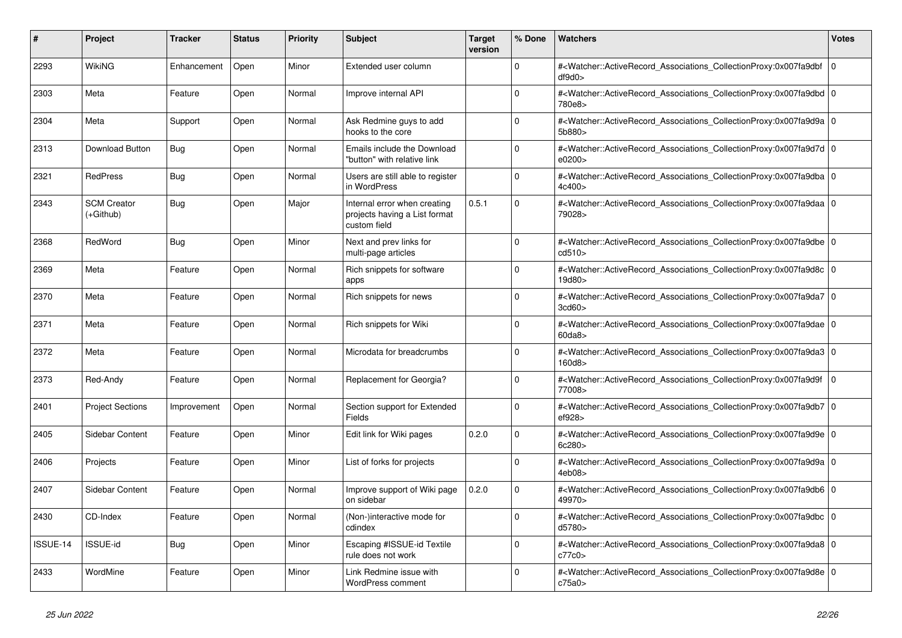| #        | Project                         | <b>Tracker</b> | <b>Status</b> | <b>Priority</b> | <b>Subject</b>                                                                | <b>Target</b><br>version | % Done   | Watchers                                                                                                                                                  | <b>Votes</b>   |
|----------|---------------------------------|----------------|---------------|-----------------|-------------------------------------------------------------------------------|--------------------------|----------|-----------------------------------------------------------------------------------------------------------------------------------------------------------|----------------|
| 2293     | WikiNG                          | Enhancement    | Open          | Minor           | Extended user column                                                          |                          | $\Omega$ | # <watcher::activerecord_associations_collectionproxy:0x007fa9dbf<br>df9d0</watcher::activerecord_associations_collectionproxy:0x007fa9dbf<br>            | $\overline{0}$ |
| 2303     | Meta                            | Feature        | Open          | Normal          | Improve internal API                                                          |                          | $\Omega$ | # <watcher::activerecord_associations_collectionproxy:0x007fa9dbd 0<br=""  ="">780e8&gt;</watcher::activerecord_associations_collectionproxy:0x007fa9dbd> |                |
| 2304     | Meta                            | Support        | Open          | Normal          | Ask Redmine guys to add<br>hooks to the core                                  |                          | $\Omega$ | # <watcher::activerecord 0<br="" associations="" collectionproxy:0x007fa9d9a=""  ="">5b880&gt;</watcher::activerecord>                                    |                |
| 2313     | Download Button                 | Bug            | Open          | Normal          | Emails include the Download<br>"button" with relative link                    |                          | $\Omega$ | # <watcher::activerecord_associations_collectionproxy:0x007fa9d7d 0<br=""  ="">e0200&gt;</watcher::activerecord_associations_collectionproxy:0x007fa9d7d> |                |
| 2321     | <b>RedPress</b>                 | <b>Bug</b>     | Open          | Normal          | Users are still able to register<br>in WordPress                              |                          | $\Omega$ | # <watcher::activerecord_associations_collectionproxy:0x007fa9dba 0<br=""  ="">4c400&gt;</watcher::activerecord_associations_collectionproxy:0x007fa9dba> |                |
| 2343     | <b>SCM Creator</b><br>(+Github) | Bug            | Open          | Major           | Internal error when creating<br>projects having a List format<br>custom field | 0.5.1                    | $\Omega$ | # <watcher::activerecord 0<br="" associations="" collectionproxy:0x007fa9daa=""  ="">79028&gt;</watcher::activerecord>                                    |                |
| 2368     | RedWord                         | Bug            | Open          | Minor           | Next and prev links for<br>multi-page articles                                |                          | $\Omega$ | # <watcher::activerecord_associations_collectionproxy:0x007fa9dbe 0<br=""  ="">cd510&gt;</watcher::activerecord_associations_collectionproxy:0x007fa9dbe> |                |
| 2369     | Meta                            | Feature        | Open          | Normal          | Rich snippets for software<br>apps                                            |                          | $\Omega$ | # <watcher::activerecord_associations_collectionproxy:0x007fa9d8c 0<br=""  ="">19d80&gt;</watcher::activerecord_associations_collectionproxy:0x007fa9d8c> |                |
| 2370     | Meta                            | Feature        | Open          | Normal          | Rich snippets for news                                                        |                          | $\Omega$ | # <watcher::activerecord_associations_collectionproxy:0x007fa9da7 0<br=""  ="">3cd60</watcher::activerecord_associations_collectionproxy:0x007fa9da7>     |                |
| 2371     | Meta                            | Feature        | Open          | Normal          | Rich snippets for Wiki                                                        |                          | $\Omega$ | # <watcher::activerecord_associations_collectionproxy:0x007fa9dae 0<br=""  ="">60da8</watcher::activerecord_associations_collectionproxy:0x007fa9dae>     |                |
| 2372     | Meta                            | Feature        | Open          | Normal          | Microdata for breadcrumbs                                                     |                          | $\Omega$ | # <watcher::activerecord_associations_collectionproxy:0x007fa9da3 0<br=""  ="">160d8&gt;</watcher::activerecord_associations_collectionproxy:0x007fa9da3> |                |
| 2373     | Red-Andy                        | Feature        | Open          | Normal          | Replacement for Georgia?                                                      |                          | 0        | # <watcher::activerecord associations="" collectionproxy:0x007fa9d9f<br="">77008&gt;</watcher::activerecord>                                              | $\overline{0}$ |
| 2401     | <b>Project Sections</b>         | Improvement    | Open          | Normal          | Section support for Extended<br>Fields                                        |                          | $\Omega$ | # <watcher::activerecord_associations_collectionproxy:0x007fa9db7 0<br=""  ="">ef928&gt;</watcher::activerecord_associations_collectionproxy:0x007fa9db7> |                |
| 2405     | <b>Sidebar Content</b>          | Feature        | Open          | Minor           | Edit link for Wiki pages                                                      | 0.2.0                    | $\Omega$ | # <watcher::activerecord_associations_collectionproxy:0x007fa9d9e 0<br=""  ="">6c280&gt;</watcher::activerecord_associations_collectionproxy:0x007fa9d9e> |                |
| 2406     | Projects                        | Feature        | Open          | Minor           | List of forks for projects                                                    |                          | 0        | # <watcher::activerecord_associations_collectionproxy:0x007fa9d9a 0<br=""  ="">4eb08&gt;</watcher::activerecord_associations_collectionproxy:0x007fa9d9a> |                |
| 2407     | Sidebar Content                 | Feature        | Open          | Normal          | Improve support of Wiki page<br>on sidebar                                    | 0.2.0                    | $\Omega$ | # <watcher::activerecord_associations_collectionproxy:0x007fa9db6 0<br="">49970&gt;</watcher::activerecord_associations_collectionproxy:0x007fa9db6>      |                |
| 2430     | CD-Index                        | Feature        | Open          | Normal          | (Non-)interactive mode for<br>cdindex                                         |                          | $\Omega$ | # <watcher::activerecord 0<br="" associations="" collectionproxy:0x007fa9dbc=""  ="">d5780&gt;</watcher::activerecord>                                    |                |
| ISSUE-14 | <b>ISSUE-id</b>                 | <b>Bug</b>     | Open          | Minor           | Escaping #ISSUE-id Textile<br>rule does not work                              |                          | $\Omega$ | # <watcher::activerecord_associations_collectionproxy:0x007fa9da8 0<br=""  ="">c77c0&gt;</watcher::activerecord_associations_collectionproxy:0x007fa9da8> |                |
| 2433     | WordMine                        | Feature        | Open          | Minor           | Link Redmine issue with<br>WordPress comment                                  |                          | $\Omega$ | # <watcher::activerecord_associations_collectionproxy:0x007fa9d8e 0<br=""  ="">c75a0&gt;</watcher::activerecord_associations_collectionproxy:0x007fa9d8e> |                |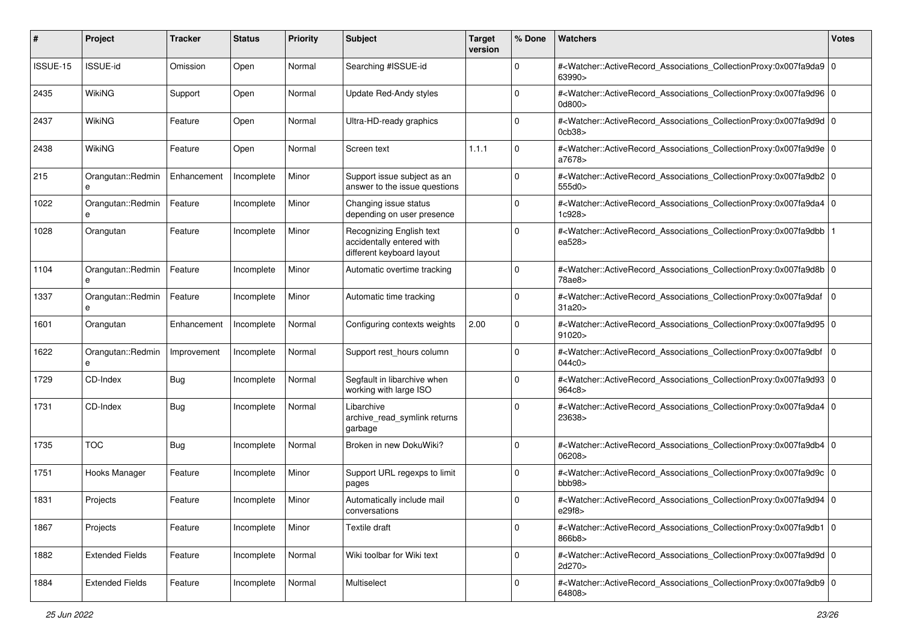| #        | Project                | <b>Tracker</b> | <b>Status</b> | <b>Priority</b> | Subject                                                                            | <b>Target</b><br>version | % Done      | Watchers                                                                                                                                                   | <b>Votes</b> |
|----------|------------------------|----------------|---------------|-----------------|------------------------------------------------------------------------------------|--------------------------|-------------|------------------------------------------------------------------------------------------------------------------------------------------------------------|--------------|
| ISSUE-15 | <b>ISSUE-id</b>        | Omission       | Open          | Normal          | Searching #ISSUE-id                                                                |                          | $\Omega$    | # <watcher::activerecord_associations_collectionproxy:0x007fa9da9 0<br="">63990&gt;</watcher::activerecord_associations_collectionproxy:0x007fa9da9>       |              |
| 2435     | WikiNG                 | Support        | Open          | Normal          | Update Red-Andy styles                                                             |                          | $\Omega$    | # <watcher::activerecord_associations_collectionproxy:0x007fa9d96 0<br="">0d800&gt;</watcher::activerecord_associations_collectionproxy:0x007fa9d96>       |              |
| 2437     | WikiNG                 | Feature        | Open          | Normal          | Ultra-HD-ready graphics                                                            |                          | $\mathbf 0$ | # <watcher::activerecord_associations_collectionproxy:0x007fa9d9d 0<br="">0cb38</watcher::activerecord_associations_collectionproxy:0x007fa9d9d>           |              |
| 2438     | WikiNG                 | Feature        | Open          | Normal          | Screen text                                                                        | 1.1.1                    | $\mathbf 0$ | # <watcher::activerecord_associations_collectionproxy:0x007fa9d9e 0<br="">a7678&gt;</watcher::activerecord_associations_collectionproxy:0x007fa9d9e>       |              |
| 215      | Orangutan::Redmin<br>e | Enhancement    | Incomplete    | Minor           | Support issue subject as an<br>answer to the issue questions                       |                          | $\mathbf 0$ | # <watcher::activerecord_associations_collectionproxy:0x007fa9db2 0<br="">555d0&gt;</watcher::activerecord_associations_collectionproxy:0x007fa9db2>       |              |
| 1022     | Orangutan::Redmin      | Feature        | Incomplete    | Minor           | Changing issue status<br>depending on user presence                                |                          | $\Omega$    | # <watcher::activerecord_associations_collectionproxy:0x007fa9da4 0<br="">1c928&gt;</watcher::activerecord_associations_collectionproxy:0x007fa9da4>       |              |
| 1028     | Orangutan              | Feature        | Incomplete    | Minor           | Recognizing English text<br>accidentally entered with<br>different keyboard layout |                          | $\mathbf 0$ | # <watcher::activerecord_associations_collectionproxy:0x007fa9dbb 1<br=""  ="">ea528&gt;</watcher::activerecord_associations_collectionproxy:0x007fa9dbb>  |              |
| 1104     | Orangutan::Redmin<br>e | Feature        | Incomplete    | Minor           | Automatic overtime tracking                                                        |                          | $\mathbf 0$ | # <watcher::activerecord_associations_collectionproxy:0x007fa9d8b 0<br="">78ae8&gt;</watcher::activerecord_associations_collectionproxy:0x007fa9d8b>       |              |
| 1337     | Orangutan::Redmin<br>e | Feature        | Incomplete    | Minor           | Automatic time tracking                                                            |                          | $\mathbf 0$ | # <watcher::activerecord_associations_collectionproxy:0x007fa9daf 0<br=""  ="">31a20 &gt;</watcher::activerecord_associations_collectionproxy:0x007fa9daf> |              |
| 1601     | Orangutan              | Enhancement    | Incomplete    | Normal          | Configuring contexts weights                                                       | 2.00                     | $\mathbf 0$ | # <watcher::activerecord_associations_collectionproxy:0x007fa9d95 0<br=""  ="">91020 &gt;</watcher::activerecord_associations_collectionproxy:0x007fa9d95> |              |
| 1622     | Orangutan::Redmin<br>e | Improvement    | Incomplete    | Normal          | Support rest_hours column                                                          |                          | $\mathbf 0$ | # <watcher::activerecord_associations_collectionproxy:0x007fa9dbf 0<br=""  ="">044c0&gt;</watcher::activerecord_associations_collectionproxy:0x007fa9dbf>  |              |
| 1729     | CD-Index               | <b>Bug</b>     | Incomplete    | Normal          | Segfault in libarchive when<br>working with large ISO                              |                          | $\mathbf 0$ | # <watcher::activerecord_associations_collectionproxy:0x007fa9d93 0<br="">964c8&gt;</watcher::activerecord_associations_collectionproxy:0x007fa9d93>       |              |
| 1731     | CD-Index               | Bug            | Incomplete    | Normal          | Libarchive<br>archive_read_symlink returns<br>garbage                              |                          | $\mathbf 0$ | # <watcher::activerecord_associations_collectionproxy:0x007fa9da4 0<br="">23638&gt;</watcher::activerecord_associations_collectionproxy:0x007fa9da4>       |              |
| 1735     | <b>TOC</b>             | <b>Bug</b>     | Incomplete    | Normal          | Broken in new DokuWiki?                                                            |                          | $\mathbf 0$ | # <watcher::activerecord_associations_collectionproxy:0x007fa9db4 0<br="">06208&gt;</watcher::activerecord_associations_collectionproxy:0x007fa9db4>       |              |
| 1751     | Hooks Manager          | Feature        | Incomplete    | Minor           | Support URL regexps to limit<br>pages                                              |                          | $\Omega$    | # <watcher::activerecord_associations_collectionproxy:0x007fa9d9c 0<br="">bbb98&gt;</watcher::activerecord_associations_collectionproxy:0x007fa9d9c>       |              |
| 1831     | Projects               | Feature        | Incomplete    | Minor           | Automatically include mail<br>conversations                                        |                          | $\Omega$    | # <watcher::activerecord_associations_collectionproxy:0x007fa9d94 0<br="">e29f8&gt;</watcher::activerecord_associations_collectionproxy:0x007fa9d94>       |              |
| 1867     | Projects               | Feature        | Incomplete    | Minor           | Textile draft                                                                      |                          | $\mathbf 0$ | # <watcher::activerecord_associations_collectionproxy:0x007fa9db1 0<br="">866b8&gt;</watcher::activerecord_associations_collectionproxy:0x007fa9db1>       |              |
| 1882     | <b>Extended Fields</b> | Feature        | Incomplete    | Normal          | Wiki toolbar for Wiki text                                                         |                          | $\mathbf 0$ | # <watcher::activerecord_associations_collectionproxy:0x007fa9d9d 0<br="">2d270&gt;</watcher::activerecord_associations_collectionproxy:0x007fa9d9d>       |              |
| 1884     | <b>Extended Fields</b> | Feature        | Incomplete    | Normal          | Multiselect                                                                        |                          | $\mathbf 0$ | # <watcher::activerecord_associations_collectionproxy:0x007fa9db9 0<br=""  ="">64808&gt;</watcher::activerecord_associations_collectionproxy:0x007fa9db9>  |              |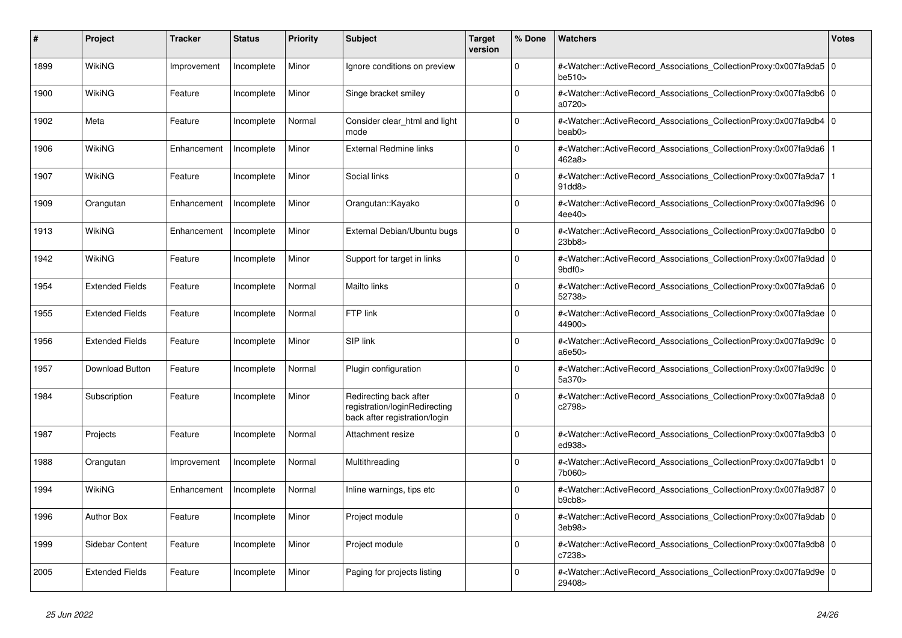| #    | Project                | <b>Tracker</b> | <b>Status</b> | <b>Priority</b> | <b>Subject</b>                                                                           | <b>Target</b><br>version | % Done   | <b>Watchers</b>                                                                                                                                                                 | <b>Votes</b> |
|------|------------------------|----------------|---------------|-----------------|------------------------------------------------------------------------------------------|--------------------------|----------|---------------------------------------------------------------------------------------------------------------------------------------------------------------------------------|--------------|
| 1899 | <b>WikiNG</b>          | Improvement    | Incomplete    | Minor           | Ignore conditions on preview                                                             |                          | $\Omega$ | # <watcher::activerecord_associations_collectionproxy:0x007fa9da5 0<br=""  ="">be510&gt;</watcher::activerecord_associations_collectionproxy:0x007fa9da5>                       |              |
| 1900 | <b>WikiNG</b>          | Feature        | Incomplete    | Minor           | Singe bracket smiley                                                                     |                          | $\Omega$ | # <watcher::activerecord_associations_collectionproxy:0x007fa9db6 0<br="">a0720&gt;</watcher::activerecord_associations_collectionproxy:0x007fa9db6>                            |              |
| 1902 | Meta                   | Feature        | Incomplete    | Normal          | Consider clear html and light<br>mode                                                    |                          | $\Omega$ | # <watcher::activerecord_associations_collectionproxy:0x007fa9db4 0<br=""  ="">beab0&gt;</watcher::activerecord_associations_collectionproxy:0x007fa9db4>                       |              |
| 1906 | WikiNG                 | Enhancement    | Incomplete    | Minor           | <b>External Redmine links</b>                                                            |                          | $\Omega$ | # <watcher::activerecord_associations_collectionproxy:0x007fa9da6 1<br=""  ="">462a8&gt;</watcher::activerecord_associations_collectionproxy:0x007fa9da6>                       |              |
| 1907 | <b>WikiNG</b>          | Feature        | Incomplete    | Minor           | Social links                                                                             |                          | $\Omega$ | # <watcher::activerecord_associations_collectionproxy:0x007fa9da7 1<br=""  ="">91dd8&gt;</watcher::activerecord_associations_collectionproxy:0x007fa9da7>                       |              |
| 1909 | Orangutan              | Enhancement    | Incomplete    | Minor           | Orangutan::Kayako                                                                        |                          | $\Omega$ | # <watcher::activerecord_associations_collectionproxy:0x007fa9d96 0<br="">4ee40&gt;</watcher::activerecord_associations_collectionproxy:0x007fa9d96>                            |              |
| 1913 | WikiNG                 | Enhancement    | Incomplete    | Minor           | External Debian/Ubuntu bugs                                                              |                          | $\Omega$ | # <watcher::activerecord 0<br="" associations="" collectionproxy:0x007fa9db0=""  ="">23bb8&gt;</watcher::activerecord>                                                          |              |
| 1942 | <b>WikiNG</b>          | Feature        | Incomplete    | Minor           | Support for target in links                                                              |                          | $\Omega$ | # <watcher::activerecord_associations_collectionproxy:0x007fa9dad 0<br=""  =""><math>9</math>bdf<math>0</math></watcher::activerecord_associations_collectionproxy:0x007fa9dad> |              |
| 1954 | <b>Extended Fields</b> | Feature        | Incomplete    | Normal          | Mailto links                                                                             |                          | $\Omega$ | # <watcher::activerecord_associations_collectionproxy:0x007fa9da6 0<br=""  ="">52738&gt;</watcher::activerecord_associations_collectionproxy:0x007fa9da6>                       |              |
| 1955 | <b>Extended Fields</b> | Feature        | Incomplete    | Normal          | FTP link                                                                                 |                          | $\Omega$ | # <watcher::activerecord_associations_collectionproxy:0x007fa9dae 0<br=""  ="">44900&gt;</watcher::activerecord_associations_collectionproxy:0x007fa9dae>                       |              |
| 1956 | <b>Extended Fields</b> | Feature        | Incomplete    | Minor           | SIP link                                                                                 |                          | $\Omega$ | # <watcher::activerecord_associations_collectionproxy:0x007fa9d9c 0<br=""  ="">a6e50&gt;</watcher::activerecord_associations_collectionproxy:0x007fa9d9c>                       |              |
| 1957 | Download Button        | Feature        | Incomplete    | Normal          | Plugin configuration                                                                     |                          | $\Omega$ | # <watcher::activerecord 0<br="" associations="" collectionproxy:0x007fa9d9c=""  ="">5a370&gt;</watcher::activerecord>                                                          |              |
| 1984 | Subscription           | Feature        | Incomplete    | Minor           | Redirecting back after<br>registration/loginRedirecting<br>back after registration/login |                          | $\Omega$ | # <watcher::activerecord_associations_collectionproxy:0x007fa9da8 0<br=""  ="">c2798&gt;</watcher::activerecord_associations_collectionproxy:0x007fa9da8>                       |              |
| 1987 | Projects               | Feature        | Incomplete    | Normal          | Attachment resize                                                                        |                          | $\Omega$ | # <watcher::activerecord_associations_collectionproxy:0x007fa9db3 0<br=""  ="">ed938&gt;</watcher::activerecord_associations_collectionproxy:0x007fa9db3>                       |              |
| 1988 | Orangutan              | Improvement    | Incomplete    | Normal          | Multithreading                                                                           |                          | $\Omega$ | # <watcher::activerecord_associations_collectionproxy:0x007fa9db1 0<br=""  ="">7b060&gt;</watcher::activerecord_associations_collectionproxy:0x007fa9db1>                       |              |
| 1994 | <b>WikiNG</b>          | Enhancement    | Incomplete    | Normal          | Inline warnings, tips etc                                                                |                          | $\Omega$ | # <watcher::activerecord_associations_collectionproxy:0x007fa9d87 0<br=""  ="">b9cb8&gt;</watcher::activerecord_associations_collectionproxy:0x007fa9d87>                       |              |
| 1996 | <b>Author Box</b>      | Feature        | Incomplete    | Minor           | Project module                                                                           |                          | $\Omega$ | # <watcher::activerecord_associations_collectionproxy:0x007fa9dab 0<br=""  ="">3eb98&gt;</watcher::activerecord_associations_collectionproxy:0x007fa9dab>                       |              |
| 1999 | Sidebar Content        | Feature        | Incomplete    | Minor           | Project module                                                                           |                          | $\Omega$ | # <watcher::activerecord 0<br="" associations="" collectionproxy:0x007fa9db8=""  ="">c7238&gt;</watcher::activerecord>                                                          |              |
| 2005 | <b>Extended Fields</b> | Feature        | Incomplete    | Minor           | Paging for projects listing                                                              |                          | $\Omega$ | # <watcher::activerecord_associations_collectionproxy:0x007fa9d9e 0<br=""  ="">29408&gt;</watcher::activerecord_associations_collectionproxy:0x007fa9d9e>                       |              |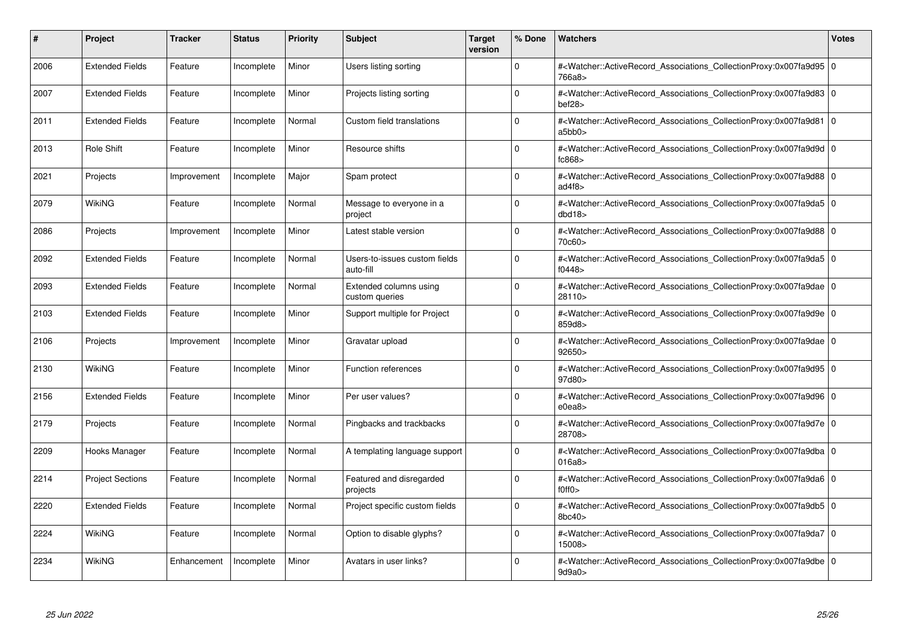| #    | Project                 | <b>Tracker</b> | <b>Status</b> | <b>Priority</b> | <b>Subject</b>                             | <b>Target</b><br>version | % Done      | Watchers                                                                                                                                                  | <b>Votes</b> |
|------|-------------------------|----------------|---------------|-----------------|--------------------------------------------|--------------------------|-------------|-----------------------------------------------------------------------------------------------------------------------------------------------------------|--------------|
| 2006 | <b>Extended Fields</b>  | Feature        | Incomplete    | Minor           | Users listing sorting                      |                          | $\Omega$    | # <watcher::activerecord 0<br="" associations="" collectionproxy:0x007fa9d95=""  ="">766a8&gt;</watcher::activerecord>                                    |              |
| 2007 | <b>Extended Fields</b>  | Feature        | Incomplete    | Minor           | Projects listing sorting                   |                          | $\Omega$    | # <watcher::activerecord 0<br="" associations="" collectionproxy:0x007fa9d83=""  ="">bef28</watcher::activerecord>                                        |              |
| 2011 | <b>Extended Fields</b>  | Feature        | Incomplete    | Normal          | Custom field translations                  |                          | $\Omega$    | # <watcher::activerecord_associations_collectionproxy:0x007fa9d81 0<br="">a5bb0&gt;</watcher::activerecord_associations_collectionproxy:0x007fa9d81>      |              |
| 2013 | Role Shift              | Feature        | Incomplete    | Minor           | Resource shifts                            |                          | $\Omega$    | # <watcher::activerecord 0<br="" associations="" collectionproxy:0x007fa9d9d=""  ="">fc868</watcher::activerecord>                                        |              |
| 2021 | Projects                | Improvement    | Incomplete    | Major           | Spam protect                               |                          | $\Omega$    | # <watcher::activerecord_associations_collectionproxy:0x007fa9d88 0<br="">ad4f8&gt;</watcher::activerecord_associations_collectionproxy:0x007fa9d88>      |              |
| 2079 | WikiNG                  | Feature        | Incomplete    | Normal          | Message to everyone in a<br>project        |                          | $\Omega$    | # <watcher::activerecord_associations_collectionproxy:0x007fa9da5 0<br=""  ="">dbd18&gt;</watcher::activerecord_associations_collectionproxy:0x007fa9da5> |              |
| 2086 | Projects                | Improvement    | Incomplete    | Minor           | Latest stable version                      |                          | $\Omega$    | # <watcher::activerecord_associations_collectionproxy:0x007fa9d88 0<br="">70c60&gt;</watcher::activerecord_associations_collectionproxy:0x007fa9d88>      |              |
| 2092 | <b>Extended Fields</b>  | Feature        | Incomplete    | Normal          | Users-to-issues custom fields<br>auto-fill |                          | $\Omega$    | # <watcher::activerecord_associations_collectionproxy:0x007fa9da5 0<br=""  ="">f0448&gt;</watcher::activerecord_associations_collectionproxy:0x007fa9da5> |              |
| 2093 | <b>Extended Fields</b>  | Feature        | Incomplete    | Normal          | Extended columns using<br>custom queries   |                          | $\Omega$    | # <watcher::activerecord 0<br="" associations="" collectionproxy:0x007fa9dae=""  ="">28110&gt;</watcher::activerecord>                                    |              |
| 2103 | <b>Extended Fields</b>  | Feature        | Incomplete    | Minor           | Support multiple for Project               |                          | $\mathbf 0$ | # <watcher::activerecord 0<br="" associations="" collectionproxy:0x007fa9d9e=""  ="">859d8&gt;</watcher::activerecord>                                    |              |
| 2106 | Projects                | Improvement    | Incomplete    | Minor           | Gravatar upload                            |                          | $\Omega$    | # <watcher::activerecord_associations_collectionproxy:0x007fa9dae 0<br=""  ="">92650&gt;</watcher::activerecord_associations_collectionproxy:0x007fa9dae> |              |
| 2130 | WikiNG                  | Feature        | Incomplete    | Minor           | <b>Function references</b>                 |                          | $\Omega$    | # <watcher::activerecord_associations_collectionproxy:0x007fa9d95 0<br=""  ="">97d80&gt;</watcher::activerecord_associations_collectionproxy:0x007fa9d95> |              |
| 2156 | <b>Extended Fields</b>  | Feature        | Incomplete    | Minor           | Per user values?                           |                          | $\mathbf 0$ | # <watcher::activerecord_associations_collectionproxy:0x007fa9d96 0<br=""  ="">e0ea8</watcher::activerecord_associations_collectionproxy:0x007fa9d96>     |              |
| 2179 | Projects                | Feature        | Incomplete    | Normal          | Pingbacks and trackbacks                   |                          | $\Omega$    | # <watcher::activerecord_associations_collectionproxy:0x007fa9d7e 0<br="">28708&gt;</watcher::activerecord_associations_collectionproxy:0x007fa9d7e>      |              |
| 2209 | Hooks Manager           | Feature        | Incomplete    | Normal          | A templating language support              |                          | $\Omega$    | # <watcher::activerecord 0<br="" associations="" collectionproxy:0x007fa9dba=""  ="">016a8</watcher::activerecord>                                        |              |
| 2214 | <b>Project Sections</b> | Feature        | Incomplete    | Normal          | Featured and disregarded<br>projects       |                          | $\Omega$    | # <watcher::activerecord_associations_collectionproxy:0x007fa9da6 0<br=""  ="">f0ff0</watcher::activerecord_associations_collectionproxy:0x007fa9da6>     |              |
| 2220 | <b>Extended Fields</b>  | Feature        | Incomplete    | Normal          | Project specific custom fields             |                          | $\Omega$    | # <watcher::activerecord 0<br="" associations="" collectionproxy:0x007fa9db5=""  ="">8bc40&gt;</watcher::activerecord>                                    |              |
| 2224 | WikiNG                  | Feature        | Incomplete    | Normal          | Option to disable glyphs?                  |                          | $\Omega$    | # <watcher::activerecord 0<br="" associations="" collectionproxy:0x007fa9da7=""  ="">15008&gt;</watcher::activerecord>                                    |              |
| 2234 | WikiNG                  | Enhancement    | Incomplete    | Minor           | Avatars in user links?                     |                          | $\Omega$    | # <watcher::activerecord_associations_collectionproxy:0x007fa9dbe 0<br=""  ="">9d9a0&gt;</watcher::activerecord_associations_collectionproxy:0x007fa9dbe> |              |